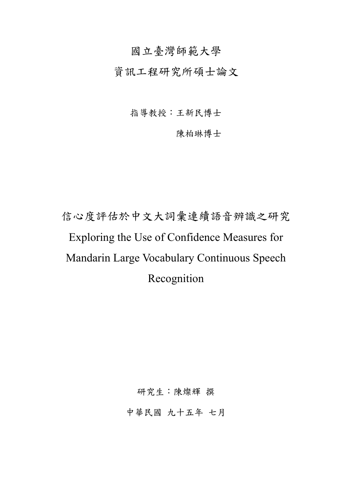### 國立臺灣師範大學

資訊工程研究所碩士論文

指導教授:王新民博士

陳柏琳博士

# 信心度評估於中文大詞彙連續語音辨識之研究 Exploring the Use of Confidence Measures for Mandarin Large Vocabulary Continuous Speech Recognition

研究生:陳燦輝 撰

中華民國 九十五年 七月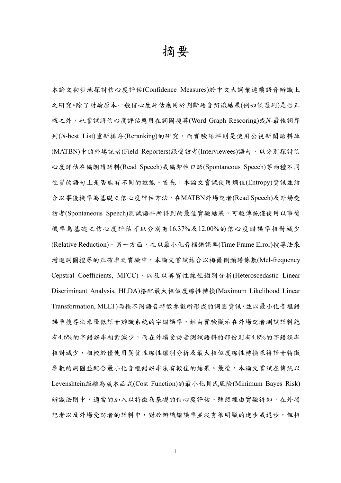### 摘要

本論文初步地探討信心度評估(Confidence Measures)於中文大詞彙連續語音辨識上 之研究。除了討論原本一般信心度評估應用於判斷語音辨識結果(例如候選詞)是否正 確之外,也嘗試將信心度評估應用在詞圖搜尋(Word Graph Rescoring)或*N*-最佳詞序 列(*N*-best List)重新排序(Reranking)的研究。而實驗語料則是使用公視新聞語料庫 (MATBN)中的外場記者(Field Reporters)跟受訪者(Interviewees)語句,以分別探討信 心度評估在偏朗讀語料(Read Speech)或偏即性口語(Spontaneous Speech)等兩種不同 性質的語句上是否能有不同的效能。首先,本論文嘗試使用熵值(Entropy)資訊並結 合以事後機率為基礎之信心度評估方法,在MATBN外場記者(Read Speech)及外場受 訪者(Spontaneous Speech)測試語料所得到的最佳實驗結果,可較傳統僅使用以事後 機率為基礎之信心度評估可以分別有16.37%及12.00%的信心度錯誤率相對減少 (Relative Reduction)。另一方面,在以最小化音框錯誤率(Time Frame Error)搜尋法來 增進詞圖搜尋的正確率之實驗中,本論文嘗試結合以梅爾倒頻譜係數(Mel-frequency Cepstral Coefficients, MFCC), 以及以異質性線性鑑別分析(Heteroscedastic Linear Discriminant Analysis, HLDA)搭配最大相似度線性轉換(Maximum Likelihood Linear Transformation, MLLT)兩種不同語音特徵參數所形成的詞圖資訊,並以最小化音框錯 誤率搜尋法來降低語音辨識系統的字錯誤率,經由實驗顯示在外場記者測試語料能 有4.6%的字錯誤率相對減少,而在外場受訪者測試語料的部份則有4.8%的字錯誤率 相對減少,相較於僅使用異質性線性鑑別分析及最大相似度線性轉換求得語音特徵 參數的詞圖並配合最小化音框錯誤率法有較佳的結果。最後,本論文嘗試在傳統以 Levenshtein距離為成本函式(Cost Function)的最小化貝氏風險(Minimum Bayes Risk) 辨識法則中,適當的加入以特徵為基礎的信心度評估。雖然經由實驗得知,在外場 記者以及外場受訪者的語料中,對於辨識錯誤率並沒有很明顯的進步或退步,但相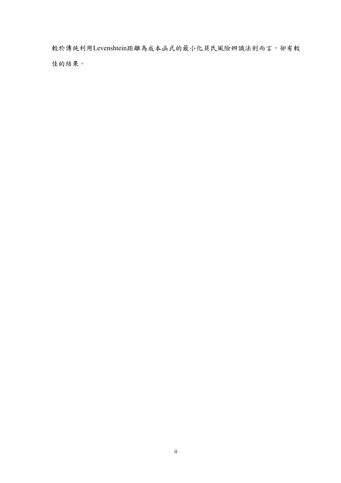較於傳統利用Levenshtein距離為成本函式的最小化貝氏風險辨識法則而言,卻有較 佳的結果。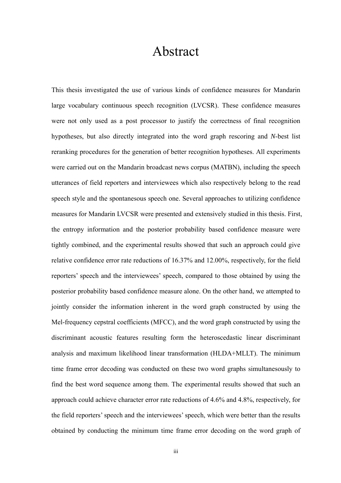## Abstract

This thesis investigated the use of various kinds of confidence measures for Mandarin large vocabulary continuous speech recognition (LVCSR). These confidence measures were not only used as a post processor to justify the correctness of final recognition hypotheses, but also directly integrated into the word graph rescoring and *N*-best list reranking procedures for the generation of better recognition hypotheses. All experiments were carried out on the Mandarin broadcast news corpus (MATBN), including the speech utterances of field reporters and interviewees which also respectively belong to the read speech style and the spontanesous speech one. Several approaches to utilizing confidence measures for Mandarin LVCSR were presented and extensively studied in this thesis. First, the entropy information and the posterior probability based confidence measure were tightly combined, and the experimental results showed that such an approach could give relative confidence error rate reductions of 16.37% and 12.00%, respectively, for the field reporters' speech and the interviewees' speech, compared to those obtained by using the posterior probability based confidence measure alone. On the other hand, we attempted to jointly consider the information inherent in the word graph constructed by using the Mel-frequency cepstral coefficients (MFCC), and the word graph constructed by using the discriminant acoustic features resulting form the heteroscedastic linear discriminant analysis and maximum likelihood linear transformation (HLDA+MLLT). The minimum time frame error decoding was conducted on these two word graphs simultanesously to find the best word sequence among them. The experimental results showed that such an approach could achieve character error rate reductions of 4.6% and 4.8%, respectively, for the field reporters' speech and the interviewees' speech, which were better than the results obtained by conducting the minimum time frame error decoding on the word graph of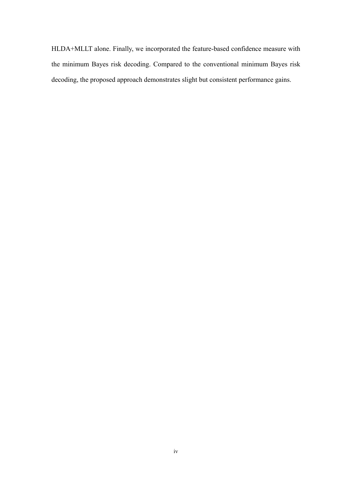HLDA+MLLT alone. Finally, we incorporated the feature-based confidence measure with the minimum Bayes risk decoding. Compared to the conventional minimum Bayes risk decoding, the proposed approach demonstrates slight but consistent performance gains.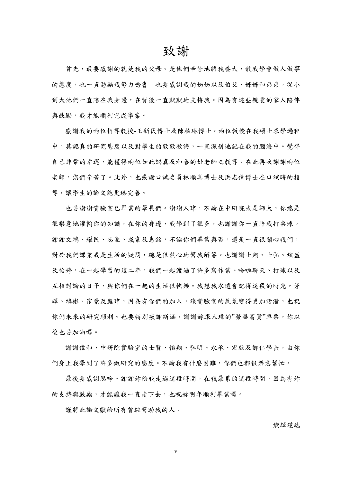### 致謝

首先,最要感謝的就是我的父母。是他們辛苦地將我養大,教我學會做人做事 的態度,也一直勉勵我努力唸書。也要感謝我的奶奶以及伯父、姊姊和弟弟,從小 到大他們一直陪在我身邊,在背後一直默默地支持我。因為有這些親愛的家人陪伴 與鼓勵,我才能順利完成學業。

感謝我的兩位指導教授-王新民博士及陳柏琳博士。兩位教授在我碩士求學過程 中,其認真的研究態度以及對學生的敦敦教誨,一直深刻地記在我的腦海中。覺得 自己非常的幸運,能獲得兩位如此認真及和善的好老師之教導。在此再次謝謝兩位 老師,您們辛苦了。此外,也感謝口試委員林順喜博士及洪志偉博士在口試時的指 導,讓學生的論文能更臻完善。

也要謝謝實驗室已畢業的學長們。謝謝人瑋,不論在中研院或是師大,你總是 很樂意地灌輸你的知識,在你的身邊,我學到了很多,也謝謝你一直陪我打桌球。 謝謝文鴻、耀民、志豪、成韋及惠銘,不論你們畢業與否,還是一直很關心我們, 對於我們課業或是生活的疑問,總是很熱心地幫我解答。也謝謝士翔、士弘、炫盛 及怡婷,在一起學習的這二年,我們一起渡過了許多寫作業、哈啦聊天、打球以及 互相討論的日子,與你們在一起的生活很快樂。我想我永遠會記得這段的時光。芳 輝、鴻彬、家豪及庭瑋,因為有你們的加入,讓實驗室的氣氛變得更加活潑,也祝 你們未來的研究順利。也要特別感謝斯涵,謝謝妳跟人瑋的"榮華富貴"車票,妳以 後也要加油囉。

謝謝偉和、中研院實驗室的士賢、怡翔、弘明、永承、宏毅及御仁學長,由你 們身上我學到了許多做研究的態度。不論我有什麼困難,你們也都很樂意幫忙。

最後要感謝思吟。謝謝妳陪我走過這段時間,在我最累的這段時間,因為有妳 的支持與鼓勵,才能讓我一直走下去,也祝妳明年順利畢業囉。

謹將此論文獻給所有曾經幫助我的人。

燦輝謹誌

v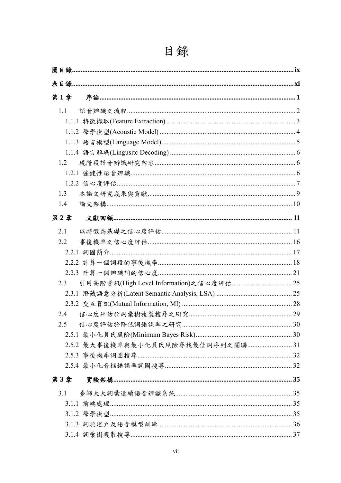| 第1章 |                                   |
|-----|-----------------------------------|
| 1.1 |                                   |
|     |                                   |
|     |                                   |
|     |                                   |
|     |                                   |
| 1.2 |                                   |
|     |                                   |
|     |                                   |
| 1.3 |                                   |
| 1.4 |                                   |
| 第2章 |                                   |
| 2.1 |                                   |
| 2.2 |                                   |
|     |                                   |
|     |                                   |
|     |                                   |
| 2.3 |                                   |
|     |                                   |
|     |                                   |
| 2.4 |                                   |
| 2.5 |                                   |
|     |                                   |
|     | 2.5.2 最大事後機率與最小化貝氏風險尋找最佳詞序列之關聯 31 |
|     |                                   |
|     |                                   |
| 第3章 |                                   |
| 3.1 |                                   |
|     |                                   |
|     |                                   |
|     |                                   |
|     |                                   |

## 目錄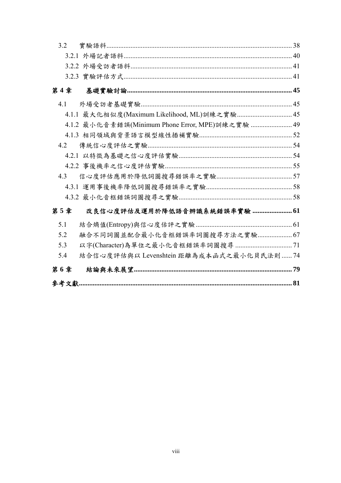| 3.2 |                                                  |  |  |  |  |  |  |  |
|-----|--------------------------------------------------|--|--|--|--|--|--|--|
|     |                                                  |  |  |  |  |  |  |  |
|     |                                                  |  |  |  |  |  |  |  |
|     |                                                  |  |  |  |  |  |  |  |
| 第4章 |                                                  |  |  |  |  |  |  |  |
| 4.1 |                                                  |  |  |  |  |  |  |  |
|     | 4.1.1 最大化相似度(Maximum Likelihood, ML)訓練之實驗 45     |  |  |  |  |  |  |  |
|     | 4.1.2 最小化音素錯誤(Minimum Phone Error, MPE)訓練之實驗  49 |  |  |  |  |  |  |  |
|     |                                                  |  |  |  |  |  |  |  |
| 4.2 |                                                  |  |  |  |  |  |  |  |
|     |                                                  |  |  |  |  |  |  |  |
|     |                                                  |  |  |  |  |  |  |  |
| 4.3 |                                                  |  |  |  |  |  |  |  |
|     |                                                  |  |  |  |  |  |  |  |
|     |                                                  |  |  |  |  |  |  |  |
| 第5章 | 改良信心度評估及運用於降低語音辨識系統錯誤率實驗  61                     |  |  |  |  |  |  |  |
| 5.1 |                                                  |  |  |  |  |  |  |  |
| 5.2 | 融合不同詞圖並配合最小化音框錯誤率詞圖搜尋方法之實驗 67                    |  |  |  |  |  |  |  |
| 5.3 |                                                  |  |  |  |  |  |  |  |
| 5.4 | 結合信心度評估與以 Levenshtein 距離為成本函式之最小化貝氏法則  74        |  |  |  |  |  |  |  |
| 第6章 |                                                  |  |  |  |  |  |  |  |
|     |                                                  |  |  |  |  |  |  |  |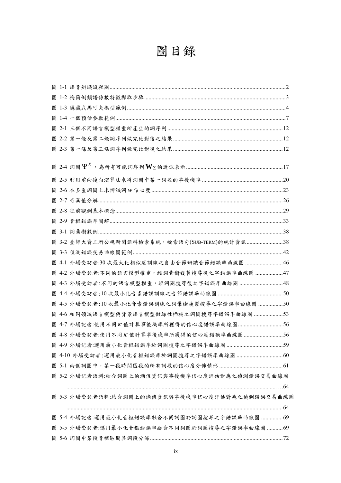## 圖目錄

|  | 圖 3-2 臺師大資工所公視新聞語料檢索系統,檢索語句(SUB-TERM)的統計資訊38   |  |
|--|------------------------------------------------|--|
|  |                                                |  |
|  | 圖 4-1 外場受訪者:30次最大化相似度訓練之自由音節辨識音節錯誤率曲線圖 46      |  |
|  | 圖 4-2 外場受訪者:不同的語言模型權重,經詞彙樹複製搜尋後之字錯誤率曲線圖 47     |  |
|  |                                                |  |
|  |                                                |  |
|  | 圖 4-5 外場受訪者:10次最小化音素錯誤訓練之詞彙樹複製搜尋之字錯誤率曲線圖 50    |  |
|  | 圖 4-6 相同領域語言模型與背景語言模型做線性插補之詞圖搜尋字錯誤率曲線圖 53      |  |
|  | 圖 4-7 外場記者:使用不同K值計算事後機率所獲得的信心度錯誤率曲線圖56         |  |
|  | 圖 4-8 外場受訪者:使用不同K值計算事後機率所獲得的信心度錯誤率曲線圖56        |  |
|  |                                                |  |
|  |                                                |  |
|  |                                                |  |
|  | 圖 5-2 外場記者語料:結合詞圖上的熵值資訊與事後機率信心度評估對應之偵測錯誤交易曲線圖  |  |
|  |                                                |  |
|  | 圖 5-3 外場受訪者語料:結合詞圖上的熵值資訊與事後機率信心度評估對應之偵測錯誤交易曲線圖 |  |
|  |                                                |  |
|  | 圖 5-4 外場記者:運用最小化音框錯誤率融合不同詞圖於詞圖搜尋之字錯誤率曲線圖 69    |  |
|  | 圖 5-5 外場受訪者:運用最小化音框錯誤率融合不同詞圖於詞圖搜尋之字錯誤率曲線圖 69   |  |
|  |                                                |  |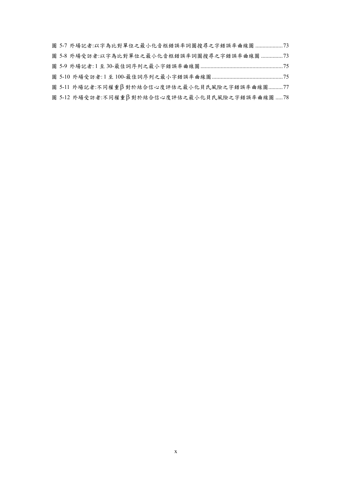|  | 圖 5-7 外場記者:以字為比對單位之最小化音框錯誤率詞圖搜尋之字錯誤率曲線圖  73    |  |  |  |  |  |  |
|--|------------------------------------------------|--|--|--|--|--|--|
|  | 圖 5-8 外場受訪者:以字為比對單位之最小化音框錯誤率詞圖搜尋之字錯誤率曲線圖 73    |  |  |  |  |  |  |
|  |                                                |  |  |  |  |  |  |
|  |                                                |  |  |  |  |  |  |
|  | 圖 5-11 外場記者:不同權重B對於結合信心度評估之最小化貝氏風險之字錯誤率曲線圖77   |  |  |  |  |  |  |
|  | 圖 5-12 外場受訪者:不同權重β對於結合信心度評估之最小化貝氏風險之字錯誤率曲線圖 78 |  |  |  |  |  |  |
|  |                                                |  |  |  |  |  |  |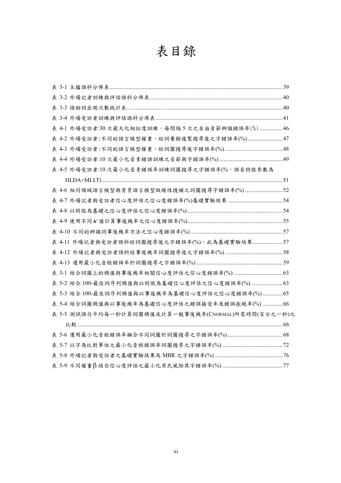## 表目錄

| 表 4-1 外場受訪者:30 次最大化相似度訓練,每間隔5次之自由音節辨識錯誤率(%) 46      |  |
|-----------------------------------------------------|--|
| 表 4-2 外場受訪者:不同的語言模型權重,經詞彙樹複製搜尋後之字錯誤率(%) 47          |  |
|                                                     |  |
|                                                     |  |
| 表 4-5 外場受訪者:10次最小化音素錯誤率訓練詞圖搜尋之字錯誤率(%,語音特徵參數為        |  |
|                                                     |  |
| 表 4-6 相同領域語言模型與背景語言模型做線性搜補之詞圖搜尋字錯誤率(%) 52           |  |
|                                                     |  |
|                                                     |  |
|                                                     |  |
|                                                     |  |
| 表 4-11 外場記者與受訪者語料經詞圖搜尋後之字錯誤率(%),此為基礎實驗結果57          |  |
|                                                     |  |
|                                                     |  |
|                                                     |  |
| 表 5-2 結合 100-最佳詞序列熵值與以特徵為基礎信心度評估之信心度錯誤率(%) 63       |  |
| 表 5-3 結合 100-最佳詞序列熵值與以事後機率為基礎信心度評估之信心度錯誤率(%)65      |  |
| 表 5-4 結合詞圖熵值與以事後機率為基礎信心度評估之錯誤接受率及錯誤拒絕率(%) 66        |  |
| 表 5-5 測試語句平均每一秒計算詞圖熵值或計算一般事後機率(CNORMAL)所需時間(百分之一秒)之 |  |
|                                                     |  |
|                                                     |  |
|                                                     |  |
|                                                     |  |
|                                                     |  |
|                                                     |  |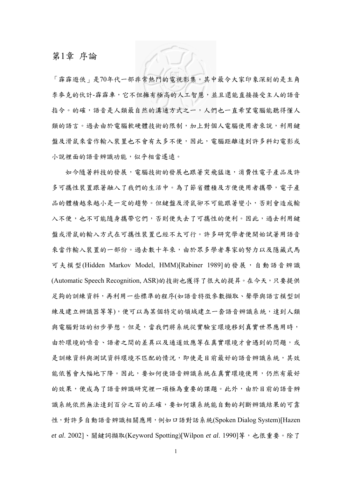#### 第1章 序論

「霹霹遊俠」是70年代一部非常熱門的電視影集。其中最令大家印象深刻的是主角 李麥克的伙計-霹霹車,它不但擁有極高的人工智慧,並且還能直接接受主人的語音 指令。的確,語音是人類最自然的溝通方式之一,人們也一直希望電腦能聽得懂人 類的語言。過去由於電腦軟硬體技術的限制,加上對個人電腦使用者來說,利用鍵 盤及滑鼠來當作輸入裝置也不會有太多不便,因此,電腦距離達到許多科幻電影或 小說裡面的語音辨識功能,似乎相當遙遠。

如今隨著科技的發展,電腦技術的發展也跟著突飛猛進,消費性電子產品及許 多可攜性裝置跟著融入了我們的生活中。為了節省體積及方便使用者攜帶,電子產 品的體積越來越小是一定的趨勢。但鍵盤及滑鼠卻不可能跟著變小,否則會造成輸 入不便,也不可能隨身攜帶它們,否則便失去了可攜性的便利。因此,過去利用鍵 盤或滑鼠的輸入方式在可攜性裝置已經不太可行。許多研究學者便開始試著用語音 來當作輸入裝置的一部份。過去數十年來,由於眾多學者專家的努力以及隱藏式馬 可夫模型(Hidden Markov Model, HMM)[Rabiner 1989]的發展,自動語音辨識 (Automatic Speech Recognition, ASR)的技術也獲得了很大的提昇。在今天,只要提供 足夠的訓練資料,再利用一些標準的程序(如語音特徵參數擷取、聲學與語言模型訓 練及建立辨識器等等),便可以為某個特定的領域建立一套語音辨識系統,達到人類 與電腦對話的初步夢想。但是,當我們將系統從實驗室環境移到真實世界應用時, 由於環境的噪音、語者之間的差異以及通道效應等在真實環境才會遇到的問題,或 是訓練資料與訓試資料環境不匹配的情況,即使是目前最好的語音辨識系統,其效 能依舊會大幅地下降。因此,要如何使語音辨識系統在真實環境使用,仍然有最好 的效果,便成為了語音辨識研究裡一項極為重要的課題。此外,由於目前的語音辨 識系統依然無法達到百分之百的正確,要如何讓系統能自動的判斷辨識結果的可靠 性,對許多自動語音辨識相關應用,例如口語對話系統(Spoken Dialog System)[Hazen *et al*. 2002]、關鍵詞擷取(Keyword Spotting)[Wilpon *et al*. 1990]等,也很重要。除了

1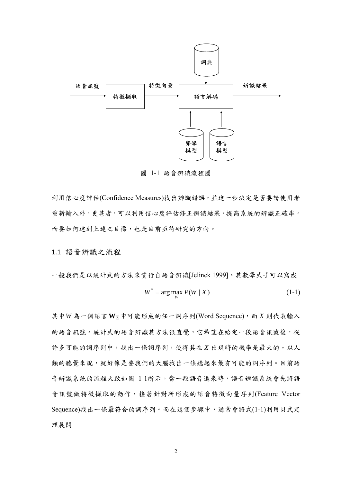

圖 1-1 語音辨識流程圖

利用信心度評估(Confidence Measures)找出辨識錯誤,並進一步決定是否要請使用者 重新輸入外。更甚者,可以利用信心度評估修正辨識結果,提高系統的辨識正確率。 而要如何達到上述之目標,也是目前亟待研究的方向。

1.1 語音辨識之流程

一般我們是以統計式的方法來實行自語音辨識[Jelinek 1999]。其數學式子可以寫成  $W^* = \arg \max_{W} P(W | X)$  (1-1)

其中*W* 為一個語言 $\bar{W}_{\Sigma}$ 中可能形成的任一詞序列(Word Sequence),而 *X* 則代表輸入 的語音訊號。統計式的語音辨識其方法很直覺,它希望在給定一段語音訊號後,從 許多可能的詞序列中,找出一條詞序列,使得其在 *X* 出現時的機率是最大的。以人 類的聽覺來說,就好像是要我們的大腦找出一條聽起來最有可能的詞序列。目前語 音辨識系統的流程大致如圖 1-1所示,當一段語音進來時,語音辨識系統會先將語 音訊號做特徵擷取的動作,接著針對所形成的語音特徵向量序列(Feature Vector Sequence)找出一條最符合的詞序列。而在這個步驟中,通常會將式(1-1)利用貝式定 理展開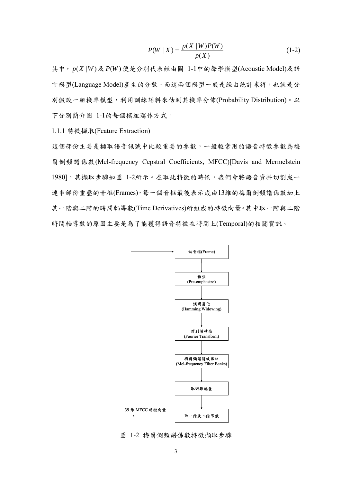$$
P(W \mid X) = \frac{p(X \mid W)P(W)}{p(X)}
$$
(1-2)

其中, *p*(*X* |*W* )及 *P*(*W* )便是分別代表經由圖 1-1中的聲學模型(Acoustic Model)及語 言模型(Language Model)產生的分數。而這兩個模型一般是經由統計求得,也就是分 別假設一組機率模型,利用訓練語料來估測其機率分佈(Probability Distribution)。以 下分別簡介圖 1-1的每個模組運作方式。

1.1.1 特徵擷取(Feature Extraction)

這個部份主要是擷取語音訊號中比較重要的參數,一般較常用的語音特徵參數為梅 爾倒頻譜係數(Mel-frequency Cepstral Coefficients, MFCC)[Davis and Mermelstein 1980],其擷取步驟如圖 1-2所示。在取此特徵的時候,我們會將語音資料切割成一 連串部份重疊的音框(Frames),每一個音框最後表示成由13維的梅爾倒頻譜係數加上 其一階與二階的時間軸導數(Time Derivatives)所組成的特徵向量。其中取一階與二階 時間軸導數的原因主要是為了能獲得語音特徵在時間上(Temporal)的相關資訊。



圖 1-2 梅爾倒頻譜係數特徵擷取步驟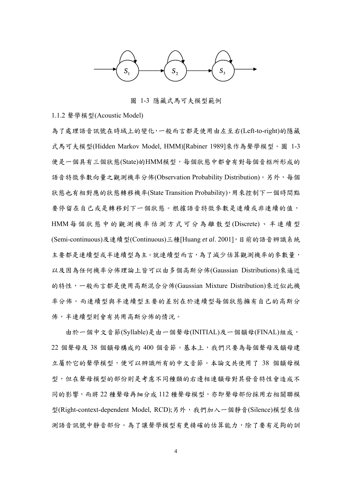

圖 1-3 隱藏式馬可夫模型範例

#### 1.1.2 聲學模型(Acoustic Model)

為了處理語音訊號在時域上的變化,一般而言都是使用由左至右(Left-to-right)的隱藏 式馬可夫模型(Hidden Markov Model, HMM)[Rabiner 1989]來作為聲學模型。圖 1-3 便是一個具有三個狀態(State)的HMM模型,每個狀態中都會有對每個音框所形成的 語音特徵參數向量之觀測機率分佈(Observation Probability Distribution)。另外,每個 狀態也有相對應的狀態轉移機率(State Transition Probability),用來控制下一個時間點 要停留在自己或是轉移到下一個狀態。根據語音特徵參數是連續或非連續的值, HMM 每個狀態中的觀測機率估測方式可分為離散型 (Discrete) 、半連續型 (Semi-continuous)及連續型(Continuous)三種[Huang *et al*. 2001],目前的語音辨識系統 主要都是連續型或半連續型為主。就連續型而言,為了減少估算觀測機率的參數量, 以及因為任何機率分佈理論上皆可以由多個高斯分佈(Gaussian Distributions)來逼近 的特性,一般而言都是使用高斯混合分佈(Gaussian Mixture Distribution)來近似此機 率分佈。而連續型與半連續型主要的差別在於連續型每個狀態擁有自己的高斯分 佈,半連續型則會有共用高斯分佈的情況。

由於一個中文音節(Syllable)是由一個聲母(INITIAL)及一個韻母(FINAL)組成, 22 個聲母及 38 個韻母構成約 400 個音節。基本上,我們只要為每個聲母及韻母建 立屬於它的聲學模型,便可以辨識所有的中文音節。本論文共使用了 38 個韻母模 型,但在聲母模型的部份則是考慮不同種類的右邊相連韻母對其發音特性會造成不 同的影響,而將 22 種聲母再細分成 112 種聲母模型,亦即聲母部份採用右相關聯模 型(Right-context-dependent Model, RCD);另外,我們加入一個靜音(Silence)模型來估 測語音訊號中靜音部份。為了讓聲學模型有更精確的估算能力,除了要有足夠的訓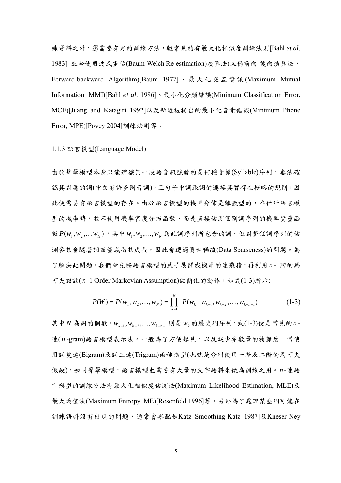練資料之外,還需要有好的訓練方法,較常見的有最大化相似度訓練法則[Bahl *et al*. 1983] 配合使用波氏重估(Baum-Welch Re-estimation)演算法(又稱前向-後向演算法, Forward-backward Algorithm)[Baum 1972]、最大化交互資訊 (Maximum Mutual Information, MMI)[Bahl *et al*. 1986]、最小化分類錯誤(Minimum Classification Error, MCE)[Juang and Katagiri 1992]以及新近被提出的最小化音素錯誤(Minimum Phone Error, MPE)[Povey 2004]訓練法則等。

#### 1.1.3 語言模型(Language Model)

由於聲學模型本身只能辨識某一段語音訊號發的是何種音節(Syllable)序列,無法確 認其對應的詞(中文有許多同音詞),且句子中詞跟詞的連接其實存在概略的規則,因 此便需要有語言模型的存在。由於語言模型的機率分佈是離散型的,在估計語言模 型的機率時,並不使用機率密度分佈函數,而是直接估測個別詞序列的機率資量函  $\mathbf{M}$   $P(w_1, w_2, \ldots, w_N)$ , 其中 $w_1, w_2, \ldots, w_N$ 為此詞序列所包含的詞。但對整個詞序列的估 測參數會隨著詞數量成指數成長,因此會遭遇資料稀疏(Data Sparseness)的問題。為 了解決此問題,我們會先將語言模型的式子展開成機率的連乘積,再利用*n* -1階的馬 可夫假設( *n* -1 Order Markovian Assumption)做簡化的動作,如式(1-3)所示:

$$
P(W) = P(w_1, w_2, \dots, w_N) = \prod_{k=1}^{N} P(w_k | w_{k-1}, w_{k-2}, \dots, w_{k-n+1})
$$
 (1-3)

其中 *N* 為詞的個數, w<sub>k-1</sub>, w<sub>k-2</sub>,..., w<sub>k-n+1</sub> 則是 w<sub>k</sub> 的歷史詞序列, 式(1-3)便是常見的n -連(n-gram)語言模型表示法。一般為了方便起見,以及減少參數量的複雜度,常使 用詞雙連(Bigram)及詞三連(Trigram)兩種模型(也就是分別使用一階及二階的馬可夫 假設)。如同聲學模型,語言模型也需要有大量的文字語料來做為訓練之用。*n* -連語 言模型的訓練方法有最大化相似度估測法(Maximum Likelihood Estimation, MLE)及 最大熵值法(Maximum Entropy, ME)[Rosenfeld 1996]等,另外為了處理某些詞可能在 訓練語料沒有出現的問題,通常會搭配如Katz Smoothing[Katz 1987]及Kneser-Ney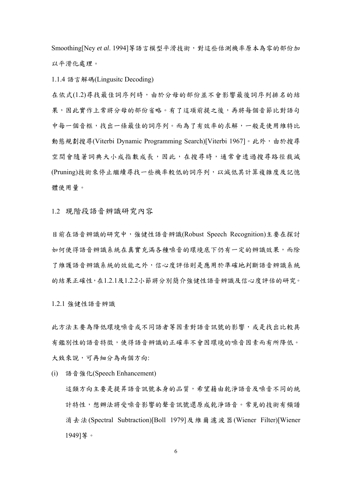Smoothing[Ney et al. 1994] 等語言模型平滑技術,對這些估測機率原本為零的部份加 以平滑化處理。

1.1.4 語言解碼(Lingusitc Decoding)

在依式(1.2)尋找最佳詞序列時,由於分母的部份並不會影響最後詞序列排名的結 果,因此實作上常將分母的部份省略。有了這項前提之後,再將每個音節比對語句 中每一個音框,找出一條最佳的詞序列。而為了有效率的求解,一般是使用維特比 動態規劃搜尋(Viterbi Dynamic Programming Search)[Viterbi 1967]。此外,由於搜尋 空間會隨著詞典大小成指數成長,因此,在搜尋時,通常會透過搜尋路徑裁減 (Pruning)技術來停止繼續尋找一些機率較低的詞序列,以減低其計算複雜度及記憶 體使用量。

1.2 現階段語音辨識研究內容

目前在語音辨識的研究中,強健性語音辨識(Robust Speech Recognition)主要在探討 如何使得語音辨識系統在真實充滿各種噪音的環境底下仍有一定的辨識效果,而除 了維護語音辨識系統的效能之外,信心度評估則是應用於準確地判斷語音辨識系統 的結果正確性,在1.2.1及1.2.2小節將分別簡介強健性語音辨識及信心度評估的研究。

1.2.1 強健性語音辨識

此方法主要為降低環境噪音或不同語者等因素對語音訊號的影響,或是找出比較具 有鑑別性的語音特徵,使得語音辨識的正確率不會因環境的噪音因素而有所降低。 大致來說,可再細分為兩個方向:

(i) 語音強化(Speech Enhancement)

這類方向主要是提昇語音訊號本身的品質,希望藉由乾淨語音及噪音不同的統 計特性,想辦法將受噪音影響的聲音訊號還原成乾淨語音。常見的技術有頻譜 消去法(Spectral Subtraction)[Boll 1979]及維爾濾波器(Wiener Filter)[Wiener 1949]等。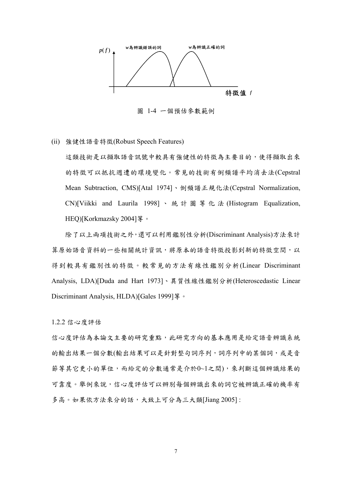

圖 1-4 一個預估參數範例

(ii) 強健性語音特徵(Robust Speech Features)

這類技術是以擷取語音訊號中較具有強健性的特徵為主要目的,使得擷取出來 的特徵可以抵抗週遭的環境變化。常見的技術有倒頻譜平均消去法(Cepstral Mean Subtraction, CMS)[Atal 1974]、倒頻譜正規化法(Cepstral Normalization, CN)[Viikki and Laurila 1998] 、統計圖等化法 (Histogram Equalization, HEQ)[Korkmazsky 2004]等。

除了以上兩項技術之外,還可以利用鑑別性分析(Discriminant Analysis)方法來計 算原始語音資料的一些相關統計資訊,將原本的語音特徵投影到新的特徵空間,以 得到較具有鑑別性的特徵。較常見的方法有線性鑑別分析(Linear Discriminant Analysis, LDA)[Duda and Hart 1973]、異質性線性鑑別分析(Heteroscedastic Linear Discriminant Analysis, HLDA)[Gales 1999] 等。

1.2.2 信心度評估

信心度評估為本論文主要的研究重點,此研究方向的基本應用是給定語音辨識系統 的輸出結果一個分數(輸出結果可以是針對整句詞序列,詞序列中的某個詞,或是音 節等其它更小的單位,而給定的分數通常是介於0~1之間),來判斷這個辨識結果的 可靠度。舉例來說,信心度評估可以辨別每個辨識出來的詞它被辨識正確的機率有 多高。如果依方法來分的話,大致上可分為三大類[Jiang 2005]: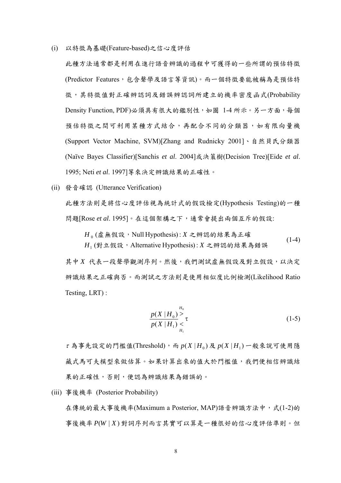(i) 以特徵為基礎(Feature-based)之信心度評估

此種方法通常都是利用在進行語音辨識的過程中可獲得的一些所謂的預估特徵 (Predictor Features,包含聲學及語言等資訊)。而一個特徵要能被稱為是預估特 徵,其特徵值對正確辨認詞及錯誤辨認詞所建立的機率密度函式(Probability Density Function, PDF)必須具有很大的鑑別性,如圖 1-4 所示。另一方面,每個 預估特徵之間可利用某種方式結合,再配合不同的分類器,如有限向量機 (Support Vector Machine, SVM)[Zhang and Rudnicky 2001]、自然貝氏分類器 (Naïve Bayes Classifier)[Sanchis *et al*. 2004]或決策樹(Decision Tree)[Eide *et al*. 1995; Neti *et al*. 1997]等來決定辨識結果的正確性。

(ii) 發音確認 (Utterance Verification)

此種方法則是將信心度評估視為統計式的假設檢定(Hypothesis Testing)的一種 問題[Rose *et al*. 1995]。在這個架構之下,通常會提出兩個互斥的假設:

$$
H_0 (虛無ັtextrm{ 邢: Null Hypothesis): X 2 紭 {\mathbb{S}} 8 644\% \text{ 14} - 4
$$
\n
$$
H_1 (對立ັfrak: A Iterative Hypothesis): X 2 筯h 83445\% \text{ 15} + 4
$$
\n
$$
(1-4)
$$

其中 X 代表一段聲學觀測序列。然後,我們測試虛無假設及對立假設,以決定 辨識結果之正確與否。而測試之方法則是使用相似度比例檢測(Likelihood Ratio Testing, LRT) :

$$
\frac{p(X|H_0)}{p(X|H_1)} \underset{H_1}{\geq} \tau \tag{1-5}
$$

 $\tau$ 為事先設定的門檻值(Threshold),而  $p(X|H_0)$ 及  $p(X|H_1)$ 一般來說可使用隱 藏式馬可夫模型來做估算。如果計算出來的值大於門檻值,我們便相信辨識結 果的正確性,否則,便認為辨識結果為錯誤的。

(iii) 事後機率 (Posterior Probability)

在傳統的最大事後機率(Maximum a Posterior, MAP)語音辨識方法中,式(1-2)的 事後機率 *P*(*W* | *X* ) 對詞序列而言其實可以算是一種很好的信心度評估準則。但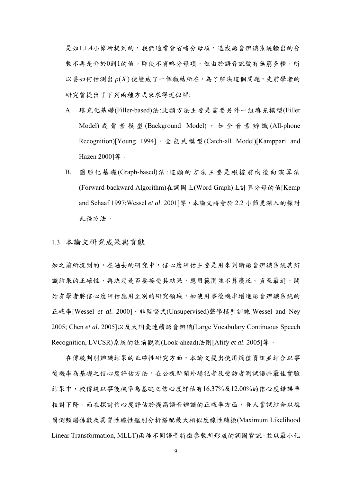是如1.1.4小節所提到的,我們通常會省略分母項,造成語音辨識系統輸出的分 數不再是介於0到1的值。即使不省略分母項,但由於語音訊號有無窮多種,所 以要如何估測出 *p*(*X* ) 便變成了一個癥結所在。為了解決這個問題,先前學者的 研究曾提出了下列兩種方式來求得近似解:

- A. 填充化基礎(Filler-based)法:此類方法主要是需要另外一組填充模型(Filler Model) 或 背 景 模 型 (Background Model), 如 全 音 素 辨 識 (All-phone Recognition)[Young 1994]、全包式模型(Catch-all Model)[Kamppari and Hazen 2000]等。
- B. 圖形化基礎(Graph-based)法:這類的方法主要是根據前向後向演算法 (Forward-backward Algorithm)在詞圖上(Word Graph)上計算分母的值[Kemp and Schaaf 1997;Wessel *et al*. 2001]等,本論文將會於 2.2 小節更深入的探討 此種方法。

1.3 本論文研究成果與貢獻

如之前所提到的,在過去的研究中,信心度評估主要是用來判斷語音辨識系統其辨 識結果的正確性,再決定是否要接受其結果,應用範圍並不算廣泛。直至最近,開 始有學者將信心度評估應用至別的研究領域,如使用事後機率增進語音辨識系統的 正確率[Wessel *et al*. 2000]、非監督式(Unsupervised)聲學模型訓練[Wessel and Ney 2005; Chen *et al*. 2005]以及大詞彙連續語音辨識(Large Vocabulary Continuous Speech Recognition, LVCSR)系統的往前觀測(Look-ahead)法則[Afify *et al*. 2005]等。

在傳統判別辨識結果的正確性研究方面,本論文提出使用熵值資訊並結合以事 後機率為基礎之信心度評估方法,在公視新聞外場記者及受訪者測試語料最佳實驗 結果中,較傳統以事後機率為基礎之信心度評估有16.37%及12.00%的信心度錯誤率 相對下降。而在探討信心度評估於提高語音辨識的正確率方面,吾人嘗試結合以梅 爾倒頻譜係數及異質性線性鑑別分析搭配最大相似度線性轉換(Maximum Likelihood Linear Transformation, MLLT)兩種不同語音特徵參數所形成的詞圖資訊,並以最小化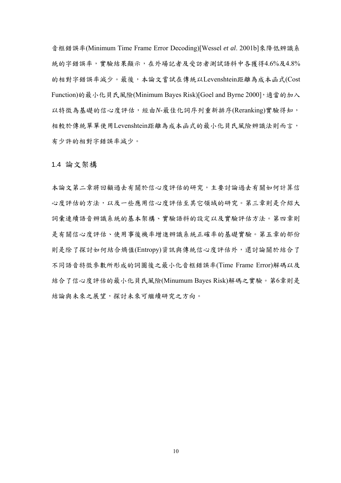音框錯誤率(Minimum Time Frame Error Decoding)[Wessel *et al*. 2001b]來降低辨識系 統的字錯誤率,實驗結果顯示,在外場記者及受訪者測試語料中各獲得4.6%及4.8% 的相對字錯誤率減少。最後,本論文嘗試在傳統以Levenshtein距離為成本函式(Cost Function)的最小化貝氏風險(Minimum Bayes Risk)[Goel and Byrne 2000], 適當的加入 以特徵為基礎的信心度評估,經由*N*-最佳化詞序列重新排序(Reranking)實驗得知, 相較於傳統單單使用Levenshtein距離為成本函式的最小化貝氏風險辨識法則而言, 有少許的相對字錯誤率減少。

1.4 論文架構

本論文第二章將回顧過去有關於信心度評估的研究,主要討論過去有關如何計算信 心度評估的方法,以及一些應用信心度評估至其它領域的研究。第三章則是介紹大 詞彙連續語音辨識系統的基本架構、實驗語料的設定以及實驗評估方法。第四章則 是有關信心度評估、使用事後機率增進辨識系統正確率的基礎實驗。第五章的部份 則是除了探討如何結合熵值(Entropy)資訊與傳統信心度評估外,還討論關於結合了 不同語音特徵參數所形成的詞圖後之最小化音框錯誤率(Time Frame Error)解碼以及 結合了信心度評估的最小化貝氏風險(Minumum Bayes Risk)解碼之實驗。第6章則是 結論與未來之展望,探討未來可繼續研究之方向。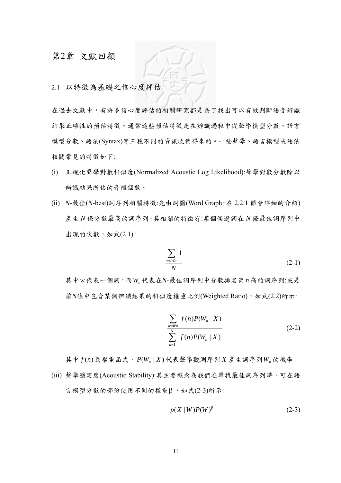### 第2章 文獻回顧

2.1 以特徵為基礎之信心度評估

在過去文獻中,有許多信心度評估的相關研究都是為了找出可以有效判斷語音辨識 結果正確性的預估特徵。通常這些預估特徵是在辨識過程中從聲學模型分數、語言 模型分數、語法(Syntax)等三種不同的資訊收集得來的。一些聲學、語言模型或語法 相關常見的特徵如下:

- (i) 正規化聲學對數相似度(Normalized Acoustic Log Likelihood):聲學對數分數除以 辨識結果所佔的音框個數。
- (ii) *N*-最佳(*N*-best)詞序列相關特徵:先由詞圖(Word Graph,在 2.2.1 節會詳細的介紹) 產生 *N* 條分數最高的詞序列。其相關的特徵有:某個候選詞在 *N* 條最佳詞序列中 出現的次數,如式(2.1):

$$
\frac{\sum_{w \in W_n} 1}{N} \tag{2-1}
$$

其中w代表一個詞,而W.代表在N-最佳詞序列中分數排名第n高的詞序列;或是 前*N*條中包含某個辨識結果的相似度權重比例(Weighted Ratio),如式(2.2)所示:

$$
\frac{\sum_{w \in W_n} f(n)P(W_n \mid X)}{\sum_{n=1}^{N} f(n)P(W_n \mid X)}
$$
\n(2-2)

其中 $f(n)$ 為權重函式,  $P(W_n | X)$ 代表聲學觀測序列X產生詞序列 $W_n$ 的機率。 (iii) 聲學穩定度(Acoustic Stability):其主要概念為我們在尋找最佳詞序列時,可在語 言模型分數的部份使用不同的權重β ,如式(2-3)所示:

$$
p(X \mid W)P(W)^{\beta} \tag{2-3}
$$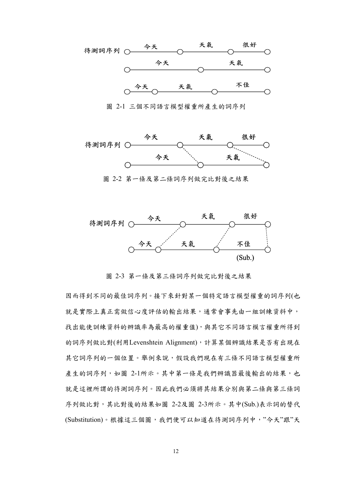

圖 2-1 三個不同語言模型權重所產生的詞序列





圖 2-3 第一條及第三條詞序列做完比對後之結果

因而得到不同的最佳詞序列。接下來針對某一個特定語言模型權重的詞序列(也 就是實際上真正需做信心度評估的輸出結果,通常會事先由一組訓練資料中, 找出能使訓練資料的辨識率為最高的權重值),與其它不同語言模言權重所得到 的詞序列做比對(利用Levenshtein Alignment),計算某個辨識結果是否有出現在 其它詞序列的一個位置。舉例來說,假設我們現在有三條不同語言模型權重所 產生的詞序列,如圖 2-1所示。其中第一條是我們辨識器最後輸出的結果,也 就是這裡所謂的待測詞序列。因此我們必須將其結果分別與第二條與第三條詞 序列做比對,其比對後的結果如圖 2-2及圖 2-3所示。其中(Sub.)表示詞的替代 (Substitution)。根據這三個圖,我們便可以知道在待測詞序列中,"今天"跟"天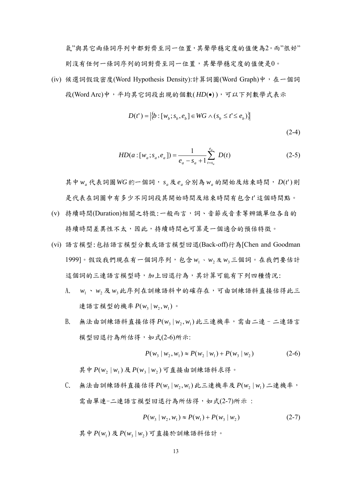氣"與其它兩條詞序列中都對齊至同一位置,其聲學穩定度的值便為2。而"很好" 則沒有任何一條詞序列的詞對齊至同一位置,其聲學穩定度的值便是0。

(iv) 候選詞假設密度(Word Hypothesis Density):計算詞圖(Word Graph)中,在一個詞 段(Word Arc)中,平均其它詞段出現的個數( *HD*(•) ),可以下列數學式表示

$$
D(t') = |\{b : [w_b; s_b, e_b] \in WG \land (s_b \le t' \le e_b)\}\rangle
$$
\n(2-4)

$$
HD(a:[w_a; s_a, e_a]) = \frac{1}{e_a - s_a + 1} \sum_{t=s_a}^{e_a} D(t)
$$
 (2-5)

其中 *wa* 代表詞圖*WG* 的一個詞, *<sup>a</sup> s* 及 *<sup>a</sup> e* 分別為 *wa* 的開始及結束時間, *D*(*t*')則 是代表在詞圖中有多少不同詞段其開始時間及結束時間有包含*t*' 這個時間點。

- (v) 持續時間(Duration)相關之特徵:一般而言,詞、音節或音素等辨識單位各自的 持續時間差異性不太,因此,持續時間也可算是一個適合的預估特徵。
- (vi) 語言模型:包括語言模型分數或語言模型回退(Back-off)行為[Chen and Goodman 1999]。假設我們現在有一個詞序列,包含 w<sub>1</sub>、 w<sub>2</sub> 及 w<sub>3</sub>三個詞。在我們要估計 這個詞的三連語言模型時,加上回退行為,其計算可能有下列四種情況:
	- A. w1 、w2及 w<sub>3</sub> 此序列在訓練語料中的確存在,可由訓練語料直接估得此三 連語言模型的機率 $P(w_3 | w_2, w_1)$ 。
	- $B.$  無法由訓練語料直接估得  $P(w_3 | w_2, w_1)$ 此三連機率,需由二連–二連語言 模型回退行為所估得,如式(2-6)所示:

$$
P(w_3 | w_2, w_1) \approx P(w_2 | w_1) + P(w_3 | w_2)
$$
 (2-6)

其中  $P(w_2 | w_1)$ 及 $P(w_3 | w_2)$ 可直接由訓練語料求得。

 $C.$  無法由訓練語料直接估得  $P(w_3 | w_2, w_1)$  此三連機率及  $P(w_2 | w_1)$  二連機率, 需由單連-二連語言模型回退行為所估得,如式(2-7)所示:

$$
P(w_3 | w_2, w_1) \approx P(w_1) + P(w_3 | w_2)
$$
 (2-7)

其中  $P(w_1)$  及  $P(w_3 | w_2)$  可直接於訓練語料估計。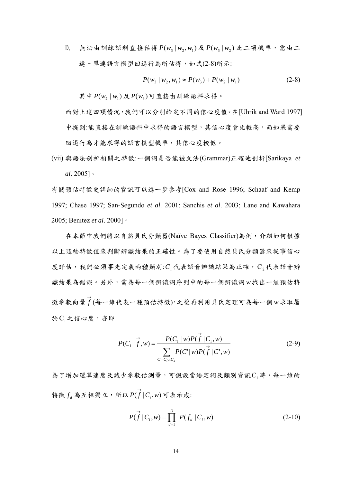$D.$  無法由訓練語料直接估得  $P(w_3 | w_2, w_1)$ 及 $P(w_3 | w_2)$ 此二項機率,需由二 連-單連語言模型回退行為所估得,如式(2-8)所示:

$$
P(w_3 | w_2, w_1) \approx P(w_3) + P(w_2 | w_1)
$$
 (2-8)

其中  $P(w, | w_1)$ 及 $P(w_3)$ 可直接由訓練語料求得。

而對上述四項情況,我們可以分別給定不同的信心度值。在[Uhrik and Ward 1997] 中提到:能直接在訓練語料中求得的語言模型,其信心度會比較高,而如果需要 回退行為才能求得的語言模型機率,其信心度較低。

(vii) 與語法剖析相關之特徵:一個詞是否能被文法(Grammar)正確地剖析[Sarikaya *et al*. 2005]。

有關預估特徵更詳細的資訊可以進一步參考[Cox and Rose 1996; Schaaf and Kemp 1997; Chase 1997; San-Segundo *et al*. 2001; Sanchis *et al*. 2003; Lane and Kawahara 2005; Benitez *et al*. 2000]。

在本節中我們將以自然貝氏分類器(Naïve Bayes Classifier)為例,介紹如何根據 以上這些特徵值來判斷辨識結果的正確性。為了要使用自然貝氏分類器來從事信心 度評估,我們必須事先定義兩種類別:C,代表語音辨識結果為正確,C,代表語音辨 識結果為錯誤。另外,需為每一個辨識詞序列中的每一個辨識詞 *w* 找出一組預估特 徵參數向量 <sup>→</sup> *f* (每一維代表一種預估特徵),之後再利用貝氏定理可為每一個*w* 求取屬 於C<sub>1</sub>之信心度,亦即

$$
P(C_1 | \vec{f}, w) = \frac{P(C_1 | w) P(\vec{f} | C_1, w)}{\sum_{C' = C_1 \text{or } C_2} P(C' | w) P(\vec{f} | C', w)}
$$
(2-9)

為了增加運算速度及減少參數估測量,可假設當給定詞及類別資訊C;時,每一維的 特徵  $f_d$ 為互相獨立,所以  $P(\overrightarrow{f}|C_i,w)$  可表示成:

$$
P(\vec{f} | C_i, w) = \prod_{d=1}^{D} P(f_d | C_i, w)
$$
 (2-10)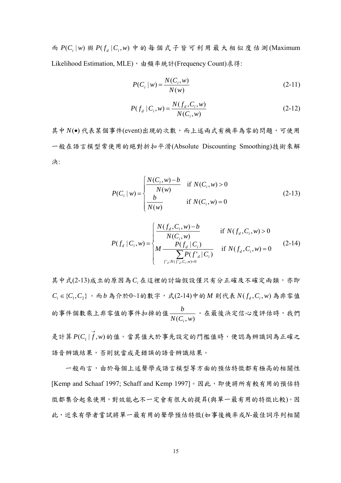而  $P(C_i|w)$ 與 $P(f_d|C_i,w)$ 中的每個式子皆可利用最大相似度估測(Maximum Likelihood Estimation, MLE), 由頻率統計(Frequency Count)求得:

$$
P(C_i | w) = \frac{N(C_i, w)}{N(w)}
$$
 (2-11)

$$
P(f_d | C_i, w) = \frac{N(f_d, C_i, w)}{N(C_i, w)}
$$
(2-12)

其中 N(·) 代表某個事件(event)出現的次數,而上述兩式有機率為零的問題,可使用 一般在語言模型常使用的絕對折扣平滑(Absolute Discounting Smoothing)技術來解 決:

$$
P(C_i | w) = \begin{cases} \frac{N(C_i, w) - b}{N(w)} & \text{if } N(C_i, w) > 0\\ \frac{b}{N(w)} & \text{if } N(C_i, w) = 0 \end{cases}
$$
 (2-13)

$$
P(f_d | C_i, w) = \begin{cases} \frac{N(f_d, C_i, w) - b}{N(C_i, w)} & \text{if } N(f_d, C_i, w) > 0\\ M \frac{P(f_d | C_i)}{\sum_{f'_d: N(f'_d, C_i, w) = 0} P(f'_d | C_i)} & \text{if } N(f_d, C_i, w) = 0 \end{cases}
$$
(2-14)

其中式(2-13)成立的原因為C. 在這裡的討論假設僅只有分正確及不確定兩類, 亦即  ${ C_i}$  ∈ { $C_1$ , $C_2$ }。而b為介於0~1的數字,式(2-14)中的M則代表  $N(f_d, C_i, w)$ 為非零值 的事件個數乘上非零值的事件扣掉的值 $\frac{b}{N(C_i, w)}$ *i* 。在最後決定信心度評估時,我們

是計算  $P(C_1 | f, w)$ 的值。當其值大於事先設定的門檻值時,便認為辨識詞為正確之 語音辨識結果,否則就當成是錯誤的語音辨識結果。

一般而言,由於每個上述聲學或語言模型等方面的預估特徵都有極高的相關性 [Kemp and Schaaf 1997; Schaff and Kemp 1997]。因此,即使將所有較有用的預估特 徵都集合起來使用,對效能也不一定會有很大的提昇(與單一最有用的特徵比較)。因 此,近來有學者嘗試將單一最有用的聲學預估特徵(如事後機率或*N*-最佳詞序列相關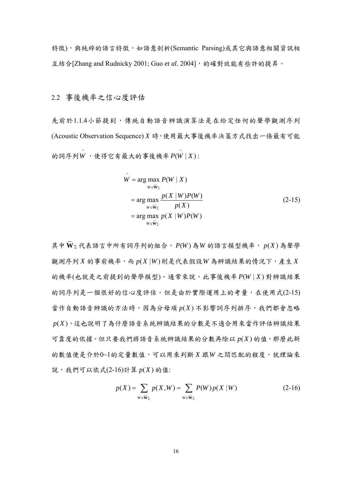特徵),與純綷的語言特徵,如語意剖析(Semantic Parsing)或其它與語意相關資訊相 互結合[Zhang and Rudnicky 2001; Guo et al. 2004], 的確對效能有些許的提昇。

2.2 事後機率之信心度評估

先前於1.1.4小節提到,傳統自動語音辨識演算法是在給定任何的聲學觀測序列 (Acoustic Observation Sequence) *X* 時,使用最大事後機率決策方式找出一條最有可能 的詞序列 $\stackrel{\wedge}{W}$ ,使得它有最大的事後機率  $P(\stackrel{\wedge}{W} | X)$ :

$$
\hat{W} = \arg \max_{W \in \overline{W}_{\Sigma}} P(W | X)
$$
\n
$$
= \arg \max_{W \in \overline{W}_{\Sigma}} \frac{p(X | W)P(W)}{p(X)}
$$
\n
$$
= \arg \max_{W \in \overline{W}_{\Sigma}} p(X | W)P(W)
$$
\n(2-15)

其中 W∑代表語言中所有詞序列的組合, P(W)為 W 的語言模型機率, p(X)為聲學 **\_\_** 觀測序列 $X$ 的事前機率,而 $p(X|W)$ 則是代表假設 $W$ 為辨識結果的情況下,產生 $X$ 的機率(也就是之前提到的聲學模型)。通常來說,此事後機率 *P*(*W* | *X* ) 對辨識結果 的詞序列是一個很好的信心度評估。但是由於實際運用上的考量,在使用式(2-15) 當作自動語音辨識的方法時,因為分母項 *p*(*X* ) 不影響詞序列排序,我們都會忽略 *p*(*X* )。這也說明了為什麼語音系統辨識結果的分數是不適合用來當作評估辨識結果 可靠度的依據。但只要我們將語音系統辨識結果的分數再除以 *p*(*X* ) 的值,那麼此新 的數值便是介於0~1的定量數值,可以用來判斷 *X* 跟*W* 之間匹配的程度。就理論來 說,我們可以依式(2-16)計算 *p*(*X* ) 的值:

$$
p(X) = \sum_{W \in \overline{\mathbf{W}}_{\Sigma}} p(X, W) = \sum_{W \in \overline{\mathbf{W}}_{\Sigma}} P(W) p(X | W)
$$
 (2-16)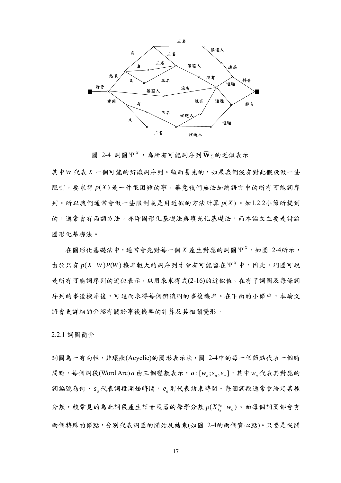

圖 2-4 詞圖 Ψ<sup>x</sup>,為所有可能詞序列 $\overline{W}$ <sub>Σ</sub>的近似表示

 $\mathcal{L}=\mathcal{L}$ 

其中*W* 代表 *X* 一個可能的辨識詞序列。顯而易見的,如果我們沒有對此假設做一些 限制,要求得  $p(X)$ 是一件很困難的事,畢竟我們無法加總語言中的所有可能詞序 列。所以我們通常會做一些限制或是用近似的方法計算 *p*(*X* ) 。如1.2.2小節所提到 的,通常會有兩類方法,亦即圖形化基礎法與填充化基礎法,而本論文主要是討論 圖形化基礎法。

 $\pm$ 圖形化基礎法中,通常會先對每一個 *X* 產生對應的詞圖 Ψ<sup>x</sup>, 如圖 2-4所示, 由於只有 *p*(*X* |*W* )*P*(*W* ) 機率較大的詞序列才會有可能留在 *<sup>X</sup>* Ψ 中。因此,詞圖可說 是所有可能詞序列的近似表示,以用來求得式(2-16)的近似值。在有了詞圖及每條詞 序列的事後機率後,可進而求得每個辨識詞的事後機率。在下面的小節中,本論文 將會更詳細的介紹有關於事後機率的計算及其相關變形。

2.2.1 詞圖簡介

詞圖為一有向性,非環狀(Acyclic)的圖形表示法,圖 2-4中的每一個節點代表一個時 問點,每個詞段(Word Arc)  $a$  由三個變數表示,  $a: [w_a; s_a, e_a]$ , 其中 $w_a$ 代表其對應的 詞編號為何, *<sup>a</sup> s* 代表詞段開始時間, *<sup>a</sup> e* 則代表結束時間。每個詞段通常會給定某種 分數,較常見的為此詞段產生語音段落的聲學分數 $p(X_{s_a}^{e_a} | w_a)$ 。而每個詞圖都會有 兩個特殊的節點,分別代表詞圖的開始及結束(如圖 2-4的兩個實心點)。只要是從開

17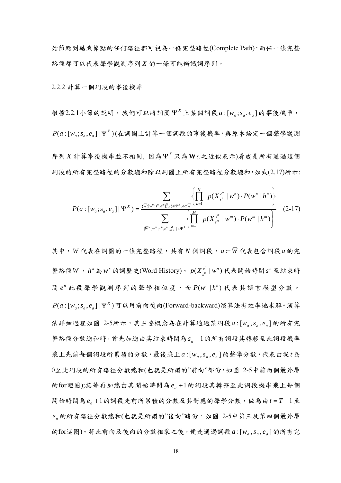始節點到結束節點的任何路徑都可視為一條完整路徑(Complete Path),而任一條完整 路徑都可以代表聲學觀測序列 *X* 的一條可能辨識詞序列。

2.2.2 計算一個詞段的事後機率

根據2.2.1小節的說明,我們可以將詞圖  $Y^X$ 上某個詞段  $a: [w_a; s_a, e_a]$ 的事後機率,  $P(a$ : $[w_a; s_a, e_a] | \Psi^X)$ (在詞圖上計算一個詞段的事後機率,與原本給定一個聲學觀測 序列 *X* 計算事後機率並不相同, 因為 *<sup>X</sup>* Ψ 只為 <sup>∑</sup> **\_\_ W** 之近似表示)看成是所有通過這個 詞段的所有完整路徑的分數總和除以詞圖上所有完整路徑分數總和,如式(2.17)所示:

$$
P(a:[w_a;s_a,e_a] | \Psi^X) = \frac{\sum_{\{\overline{W}:\{w^n:s^n,e^n\}_{m=1}^N\}\in \Psi^X,a\subset \overline{W}} \left\{ \prod_{n=1}^N p(X_{s^n}^{e^n} | w^n) \cdot P(w^n | h^n) \right\}}{\sum_{\{\overline{W}:\{w^m:s^m,e^m\}_{m=1}^M\}\in \Psi^X} \left\{ \prod_{m=1}^M p(X_{s^m}^{e^m} | w^m) \cdot P(w^m | h^m) \right\}}
$$
(2-17)

其中,  $\overline{W}$ 代表在詞圖的一條完整路徑, 共有 *N* 個詞段,  $a$ ⊂ $\overline{W}$ 代表包含詞段 $a$  的完 整路徑 $\overline{W}$ ,  $h^x$ 為  $w^x$  的詞歷史(Word History)。  $p(X_{s^n}^{e^n} \mid w^n)$ 代表開始時間  $s^n$  至結束時 間 *<sup>n</sup> e* 此段聲學觀測序列的聲學相似度,而 ( | ) *<sup>n</sup> <sup>n</sup> P w h* 代表其語言模型分數。  $P(a$ :[w<sub>a</sub>;s<sub>a</sub>,e<sub>a</sub>]|Ψ<sup>x</sup>)可以用前向後向(Forward-backward)演算法有效率地求解。演算 法詳細過程如圖 2-5所示,其主要概念為在計算通過某詞段 a:[w,,s,,e,]的所有完 整路徑分數總和時,首先加總由其結束時間為s a-1的所有詞段其轉移至此詞段機率 乘上先前每個詞段所累積的分數,最後乘上 :[ , , ] *<sup>a</sup> <sup>a</sup> <sup>a</sup> a w s e* 的聲學分數,代表由從*t* 為 0至此詞段的所有路徑分數總和(也就是所謂的"前向"部份,如圖 2-5中前兩個最外層 的for迴圈);接著再加總由其開始時間為 *ea* +1的詞段其轉移至此詞段機率乘上每個 開始時間為e<sub>a</sub> +1的詞段先前所累積的分數及其對應的聲學分數,做為由t = T-1至 *<sup>a</sup> e* 的所有路徑分數總和(也就是所謂的"後向"路份,如圖 2-5中第三及第四個最外層 的for迴圈)。將此前向及後向的分數相乘之後,便是通過詞段a:[w,s,e,e]的所有完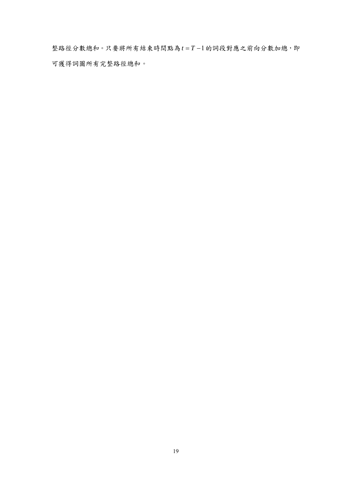整路徑分數總和。只要將所有結束時間點為*t* = *T* −1的詞段對應之前向分數加總,即 可獲得詞圖所有完整路徑總和。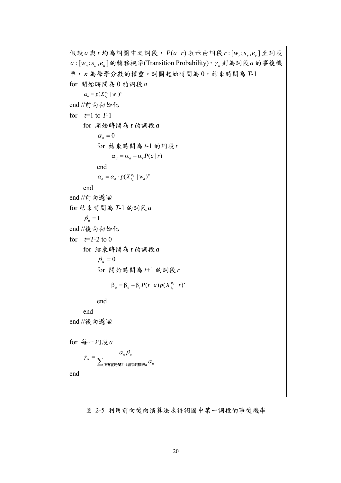```
R 設a 與r 均為詞圖中之詞段, P(a|r) 表示由詞段r : [w_r; s_r, e_r] 至詞段
a: [w_a; s_a, e_a]的轉移機率(Transition Probability), \gamma_a則為詞段a的事後機
率,κ 為聲學分數的權重。詞圖起始時間為 0,結束時間為 T-1 
for 開始時間為 0 的詞段a
         \alpha_a = p(X_{s_a}^{e_a} | w_a)^kend //前向初始化
for t=1 to T-1 for 開始時間為 t 的詞段a
                 \alpha_a = 0 for 結束時間為 t-1 的詞段r
                         \alpha_a = \alpha_a + \alpha_r P(a \mid r) end 
\alpha_a = \alpha_a \cdot p(X_{s_a}^{e_a} \mid w_a)^k end 
end //前向遞迴
for 結束時間為 T-1 的詞段a
        \beta_a = 1end //後向初始化
for t=T-2 to 0
         for 結束時間為 t 的詞段a
                 \beta_a = 0 for 開始時間為 t+1 的詞段r
\beta_a = \beta_a + \beta_r P(r | a) p(X_{s_y}^{e_y} | r)^k end 
         end 
end //後向遞迴
for 每一詞段a
              =\frac{\alpha_a}{\sum_{\text{rm#E}}情"–
                                 T −1結束的詞段α ^{\alpha} a
            a = \frac{\alpha_a \rho_a}{\displaystyle\sum_{\text{mif\textbf{m}}} \frac{\alpha_a \rho_a}{\displaystyle\sum_{\text{mif\textbf{m}}} \frac{\alpha_a}{\displaystyle\sum_{\text{mif\textbf{m}}} \frac{\alpha_a}{\displaystyle\sum_{\text{mif\textbf{m}}} \frac{\alpha_a}{\displaystyle\sum_{\text{mif\textbf{m}}} \frac{\alpha_a}{\displaystyle\sum_{\text{mif\textbf{m}}} \frac{\alpha_a}{\displaystyle\sum_{\text{mif\textbf{m}}} \frac{\alpha_a}{\displaystyle\sum_{\text{mif\textbf{m}}} \frac{\alpha_a}{\displaystyle\sum_{\text{mif\textbf{m}}} \frac{\alpha\gamma_a = \frac{\alpha_a \beta_a}{\sum_{a} \alpha_a \beta_a}end
```
圖 2-5 利用前向後向演算法求得詞圖中某一詞段的事後機率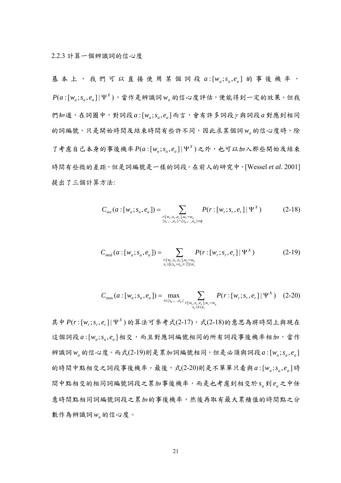基本上,我們可以直接使用某個詞段 a: [waisa,ea] 的事後機率,  $P(a\!:[w_a; s_a, e_a] \vert \, \Psi^X)$ ,當作是辨識詞 $w_a$ 的信心度評估,便能得到一定的效果。但我  $m_{\mathcal{A}}$  <br> 他有一个词题中, 對詞段 *a* : [w<sub>a</sub>; s<sub>a</sub>, e<sub>a</sub>] 而言, 會有許多詞段 y 與詞段 *a* 對應到相同 的詞編號,只是開始時間及結束時間有些許不同,因此求某個詞*wa* 的信心度時,除  $7$ 考慮自己本身的事後機率 $P(a:[w_a; s_a, e_a] | \Psi^X)$ 之外,也可以加入那些開始及結束 時間有些微的差距,但是詞編號是一樣的詞段。在前人的研究中,[Wessel *et al.* 2001] 提出了三個計算方法:

$$
C_{\rm sec}(a : [w_a; s_a, e_a]) = \sum_{\substack{r : [w_r; s_r, e_r], w_r = w_a \\ \{s_r, \dots, e_r\} \cap \{s_a, \dots, e_a\} \neq \emptyset}} P(r : [w_r; s_r, e_r] | \Psi^X)
$$
(2-18)

$$
C_{med}(a:[w_a;s_a,e_a]) = \sum_{\substack{r:[w_r;s_r,e_r],w_r=w_a\\s_r\leq [(s_a+e_a)/2]\leq e_r}} P(r:[w_r;s_r,e_r] | \Psi^X)
$$
 (2-19)

$$
C_{\max}(a : [w_a; s_a, e_a]) = \max_{t \in \{s_a, \dots, e_a\}} \sum_{\substack{r : [w_r; s_r, e_r], w_r = w_a \\ s_r \le t \le e_r}} P(r : [w_r; s_r, e_r] | \Psi^X) \quad (2-20)
$$

其中  $P(r:[w_r;s_r,e_r] | V^X)$ 的算法可參考式(2-17)。式(2-18)的意思為將時間上與現在 這個詞段 a: [w,;s,e,]相交,而且對應詞編號相同的所有詞段事後機率相加,當作 辨識詞 $w_a$ 的信心度。而式(2-19)則是累加詞編號相同,但是必須與詞段 $a: [w_a; s_a, e_a]$ 的時間中點相交之詞段事後機率。最後,式(2-20)則是不單單只看與 $a: [w_a; s_a, e_a]$ 時 間中點相交的相同詞編號詞段之累加事後機率,而是也考慮到相交於 *<sup>a</sup> s* 到 *<sup>a</sup> e* 之中任 意時間點相同詞編號詞段之累加的事後機率,然後再取有最大累積值的時間點之分 數作為辨識詞 w<sub>a</sub> 的信心度。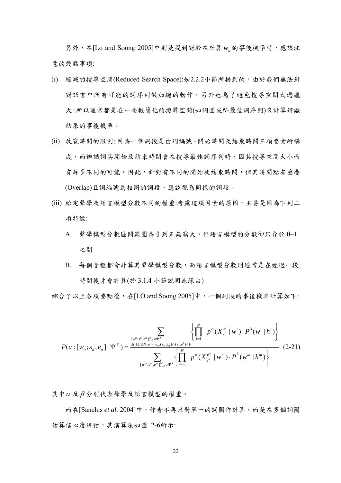另外,在[Lo and Soong 2005]中則是提到對於在計算*wa* 的事後機率時,應該注 意的幾點事項:

- (i) 縮減的搜尋空間(Reduced Search Space):如2.2.2小節所提到的,由於我們無法針 對語言中所有可能的詞序列做加總的動作,另外也為了避免搜尋空間太過龐 大,所以通常都是在一些較簡化的搜尋空間(如詞圖或*N*-最佳詞序列)來計算辨識 結果的事後機率。
- (ii) 放寬時間的限制:因為一個詞段是由詞編號、開始時間及結束時間三項要素所構 成,而辨識詞其開始及結束時間會在搜尋最佳詞序列時,因其搜尋空間大小而 有許多不同的可能。因此,針對有不同的開始及結束時間,但其時間點有重疊 (Overlap)且詞編號為相同的詞段,應該視為同樣的詞段。
- (iii) 給定聲學及語言模型分數不同的權重:考慮這項因素的原因,主要是因為下列二 項特徵:
	- A. 聲學模型分數區間範圍為 0 到正無窮大,但語言模型的分數卻只介於 0~1 之間
	- B. 每個音框都會計算其聲學模型分數,而語言模型分數則通常是在經過一段 時間後才會計算(於 3.1.4 小節說明此緣由)

綜合了以上各項要點後,在[LO and Soong 2005]中,一個詞段的事後機率計算如下:

$$
P(a:[w_a;s_a,e_a]|\Psi^X) = \frac{\sum_{[w^n;s^n,e^n]_{m=1}^N \in \Psi^X} \left\{ \prod_{i=1}^N p^{\alpha}(X_{s^i}^{e^i} | w^i) \cdot P^{\beta}(w^i | h^i) \right\}}{\sum_{[w^m;s^m,e^m]_{m=1}^M \in \Psi^X} \left\{ \prod_{m=1}^M p^{\alpha}(X_{s^m}^{e^m} | w^m) \cdot P^{\beta}(w^m | h^m) \right\}}
$$
(2-21)

其中<sup>α</sup> 及β 分別代表聲學及語言模型的權重。

而在[Sanchis *et al*. 2004]中,作者不再只對單一的詞圖作計算,而是在多個詞圖 估算信心度評估,其演算法如圖 2-6所示: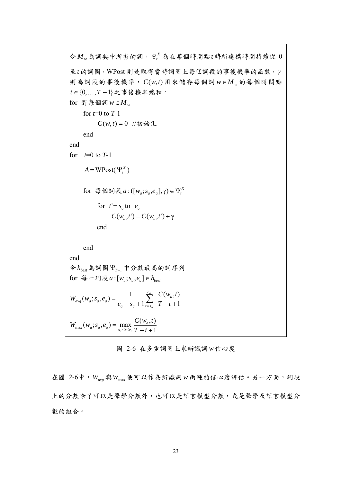令 *Mw* 為詞典中所有的詞, *<sup>X</sup>* Ψ*<sup>t</sup>* 為在某個時間點*t* 時所建構時間持續從 0 至*t* 的詞圖,WPost 則是取得當時詞圖上每個詞段的事後機率的函數,<sup>γ</sup> 則為詞段的事後機率, *C*(*w*,*t*) 用來儲存每個詞 *w*∈ *M <sup>w</sup>* 的每個時間點 *t* ∈{0,K,*T* −1}之事後機率總和。 for 對每個詞 $w \in M_w$  for *t*=0 to *T*-1  $C(w,t) = 0$  //初始化 end end for  $t=0$  to  $T-1$  $A = \text{WPost}(\Psi_{t}^{X})$  $f$  for  $\oplus \mathbb{R}$  a  $\oplus$   $\oplus \{[w_a; s_a, e_a], \gamma\} \in \Psi_i^X$ for  $t' = s_a$  to  $e_a$  $C(w_a, t') = C(w_a, t') + \gamma$  end end end 令*hbest* 為詞圖Ψ*<sup>T</sup>* <sup>−</sup><sup>1</sup> 中分數最高的詞序列 for  $\oint \leftarrow \text{in} \mathbb{R}$  *a* :  $[w_a; s_a, e_a] \in h_{\text{best}}$ 1  $(w_a, t)$  $(w_a; s_a, e_a) = \frac{1}{e_a - s_a + 1} \sum_{t=s_a}^{e_a} \frac{C(w_a, t)}{T - t + 1}$  $e_a - s$  $W_{ave}(W_a; S_a, e_a) = \frac{1}{\sqrt{2\pi i}} \sum_{n=1}^{\infty} \frac{C(W_a)}{n}$ *e*  $a^2 - b_a + 1$  $_{avg}$   $\mathcal{W}_a$ ,  $\mathcal{P}_a$ ,  $\mathcal{C}_a$ *a a* 1  $W_{\text{max}}(w_a; s_a, e_a) = \max_{s_a \le t \le e_a} \frac{C(w_a, t)}{T - t + 1}$ 

圖 2-6 在多重詞圖上求辨識詞*w* 信心度

在圖 2-6中, Wave 與Wmax 便可以作為辨識詞 w 兩種的信心度評估。另一方面,詞段 上的分數除了可以是聲學分數外,也可以是語言模型分數,或是聲學及語言模型分 數的組合。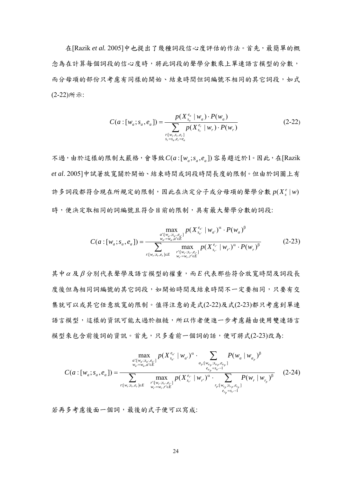在[Razik *et al.* 2005]中也提出了幾種詞段信心度評估的作法。首先,最簡單的概 念為在計算每個詞段的信心度時,將此詞段的聲學分數乘上單連語言模型的分數, 而分母項的部份只考慮有同樣的開始、結束時間但詞編號不相同的其它詞段,如式 (2-22)所示:

$$
C(a: [w_a; s_a, e_a]) = \frac{p(X_{s_a}^{e_a} | w_a) \cdot P(w_a)}{\sum_{\substack{r:[w_r,s_r,e_r] \\ s_r = s_a, e_r = e_a}} p(X_{s_r}^{e_r} | w_r) \cdot P(w_r)}
$$
(2-22)

不過,由於這樣的限制太嚴格,會導致 $C(a:[w_a; s_a, e_a])$ 容易趨近於1。因此,在[Razik *et al*. 2005]中試著放寬關於開始、結束時間或詞段時間長度的限制。但由於詞圖上有 許多詞段都符合現在所規定的限制,因此在決定分子或分母項的聲學分數 $p(X_s^e|w)$ 時,便決定取相同的詞編號且符合目前的限制,具有最大聲學分數的詞段:

$$
C(a:[w_a;s_a,e_a]) = \frac{\max_{\substack{a': [w_a:s_a,e_{a'}] \\ w_a=w_a,a' \in E}} p(X_{s_{a'}}^{e_{a'}} | w_{a'})^{\alpha} \cdot P(w_a)^{\beta}}{\sum_{\substack{r:[w_r;s_r,e_r] \in E \\ r:[w_r;s_r,e_r] \in E}} \max_{\substack{p(X_{s_r}^{e_{r'}} | w_{r'})^{\alpha} \cdot P(w_r)^{\beta} \\ w_r=w_r,r' \in E}} p(X_{s_r}^{e_{r'}} | w_{r'})^{\alpha} \cdot P(w_r)^{\beta}}
$$
(2-23)

其中<sup>α</sup> 及 β 分別代表聲學及語言模型的權重,而 *E* 代表那些符合放寬時間及詞段長 度後但為相同詞編號的其它詞段,如開始時間及結束時間不一定要相同,只要有交 集就可以或其它任意放寬的限制。值得注意的是式(2-22)及式(2-23)都只考慮到單連 語言模型,這樣的資訊可能太過於粗糙,所以作者便進一步考慮藉由使用雙連語言 模型來包含前後詞的資訊。首先,只多看前一個詞的話,便可將式(2-23)改為:

$$
C(a:[w_a; s_a, e_a]) = \frac{\max_{\substack{a:[w_a; s_a, e_a: \brack w_a = w_a, a' \in E}} p(X_{s_a}^{e_a} \mid w_a)^{\alpha} \cdot \sum_{\substack{a_p:[w_{a_p}; s_{a_p}, e_{a_p}]}{e_{a_p} = s_{a} - 1}} P(w_a \mid w_{a_p})^{\beta}}{\sum_{\substack{r:[w_r; s_r, e_r] \in E}} \max_{\substack{r:[w_r; s_r; e_r: \brack w_r = w_r, r' \in E}} p(X_{s_r}^{e_r} \mid w_r)^{\alpha} \cdot \sum_{\substack{r:[w_r; s_r, e_r: \brack e_{r_p} = s_{r} - 1}} P(w_r \mid w_{r_p})^{\beta}} (2-24)
$$

若再多考慮後面一個詞,最後的式子便可以寫成: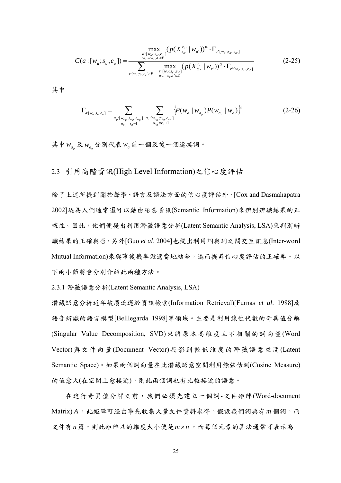$$
C(a:[w_a;s_a,e_a]) = \frac{\max_{\substack{a': [w_a:s_a,e_{a'}] \\ w_a=w_a,a' \in E}} (p(X_{s_{a'}}^{e_{a'}} | w_{a'}))^\alpha \cdot \Gamma_{a': [w_a:s_a,e_{a'}]}}{\sum_{\substack{w_a=w_a,a' \in E \\ r:[w_r;s_r,e_r] \in E}} \max_{\substack{p': [w_r:s_r,e_r] \\ w_r=w_r,r' \in E}} (p(X_{s_r}^{e_{r'}} | w_{r'}))^\alpha \cdot \Gamma_{r': [w_r:s_r,e_{r'}]}} (2\text{-}25)
$$

其中

$$
\Gamma_{a:[w_a;s_a,e_a]} = \sum_{\substack{a_p:[w_{a_p};s_{a_p},e_{a_p}]} \sum_{\substack{a_n:[w_{a_n};s_{a_n},e_{a_n}] \\ s_{a_n}=e_a+1}} \{P(w_a \mid w_{a_p})P(w_{a_n} \mid w_a)\}^{\beta} \tag{2-26}
$$

其中 *ap w* 及 *an w* 分別代表*wa* 前一個及後一個連接詞。

## 2.3 引用高階資訊(High Level Information)之信心度評估

除了上述所提到關於聲學、語言及語法方面的信心度評估外,[Cox and Dasmahapatra 2002]認為人們通常還可以藉由語意資訊(Semantic Information)來辨別辨識結果的正 確性。因此,他們便提出利用潛藏語意分析(Latent Semantic Analysis, LSA)來判別辨 識結果的正確與否,另外[Guo *et al*. 2004]也提出利用詞與詞之間交互訊息(Inter-word Mutual Information)來與事後機率做適當地結合,進而提昇信心度評估的正確率。以 下兩小節將會分別介紹此兩種方法。

2.3.1 潛藏語意分析(Latent Semantic Analysis, LSA)

潛藏語意分析近年被廣泛運於資訊檢索(Information Retrieval)[Furnas *et al*. 1988]及 語音辨識的語言模型[Belllegarda 1998]等領域。主要是利用線性代數的奇異值分解 (Singular Value Decomposition, SVD)來將原本高維度且不相關的詞向量(Word Vector)與文件向量(Document Vector)投影到較低維度的潛藏語意空間(Latent Semantic Space)。如果兩個詞向量在此潛藏語意空間利用餘弦估測(Cosine Measure) 的值愈大(在空間上愈接近),則此兩個詞也有比較接近的語意。

在進行奇異值分解之前,我們必須先建立一個詞-文件矩陣(Word-document Matrix) *A*,此矩陣可經由事先收集大量文件資料求得。假設我們詞典有*m* 個詞,而 文件有n篇,則此矩陣A的維度大小便是m×n,而每個元素的算法通常可表示為

25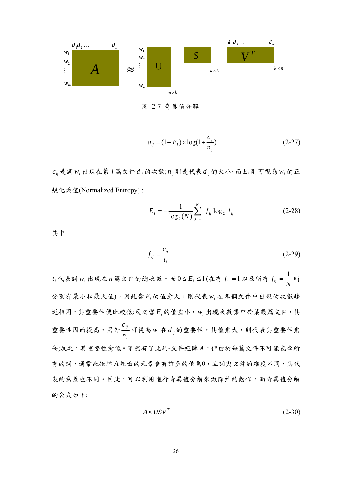

圖 2-7 奇異值分解

$$
a_{ij} = (1 - E_i) \times \log(1 + \frac{c_{ij}}{n_j})
$$
 (2-27)

 $c_{ij}$ 是詞 $w_i$ 出現在第 $j$ 篇文件 $d_j$ 的次數; $n_j$ 則是代表 $d_j$ 的大小。而 $E_i$ 則可視為 $w_i$ 的正 規化熵值(Normalized Entropy) :

$$
E_{i} = -\frac{1}{\log_{2}(N)} \sum_{j=1}^{N} f_{ij} \log_{2} f_{ij}
$$
 (2-28)

其中

$$
f_{ij} = \frac{c_{ij}}{t_i} \tag{2-29}
$$

 $t_i$ 代表詞 w; 出現在 n 篇文件的總次數。而 $0$ ≤E; ≤1(在有  $f_{ij}$  =1以及所有  $f_{ij}$  = $\displaystyle \frac{1}{N}$  時 分別有最小和最大值),因此當 *Ei* 的值愈大,則代表 *wi* 在各個文件中出現的次數趨 近相同,其重要性便比較低;反之當 *E<sub>i</sub>* 的值愈小, w<sub>i</sub> 出現次數集中於某幾篇文件, 其 重要性因而提高。另外 *i ij n c* 可視為 *wi* 在*d <sup>j</sup>* 的重要性,其值愈大,則代表其重要性愈 高;反之,其重要性愈低。雖然有了此詞-文件矩陣 *A*,但由於每篇文件不可能包含所 有的詞,通常此矩陣 *A*裡面的元素會有許多的值為0,且詞與文件的維度不同,其代 表的意義也不同。因此,可以利用進行奇異值分解來做降維的動作。而奇異值分解 的公式如下:

$$
A \approx USV^T \tag{2-30}
$$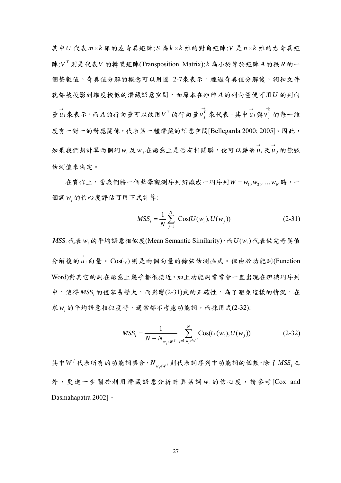其中*U* 代表*m* × *k* 維的左奇異矩陣; *S* 為*k* × *k* 維的對角矩陣;*V* 是 *n* × *k* 維的右奇異矩 陣; *<sup>T</sup> V* 則是代表*V* 的轉置矩陣(Transposition Matrix); *k* 為小於等於矩陣 *A*的秩 *R* 的一 個整數值。奇異值分解的概念可以用圖 2-7來表示。經過奇異值分解後,詞和文件 就都被投影到維度較低的潛藏語意空間,而原本在矩陣 *A*的列向量便可用*U* 的列向 →<br>量u<sub>i</sub> 來表示,而A的行向量可以改用 $V^T$ 的行向量 $v_j^T$  來代表。其中u<sub>i</sub> 與 →<br> $v_j^T$  的每一維 度有一對一的對應關係,代表某一種潛藏的語意空間[Bellegarda 2000; 2005]。因此, 如果我們想計算兩個詞w;及w;在語意上是否有相關聯,便可以藉著u;及u;的餘弦 估測值來決定。

在實作上,當我們將一個聲學觀測序列辨識成一詞序列 $W = w_1, w_2, \ldots, w_N$ 時,一 個詞*wi* 的信心度評估可用下式計算:

$$
MSS_i = \frac{1}{N} \sum_{j=1}^{N} \text{Cos}(U(w_i), U(w_j))
$$
 (2-31)

*MSSi* 代表*wi* 的平均語意相似度(Mean Semantic Similarity),而 ( ) *U wi* 代表做完奇異值 →<br>分解後的 u<sub>i</sub> 向量。Cos(·,·)則是兩個向量的餘弦估測函式。但由於功能詞(Function Word)對其它的詞在語意上幾乎都很接近,加上功能詞常常會一直出現在辨識詞序列 中,使得 MSS. 的值容易變大,而影響(2-31)式的正確性。為了避免這樣的情況,在 求w<sub>i</sub>的平均語意相似度時,通常都不考慮功能詞,而採用式(2-32):

$$
MSS_i = \frac{1}{N - N_{w_j \in W^f}} \sum_{j=1, w_j \notin W^f}^{N} \text{Cos}(U(w_i), U(w_j))
$$
(2-32)

其中 $W^f$ 代表所有的功能詞集合,  $N_{w,ew}$  則代表詞序列中功能詞的個數, 除了 $MSS_i$ 之 外,更進一步關於利用潛藏語意分析計算某詞 *wi* 的信心度,請參考[Cox and Dasmahapatra 2002]。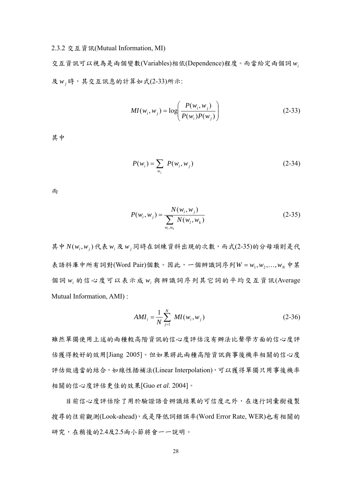### 2.3.2 交互資訊(Mutual Information, MI)

交互資訊可以視為是兩個變數(Variables)相依(Dependence)程度。而當給定兩個詞 *wi* 及*wj* 時,其交互訊息的計算如式(2-33)所示:

$$
MI(w_i, w_j) = \log\left(\frac{P(w_i, w_j)}{P(w_i)P(w_j)}\right)
$$
 (2-33)

其中

$$
P(w_i) = \sum_{w_j} P(w_i, w_j)
$$
 (2-34)

而

$$
P(w_i, w_j) = \frac{N(w_i, w_j)}{\sum_{w_l, w_k} N(w_l, w_k)}
$$
(2-35)

其中  $N(w_i, w_j)$ 代表 $w_i$ 及 $w_j$ 同時在訓練資料出現的次數,而式(2-35)的分母項則是代 表語料庫中所有詞對(Word Pair)個數。因此,一個辨識詞序列 $W = w_1, w_2, \ldots, w_N$ 中某 個詞 *wi* 的信心度可以表示成 *wi* 與辨識詞序列其它詞的平均交互資訊(Average Mutual Information, AMI) :

$$
AMI_{i} = \frac{1}{N} \sum_{j=1}^{N} MI(w_{i}, w_{j})
$$
 (2-36)

雖然單獨使用上述的兩種較高階資訊的信心度評估沒有辦法比聲學方面的信心度評 估獲得較好的效用[Jiang 2005]。但如果將此兩種高階資訊與事後機率相關的信心度 評估做適當的結合,如線性插補法(Linear Interpolation),可以獲得單獨只用事後機率 相關的信心度評估更佳的效果[Guo *et al*. 2004]。

目前信心度評估除了用於驗證語音辨識結果的可信度之外,在進行詞彙樹複製 搜尋的往前觀測(Look-ahead),或是降低詞錯誤率(Word Error Rate, WER)也有相關的 研究,在稍後的2.4及2.5兩小節將會一一說明。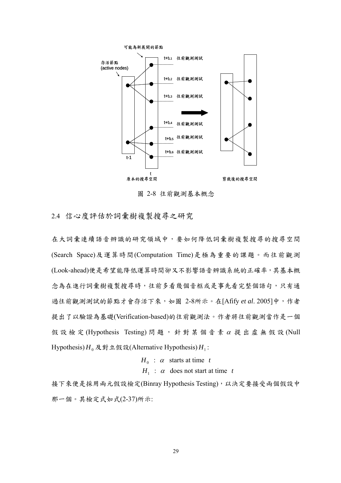

圖 2-8 往前觀測基本概念

2.4 信心度評估於詞彙樹複製搜尋之研究

在大詞彙連續語音辨識的研究領域中,要如何降低詞彙樹複製搜尋的搜尋空間 (Search Space)及運算時間(Computation Time)是極為重要的課題。而往前觀測 (Look-ahead)便是希望能降低運算時間卻又不影響語音辨識系統的正確率,其基本概 念為在進行詞彙樹複製搜尋時,往前多看幾個音框或是事先看完整個語句,只有通 過往前觀測測試的節點才會存活下來,如圖 2-8所示。在[Afify *et al*. 2005]中,作者 提出了以驗證為基礎(Verification-based)的往前觀測法。作者將往前觀測當作是一個 假設檢定 (Hypothesis Testing) 問題,針對某個音素α提出虛無假設 (Null Hypothesis)  $H_0$  及對立假設(Alternative Hypothesis)  $H_1$ :

> $H_0$  :  $\alpha$  starts at time *t*  $H_1$  :  $\alpha$  does not start at time *t*

接下來便是採用兩元假設檢定(Binray Hypothesis Testing),以決定要接受兩個假設中 那一個。其檢定式如式(2-37)所示: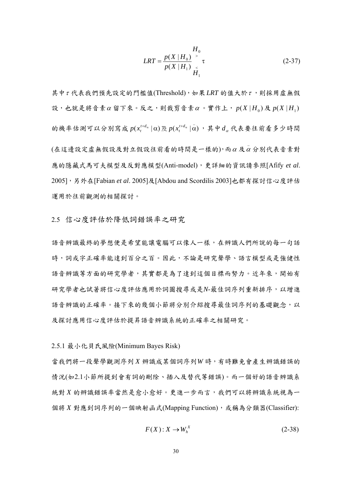$$
LRT = \frac{p(X | H_0)}{p(X | H_1)} \times_{H_1}^{H_0} \tau
$$
 (2-37)

其中<sup>τ</sup> 代表我們預先設定的門檻值(Threshold),如果 *LRT* 的值大於<sup>τ</sup> ,則採用虛無假 設,也就是將音素α留下來。反之,則裁剪音素α。實作上,  $p(X|H_0)$ 及 $p(X|H_1)$ 的機率估測可以分別寫成  $p(x_t^{t+d_a} | \alpha)$ 及 $p(x_t^{t+d_a} | \alpha)$ , 其中 $d_a$ 代表要往前看多少時間  $($ 在這邊設定虛無假設及對立假設往前看的時間是一樣的),而 $\alpha$ 及 $\overset{-}{\alpha}$ 分別代表音素對 應的隱藏式馬可夫模型及反對應模型(Anti-model),更詳細的資訊請參照[Afify *et al*. 2005],另外在[Fabian *et al*. 2005]及[Abdou and Scordilis 2003]也都有探討信心度評估 運用於往前觀測的相關探討。

2.5 信心度評估於降低詞錯誤率之研究

語音辨識最終的夢想便是希望能讓電腦可以像人一樣,在辨識人們所說的每一句話 時,詞或字正確率能達到百分之百。因此,不論是研究聲學、語言模型或是強健性 語音辨識等方面的研究學者,其實都是為了達到這個目標而努力。近年來,開始有 研究學者也試著將信心度評估應用於詞圖搜尋或是*N*-最佳詞序列重新排序,以增進 語音辨識的正確率。接下來的幾個小節將分別介紹搜尋最佳詞序列的基礎觀念,以 及探討應用信心度評估於提昇語音辨識系統的正確率之相關研究。

#### 2.5.1 最小化貝氏風險(Minimum Bayes Risk)

當我們將一段聲學觀測序列 *X* 辨識成某個詞序列*W* 時,有時難免會產生辨識錯誤的 情況(如2.1小節所提到會有詞的刪除、插入及替代等錯誤)。而一個好的語音辨識系 統對 X 的辨識錯誤率當然是愈小愈好。更進一步而言,我們可以將辨識系統視為一 個將 *X* 對應到詞序列的一個映射函式(Mapping Function),或稱為分類器(Classifier):

$$
F(X): X \to W_h^X \tag{2-38}
$$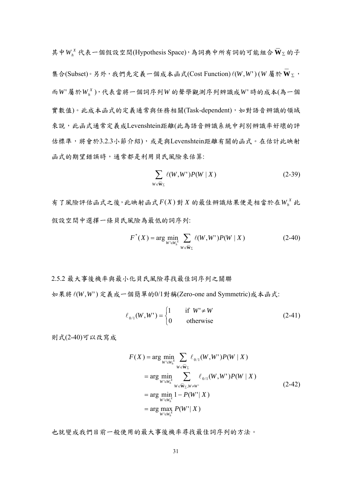其中 $W_h^X$ 代表一個假設空間(Hypothesis Space),為詞典中所有詞的可能組合 $\overline{\mathbf{W}}_{\Sigma}$ 的子 集合(Subset)。另外,我們先定義一個成本函式(Cost Function) $\ell(W,W^{\prime})(W$ 屬於 $\bf{W}_{\Sigma}$ **\_\_**  $\mathbf{W}_{\Sigma}$  , 而*W* ' 屬於 *<sup>X</sup> Wh* ),代表當將一個詞序列*W* 的聲學觀測序列辨識成*W* ' 時的成本(為一個 實數值)。此成本函式的定義通常與任務相關(Task-dependent),如對語音辨識的領域 來說,此函式通常定義成Levenshtein距離(此為語音辨識系統中判別辨識率好壞的評 估標準,將會於3.2.3小節介紹),或是與Levenshtein距離有關的函式。在估計此映射 函式的期望錯誤時,通常都是利用貝氏風險來估算:

$$
\sum_{W \in \overline{W}_{\Sigma}} \ell(W, W') P(W \mid X) \tag{2-39}
$$

有了風險評估函式之後,此映射函式 *F*(*X* ) 對 *X* 的最佳辨識結果便是相當於在 *<sup>X</sup> Wh* 此 假設空間中選擇一條貝氏風險為最低的詞序列:

$$
F^*(X) = \arg\min_{W' \in W_h^X} \sum_{W \in \overline{\mathbf{W}}_{\Sigma}} \ell(W, W') P(W \mid X)
$$
 (2-40)

2.5.2 最大事後機率與最小化貝氏風險尋找最佳詞序列之關聯 如果將l(*W*,*W*') 定義成一個簡單的0/1對稱(Zero-one and Symmetric)成本函式:

$$
\ell_{0/1}(W, W') = \begin{cases} 1 & \text{if } W' \neq W \\ 0 & \text{otherwise} \end{cases}
$$
 (2-41)

則式(2-40)可以改寫成

$$
F(X) = \arg\min_{W' \in W_h^X} \sum_{W \in \overline{W}_{\Sigma}} \ell_{0/1}(W, W')P(W | X)
$$
  
= 
$$
\arg\min_{W' \in W_h^X} \sum_{W \in \overline{W}_{\Sigma}, W \neq W'} \ell_{0/1}(W, W')P(W | X)
$$
  
= 
$$
\arg\min_{W' \in W_h^X} 1 - P(W' | X)
$$
  
= 
$$
\arg\max_{W' \in W_h^X} P(W' | X)
$$
 (2-42)

也就變成我們目前一般使用的最大事後機率尋找最佳詞序列的方法。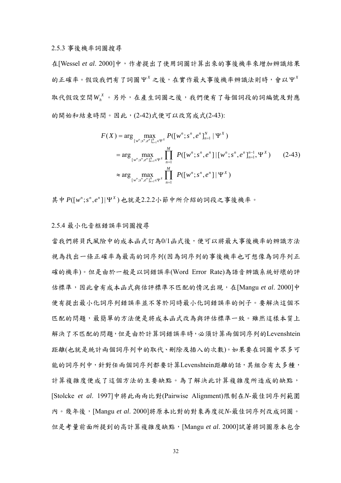2.5.3 事後機率詞圖搜尋

在[Wessel *et al*. 2000]中,作者提出了使用詞圖計算出來的事後機率來增加辨識結果  $\Delta$ 的正確率。假設我們有了詞圖 Ψ<sup>x</sup> 之後,在實作最大事後機率辨識法則時,會以 Ψ<sup>x</sup> 取代假設空間WK。另外,在產生詞圖之後,我們便有了每個詞段的詞編號及對應 的開始和結束時間。因此,(2-42)式便可以改寫成式(2-43):

$$
F(X) = \arg\max_{[w^n; s^n, e^n]_{n=1}^N \in \Psi^X} P([w^n; s^n, e^n]_{n=1}^N | \Psi^X)
$$
  
= 
$$
\arg\max_{[w^n; s^n, e^n]_{n=1}^N \in \Psi^X} \prod_{n=1}^M P([w^n; s^n, e^n] | [w^n; s^n, e^n]_{n=1}^{n-1}, \Psi^X)
$$
 (2-43)  

$$
\approx \arg\max_{[w^n; s^n, e^n]_{n=1}^M \in \Psi^X} \prod_{n=1}^M P([w^n; s^n, e^n] | \Psi^X)
$$

其中 $P([w^n; s^n, e^n] | \Psi^X)$ 也就是2.2.2小節中所介紹的詞段之事後機率。

### 2.5.4 最小化音框錯誤率詞圖搜尋

當我們將貝氏風險中的成本函式訂為0/1函式後,便可以將最大事後機率的辨識方法 視為找出一條正確率為最高的詞序列(因為詞序列的事後機率也可想像為詞序列正 確的機率)。但是由於一般是以詞錯誤率(Word Error Rate)為語音辨識系統好壞的評 估標準,因此會有成本函式與估評標準不匹配的情況出現,在[Mangu *et al*. 2000]中 便有提出最小化詞序列錯誤率並不等於同時最小化詞錯誤率的例子。要解決這個不 匹配的問題,最簡單的方法便是將成本函式改為與評估標準一致。雖然這樣本質上 解決了不匹配的問題,但是由於計算詞錯誤率時,必須計算兩個詞序列的Levenshtein 距離(也就是統計兩個詞序列中的取代、刪除及插入的次數)。如果要在詞圖中眾多可 能的詞序列中,針對任兩個詞序列都要計算Levenshtein距離的話,其組合有太多種, 計算複雜度便成了這個方法的主要缺點。為了解決此計算複雜度所造成的缺點, [Stolcke *et al*. 1997]中將此兩兩比對(Pairwise Alignment)限制在*N*-最佳詞序列範圍 內。幾年後,[Mangu *et al*. 2000]將原本比對的對象再度從*N*-最佳詞序列改成詞圖。 但是考量前面所提到的高計算複雜度缺點,[Mangu *et al*. 2000]試著將詞圖原本包含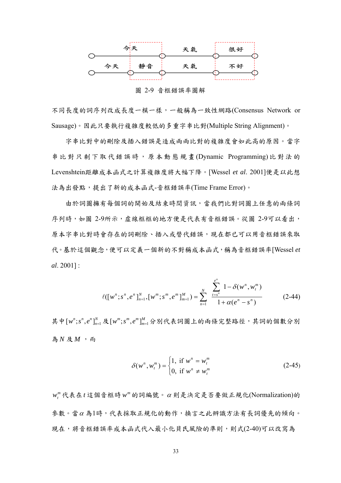

圖 2-9 音框錯誤率圖解

不同長度的詞序列改成長度一模一樣,一般稱為一致性網路(Consensus Network or Sausage)。因此只要執行複雜度較低的多重字串比對(Multiple String Alignment)。

字串比對中的刪除及插入錯誤是造成兩兩比對的複雜度會如此高的原因。當字 串比對只剩下取代錯誤時,原本動態規畫 (Dynamic Programming) 比對法的 Levenshtein距離成本函式之計算複雜度將大幅下降。[Wessel *et al*. 2001]便是以此想 法為出發點,提出了新的成本函式-音框錯誤率(Time Frame Error)。

由於詞圖擁有每個詞的開始及結束時間資訊,當我們比對詞圖上任意的兩條詞 序列時,如圖 2-9所示,虛線框框的地方便是代表有音框錯誤。從圖 2-9可以看出, 原本字串比對時會存在的詞刪除、插入或替代錯誤,現在都已可以用音框錯誤來取 代。基於這個觀念,便可以定義一個新的不對稱成本函式,稱為音框錯誤率[Wessel *et al*. 2001] :

$$
\ell([w^n; s^n, e^n]_{n=1}^N, [w^m; s^m, e^m]_{m=1}^M) = \sum_{n=1}^N \frac{\sum_{t=s^n}^{e^n} 1 - \delta(w^n, w_t^m)}{1 + \alpha(e^n - s^n)}
$$
(2-44)

其中 $[w^n; s^n, e^n]_{n=1}^N$ 及 $[w^m; s^m, e^m]_{m=1}^M$ 分別代表詞圖上的兩條完整路徑,其詞的個數分別 為  $N$  及  $M$  , 而

$$
\delta(w^n, w_i^m) = \begin{cases} 1, & \text{if } w^n = w_i^m \\ 0, & \text{if } w^n \neq w_i^m \end{cases}
$$
 (2-45)

*<sup>m</sup> wt* 代表在*t* 這個音框時 *<sup>m</sup> w* 的詞編號。<sup>α</sup> 則是決定是否要做正規化(Normalization)的 參數。當<sup>α</sup> 為1時,代表採取正規化的動作,換言之此辨識方法有長詞優先的傾向。 現在,將音框錯誤率成本函式代入最小化貝氏風險的準則,則式(2-40)可以改寫為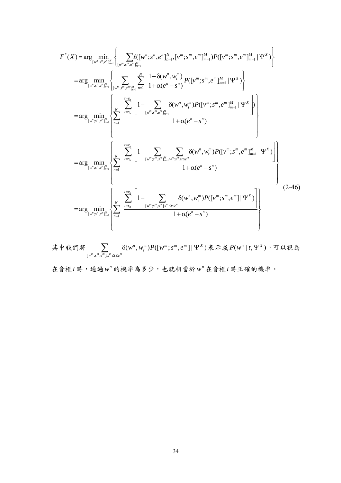$$
F^{*}(X) = \arg\min_{\left[w^{n};x^{n},e^{n}\right]_{n=1}^{N}} \left\{ \sum_{\left[w^{m};x^{m},e^{m}\right]_{m=1}^{M}} \left\{ \sum_{\left[w^{m};x^{m},e^{m}\right]_{m=1}^{M}} \left\{ \sum_{\left[w^{m};x^{m},e^{m}\right]_{m=1}^{M}} \sum_{\left[w^{m};x^{m},e^{m}\right]_{m=1}^{M}} \frac{1-\delta(w^{n},w^{m})}{1+\alpha(e^{n}-s^{n})} P([v^{m};s^{m},e^{m}\right]_{m=1}^{M} | \Psi^{X}) \right\} \n= \arg\min_{\left[w^{n};x^{n},e^{n}\right]_{n=1}^{M}} \left\{ \sum_{\left[w^{m};x^{m},e^{m}\right]_{m=1}^{M}} \sum_{\left[m^{m};x^{m},e^{m}\right]_{m=1}^{M}} \left\{ \sum_{\left[w^{m};x^{m},e^{m}\right]_{m=1}^{M}} \left\{ \sum_{\left[w^{m};x^{m},e^{m}\right]_{m=1}^{M}} \left\{ \sum_{\left[w^{m};x^{m},e^{m}\right]_{m=1}^{M}} \left\{ \sum_{\left[w^{m};x^{m},e^{m}\right]_{m=1}^{M}} \left\{ \sum_{\left[w^{m};x^{m},e^{m}\right]_{m=1}^{M}} \left\{ \sum_{\left[w^{m};x^{m},e^{m}\right]_{m=1}^{M}} \left\{ \sum_{\left[w^{m};x^{m},e^{m}\right]_{m=1}^{M}} \left\{ \sum_{\left[w^{m};x^{m},e^{m}\right]_{m=1}^{M}} \left\{ \sum_{\left[w^{m};x^{m},e^{m}\right]_{m=1}^{M}} \left\{ \sum_{\left[w^{m};x^{m},e^{m}\right]_{m=1}^{M}} \sum_{\left[w^{m};x^{m},e^{m}\right]_{m=1}^{M}} \left\{ \sum_{\left[w^{m};x^{m},e^{m}\right]_{m=1}^{M}} \left\{ \sum_{\left[w^{m};x^{m},e^{m}\right]_{m=1}^{M}} \left\{ \sum_{\left[w^{m};x^{m},e^{m}\right]_{m=1}^{M}} \left\{ \sum_{\left[w^{m};x^{m},e^{m
$$

其中我們將  $\sum_{v} \delta(w^n, w_i^m) P([w^m; s^m, e^m] | \Psi^X)$  $\lceil w^m ; s^m , e^m \rceil$  $m \rightarrow D(F, \ldots^m, \ldots^m, \ldots^m, m \neq 1 \mid \mathbf{M}^X)$ *t n*  $w^m$ ; $s^m$ , $e^m$ ]: $s^m$   $\le t \le e$  $\sum_{\mathbb{P}_i, s^m, e^m \upharpoonright s^m \leq t \leq e^m} \delta(w^n, w_i^m) P([\overline{w}^m; s^m, e^m] \, | \, \Psi)$  $\frac{1}{\sqrt{2\pi}} \frac{1}{2} \sum_{k=1}^N P(w^k | t, \Psi^X)$ ,可以視為

在音框*t* 時,通過 *<sup>n</sup> w* 的機率為多少,也就相當於 *<sup>n</sup> w* 在音框*t* 時正確的機率。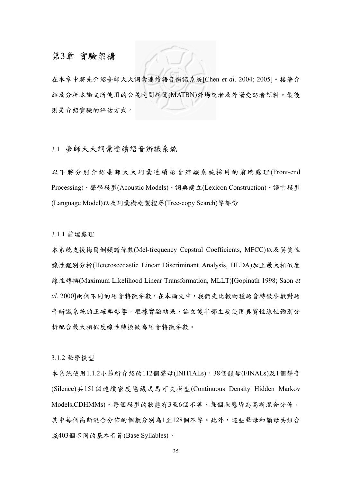# 第3章 實驗架構

在本章中將先介紹臺師大大詞彙連續語音辨識系統[Chen *et al*. 2004; 2005]。接著介 紹及分析本論文所使用的公視晚間新聞(MATBN)外場記者及外場受訪者語料。最後 則是介紹實驗的評估方式。

## 3.1 臺師大大詞彚連續語音辨識系統

以下將分別介紹臺師大大詞彙連續語音辨識系統採用的前端處理(Front-end Processing)、聲學模型(Acoustic Models)、詞典建立(Lexicon Construction)、語言模型 (Language Model)以及詞彙樹複製搜尋(Tree-copy Search)等部份

3.1.1 前端處理

本系統支援梅爾倒頻譜係數(Mel-frequency Cepstral Coefficients, MFCC)以及異質性 線性鑑別分析(Heteroscedastic Linear Discriminant Analysis, HLDA)加上最大相似度 線性轉換(Maximum Likelihood Linear Transformation, MLLT)[Gopinath 1998; Saon *et al*. 2000]兩個不同的語音特徵參數。在本論文中,我們先比較兩種語音特徵參數對語 音辨識系統的正確率影響,根據實驗結果,論文後半部主要使用異質性線性鑑別分 析配合最大相似度線性轉換做為語音特徵參數。

3.1.2 聲學模型

本系統使用1.1.2小節所介紹的112個聲母(INITIALs),38個韻母(FINALs)及1個靜音 (Silence)共151個連續密度隱藏式馬可夫模型(Continuous Density Hidden Markov Models,CDHMMs)。每個模型的狀態有3至6個不等,每個狀態皆為高斯混合分佈, 其中每個高斯混合分佈的個數分別為1至128個不等。此外,這些聲母和韻母共組合 成403個不同的基本音節(Base Syllables)。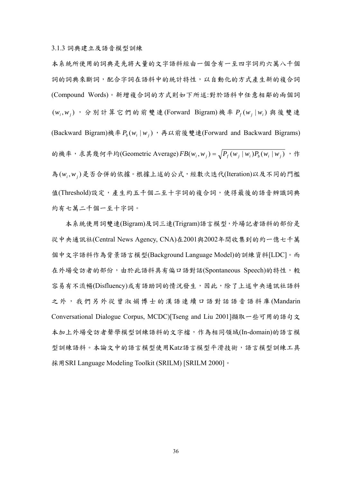3.1.3 詞典建立及語音模型訓練

本系統所使用的詞典是先將大量的文字語料經由一個含有一至四字詞約六萬八千個 詞的詞典來斷詞,配合字詞在語料中的統計特性,以自動化的方式產生新的複合詞 (Compound Words)。新增複合詞的方式則如下所述:對於語料中任意相鄰的兩個詞 ( $w_i$ , $w_j$ ), 分別計算它們的前雙連(Forward Bigram)機率  $P_f(w_i | w_i)$ 與後雙連 (Backward Bigram)機率  $P_b(w_i | w_i)$ , 再以前後雙連(Forward and Backward Bigrams) 的機率,求其幾何平均(Geometric Average)  $FB(w_i, w_j) = \sqrt{P_f(w_j | w_i) P_b(w_i | w_j)}$ , 作 為(w,w,)是否合併的依據。根據上述的公式,經數次迭代(Iteration)以及不同的門檻 值(Threshold)設定,產生約五千個二至十字詞的複合詞,使得最後的語音辨識詞典 約有七萬二千個一至十字詞。

本系統使用詞雙連(Bigram)及詞三連(Trigram)語言模型,外場記者語料的部份是 從中央通訊社(Central News Agency, CNA)在2001與2002年間收集到的約一億七千萬 個中文字語料作為背景語言模型(Background Language Model)的訓練資料[LDC]。而 在外場受訪者的部份,由於此語料具有偏口語對話(Spontaneous Speech)的特性,較 容易有不流暢(Disfluency)或有語助詞的情況發生,因此,除了上述中央通訊社語料 之外,我們另外從曾淑娟博士的漢語連續口語對話語音語料庫 (Mandarin Conversational Dialogue Corpus, MCDC)[Tseng and Liu 2001]擷取一些可用的語句文 本加上外場受訪者聲學模型訓練語料的文字檔,作為相同領域(In-domain)的語言模 型訓練語料。本論文中的語言模型使用Katz語言模型平滑技術,語言模型訓練工具 採用 SRI Language Modeling Toolkit (SRILM) [SRILM 2000]。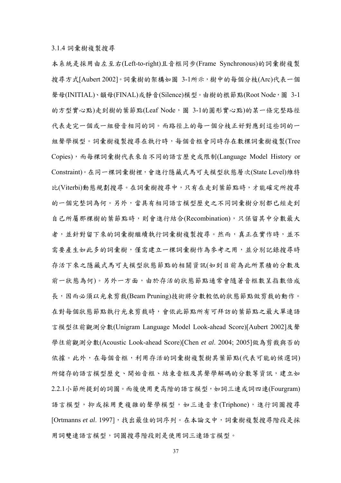3.1.4 詞彙樹複製搜尋

本系統是採用由左至右(Left-to-right)且音框同步(Frame Synchronous)的詞彙樹複製 搜尋方式[Aubert 2002]。詞彙樹的架構如圖 3-1所示,樹中的每個分枝(Arc)代表一個 聲母(INITIAL)、韻母(FINAL)或靜音(Silence)模型。由樹的根節點(Root Node,圖 3-1 的方型實心點)走到樹的葉節點(Leaf Node,圖 3-1的圓形實心點)的某一條完整路徑 代表走完一個或一組發音相同的詞。而路徑上的每一個分枝正好對應到這些詞的一 組聲學模型。詞彙樹複製搜尋在執行時,每個音框會同時存在數棵詞彙樹複製(Tree Copies),而每棵詞彙樹代表來自不同的語言歷史或限制(Language Model History or Constraint)。在同一棵詞彙樹裡,會進行隱藏式馬可夫模型狀態層次(State Level)維特 比(Viterbi)動態規劃搜尋。在詞彙樹搜尋中,只有在走到葉節點時,才能確定所搜尋 的一個完整詞為何。另外,當具有相同語言模型歷史之不同詞彙樹分別都已經走到 自己所屬那棵樹的葉節點時,則會進行結合(Recombination),只保留其中分數最大 者,並針對留下來的詞彙樹繼續執行詞彙樹複製搜尋。然而,真正在實作時,並不 需要產生如此多的詞彙樹,僅需建立一棵詞彙樹作為參考之用,並分別記錄搜尋時 存活下來之隱藏式馬可夫模型狀態節點的相關資訊(如到目前為此所累積的分數及 前一狀態為何)。另外一方面,由於存活的狀態節點通常會隨著音框數呈指數倍成 長,因而必須以光束剪裁(Beam Pruning)技術將分數較低的狀態節點做剪裁的動作。 在對每個狀態節點執行光束剪裁時,會依此節點所有可拜訪的葉節點之最大單連語 言模型往前觀測分數(Unigram Language Model Look-ahead Score)[Aubert 2002]及聲 學往前觀測分數(Acoustic Look-ahead Score)[Chen *et al*. 2004; 2005]做為剪裁與否的 依據。此外,在每個音框,利用存活的詞彙樹複製樹其葉節點(代表可能的候選詞) 所儲存的語言模型歷史、開始音框、結束音框及其聲學解碼的分數等資訊,建立如 2.2.1小節所提到的詞圖。而後使用更高階的語言模型,如詞三連或詞四連(Fourgram) 語言模型,抑或採用更複雜的聲學模型,如三連音素(Triphone),進行詞圖搜尋 [Ortmanns et al. 1997],找出最佳的詞序列。在本論文中,詞彙樹複製搜尋階段是採 用詞雙連語言模型,詞圖搜尋階段則是使用詞三連語言模型。

37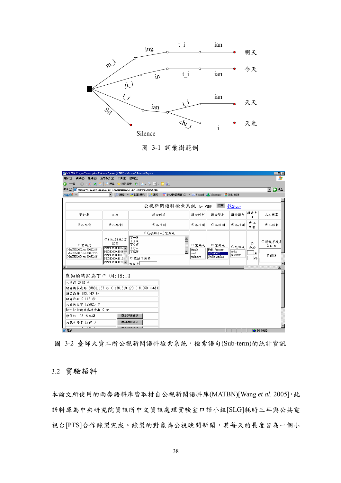

圖 3-1 詞彙樹範例

| <sup>2</sup> MATBN Corpus Transcription Retrieval System (NTNU) - Microsoft Internet Explorer                                                                         |                                                                                                                  |                                                                  |                                                                           |                                                         |                                              | $\Box$ $\Box$ $\times$                           |
|-----------------------------------------------------------------------------------------------------------------------------------------------------------------------|------------------------------------------------------------------------------------------------------------------|------------------------------------------------------------------|---------------------------------------------------------------------------|---------------------------------------------------------|----------------------------------------------|--------------------------------------------------|
| 檔案(F) 編輯(E) 檢視(V)                                                                                                                                                     | 我的最愛(A) 工具(I) 説明(H)                                                                                              |                                                                  |                                                                           |                                                         |                                              | Æ                                                |
| <b>④上一頁 → ④ → × 2 名 2 搜尋</b>                                                                                                                                          |                                                                                                                  | 我的最愛 (2) 2 。 。   3  一 一 試                                        |                                                                           |                                                         |                                              |                                                  |
| 網址(D) a http://140.122.185.189/MATBN SetDefinition/MATBN IR/Turn/Default.htm                                                                                          |                                                                                                                  |                                                                  |                                                                           |                                                         |                                              | ▼ → 移至                                           |
| $msn$ <sup>2</sup>                                                                                                                                                    | ▼ 2 搜尋 → ノ醒目提示                                                                                                   | A 選項                                                             | 区 封鎖快顯視窗 (7) ▼ 区 Hotmail 3 Messenger 区 我的 MSN                             |                                                         |                                              |                                                  |
|                                                                                                                                                                       |                                                                                                                  |                                                                  |                                                                           |                                                         |                                              |                                                  |
|                                                                                                                                                                       |                                                                                                                  |                                                                  | 公視新聞語料檢索系統 by NTNU                                                        |                                                         | 董嗣 找Story                                    |                                                  |
| 資料庫                                                                                                                                                                   | 日期                                                                                                               | 語者姓名                                                             | 語者姓別                                                                      | 語者型別                                                    | 語音長<br>語者語系<br>度                             | 人工轉寫                                             |
| ⊙不限制                                                                                                                                                                  | ⊙不限制                                                                                                             | ⊙不限制                                                             | ◎不限制                                                                      | ○不限制                                                    | ⊙⊼<br>◎不限制<br>限制                             | ⊙不限制                                             |
| ○雲滿足<br>MATBN2002-trs-20050216<br>MATBN2003-trs-20050216<br>MATBN2004-trs-20050216                                                                                    | ○(共198天)富<br>满足<br><b>PTSND20011107</b><br>$PTSND20011108 =$<br>PTSND20011109<br>PTSND20011112<br>PTSND20011121- | ○(共5041人)需滿足<br>丁一倫<br>丁予康<br>丁立貞<br>丁守中<br>丁克修<br>○關鍵字梅華<br>雲包会 | $\triangleq$<br>○需満足<br>female<br>$\blacktriangledown$<br>male<br>unknown | ⊙需満足<br>Field Reporter<br>Interviewee<br> Studio_Anchor | $\circ$<br>○需満足<br>介於<br>native<br>nonnative | ○關鍵字搜尋<br>需包含<br>至<br>需排除<br>耖<br>$\blacksquare$ |
| 查詢的時間為下午 04:18:13<br>共找到 2818 句<br>語音總長度為 28831.157 秒 (480.519 分) (8.009 小時)<br> 語音最長 103.843 秒<br>语音最短 0.116 秒<br>共有純文字 129825 字<br>Particle總共出現次數 0次<br>散佈於 198 天之間 |                                                                                                                  | 顯示詳細資訊                                                           |                                                                           |                                                         |                                              |                                                  |

圖 3-2 臺師大資工所公視新聞語料檢索系統,檢索語句(Sub-term)的統計資訊

3.2 實驗語料

本論文所使用的兩套語料庫皆取材自公視新聞語料庫(MATBN)[Wang *et al*. 2005],此 語料庫為中央研究院資訊所中文資訊處理實驗室口語小組[SLG]耗時三年與公共電 視台[PTS]合作錄製完成。錄製的對象為公視晚間新聞,其每天的長度皆為一個小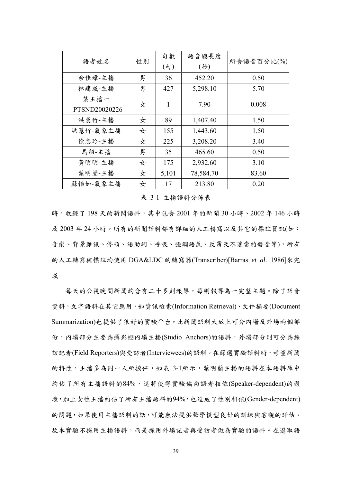| 語者姓名                  | 性別 | 句數<br>$($ 句 $)$ | 語音總長度<br>(秒) | 所含語音百分比(%) |
|-----------------------|----|-----------------|--------------|------------|
| 余佳璋-主播                | 男  | 36              | 452.20       | 0.50       |
| 林建成-主播                | 男  | 427             | 5,298.10     | 5.70       |
| 某主播一<br>PTSND20020226 | 女  | 1               | 7.90         | 0.008      |
| 洪蕙竹-主播                | 女  | 89              | 1,407.40     | 1.50       |
| 洪蕙竹-氣象主播              | 女  | 155             | 1,443.60     | 1.50       |
| 徐惠玲-主播                | 女  | 225             | 3,208.20     | 3.40       |
| 馬紹-主播                 | 男  | 35              | 465.60       | 0.50       |
| 黄明明-主播                | 女  | 175             | 2,932.60     | 3.10       |
| 葉明蘭-主播                | 女  | 5,101           | 78,584.70    | 83.60      |
| 蘇怡如-氣象主播              | 女  | 17              | 213.80       | 0.20       |

#### 表 3-1 主播語料分佈表

時,收錄了198天的新聞語料,其中包含 2001 年的新聞 30 小時、2002 年 146 小時 及 2003年 24 小時。所有的新聞語料都有詳細的人工轉寫以及其它的標註資訊(如: 音樂、背景雜訊、停頓、語助詞、呼吸、強調語氣、反覆及不適當的發音等),所有 的人工轉寫與標註均使用 DGA&LDC 的轉寫器(Transcriber)[Barras *et al*. 1986]來完 成。

每天的公視晚間新聞約含有二十多則報導,每則報導為一完整主題。除了語音 資料,文字語料在其它應用,如資訊檢索(Information Retrieval)、文件摘要(Document Summarization)也提供了很好的實驗平台。此新聞語料大致上可分內場及外場兩個部 份,內場部分主要為攝影棚內場主播(Studio Anchors)的語料,外場部分則可分為採 訪記者(Field Reporters)與受訪者(Interviewees)的語料。在篩選實驗語料時,考量新聞 的特性,主播多為同一人所擔任,如表 3-1所示,葉明蘭主播的語料在本語料庫中 約佔了所有主播語料的84%,這將使得實驗偏向語者相依(Speaker-dependent)的環 境,加上女性主播約佔了所有主播語料的94%,也造成了性別相依(Gender-dependent) 的問題,如果使用主播語料的話,可能無法提供聲學模型良好的訓練與客觀的評估。 故本實驗不採用主播語料,而是採用外場記者與受訪者做為實驗的語料。在選取語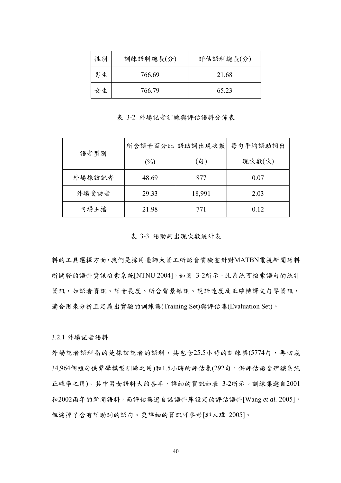| 性別 | 訓練語料總長(分) | 評估語料總長(分) |
|----|-----------|-----------|
| 男生 | 766.69    | 21.68     |
| 女生 | 766.79    | 65 23     |

表 3-2 外場記者訓練與評估語料分佈表

| 語者型別   |        | 所含語音百分比 語助詞出現次數 | 每句平均語助詞出 |
|--------|--------|-----------------|----------|
|        | $(\%)$ | (5)             | 現次數(次)   |
| 外場採訪記者 | 48.69  | 877             | 0.07     |
| 外場受訪者  | 29.33  | 18,991          | 2.03     |
| 內場主播   | 21.98  | 771             | 0.12     |

表 3-3 語助詞出現次數統計表

料的工具選擇方面,我們是採用臺師大資工所語音實驗室針對MATBN電視新聞語料 所開發的語料資訊檢索系統[NTNU 2004], 如圖 3-2所示。此系統可檢索語句的統計 資訊,如語者資訊、語音長度、所含背景雜訊、說話速度及正確轉譯文句等資訊, 適合用來分析且定義出實驗的訓練集(Training Set)與評估集(Evaluation Set)。

3.2.1 外場記者語料

外場記者語料指的是採訪記者的語料,共包含25.5小時的訓練集(5774句,再切成 34,964個短句供聲學模型訓練之用)和1.5小時的評估集(292句,供評估語音辨識系統 正確率之用)。其中男女語料大約各半,詳細的資訊如表 3-2所示。訓練集選自2001 和2002兩年的新聞語料,而評估集選自該語料庫設定的評估語料[Wang *et al.* 2005], 但濾掉了含有語助詞的語句。更詳細的資訊可參考[郭人瑋 2005]。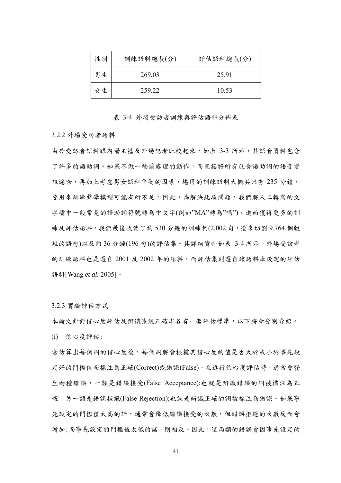| 性別 | 訓練語料總長(分) | 評估語料總長(分) |
|----|-----------|-----------|
| 男生 | 269.03    | 25.91     |
| 女生 | 259 22    | 10.53     |

#### 表 3-4 外場受訪者訓練與評估語料分佈表

3.2.2 外場受訪者語料

由於受訪者語料跟內場主播及外場記者比較起來,如表 3-3 所示,其語音資料包含 了許多的語助詞。如果不做一些前處理的動作,而直接將所有包含語助詞的語音資 訊濾除,再加上考慮男女語料平衡的因素,堪用的訓練語料大概共只有 235 分鐘, 要用來訓練聲學模型可能有所不足。因此,為解決此項問題,我們將人工轉寫的文 字檔中一般常見的語助詞符號轉為中文字(例如"MA"轉為"嗎"),進而獲得更多的訓 練及評估語料。我們最後收集了約 530 分鐘的訓練集(2,002 句,後來切割 9,764 個較 短的語句)以及約 36 分鐘(196 句)的評估集。其詳細資料如表 3-4 所示。外場受訪者 的訓練語料也是選自 2001 及 2002 年的語料,而評估集則選自該語料庫設定的評估 語料[Wang *et al.* 2005]。

3.2.3 實驗評估方式

本論文針對信心度評估及辨識系統正確率各有一套評估標準,以下將會分別介紹。 (i) 信心度評估:

當估算出每個詞的信心度後,每個詞將會根據其信心度的值是否大於或小於事先設 定好的門檻值而標注為正確(Correct)或錯誤(False)。在進行信心度評估時,通常會發 生兩種錯誤,一類是錯誤接受(False Acceptance);也就是辨識錯誤的詞被標注為正 確。另一類是錯誤拒絕(False Rejection);也就是辨識正確的詞被標注為錯誤。如果事 先設定的門檻值太高的話,通常會降低錯誤接受的次數,但錯誤拒絕的次數反而會 增加;而事先設定的門檻值太低的話,則相反。因此,這兩類的錯誤會因事先設定的

41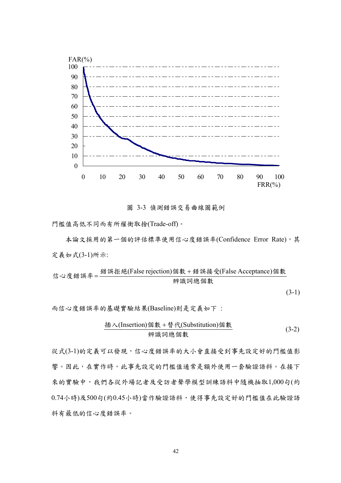

圖 3-3 偵測錯誤交易曲線圖範例

門檻值高低不同而有所權衡取捨(Trade-off)。

本論文採用的第一個的評估標準使用信心度錯誤率(Confidence Error Rate),其 定義如式(3-1)所示:

信心度錯ا  
第2年年年
$$
4 \div 2 \times 10^{-11}
$$

 $(3-1)$ 

而信心度錯誤率的基礎實驗結果(Baseline)則是定義如下 :

$$
\frac{\text{h}\times(\text{Insertion})\text{個數} + \text{h}\times(\text{Substitution})\text{個數}}{\text{m}\times\text{m}\times\text{m}\times\text{m}\times\text{m}\times\text{m}\times\text{m}\times\text{m}\times\text{m}\times\text{m}\times\text{m}\times\text{m}\times\text{m}\times\text{m}\times\text{m}\times\text{m}\times\text{m}\times\text{m}\times\text{m}\times\text{m}\times\text{m}\times\text{m}\times\text{m}\times\text{m}\times\text{m}\times\text{m}\times\text{m}\times\text{m}\times\text{m}\times\text{m}\times\text{m}\times\text{m}\times\text{m}\times\text{m}\times\text{m}\times\text{m}\times\text{m}\times\text{m}\times\text{m}\times\text{m}\times\text{m}\times\text{m}\times\text{m}\times\text{m}\times\text{m}\times\text{m}\times\text{m}\times\text{m}\times\text{m}\times\text{m}\times\text{m}\times\text{m}\times\text{m}\times\text{m}\times\text{m}\times\text{m}\times\text{m}\times\text{m}\times\text{m}\times\text{m}\times\text{m}\times\text{m}\times\text{m}\times\text{m}\times\text{m}\times\text{m}\times\text{m}\times\text{m}\times\text{m}\times\text{m}\times\text{m}\times\text{m}\times\text{m}\times\text{m}\times\text{m}\times\text{m}\times\text{m}\times\text{m}\times\text{m}\times\text{m}\times\text{m}\times\text{m}\times\text{m}\times\text{m}\times\text{m}\times\text{m}\times\text{m}\times\text{m}\times\text{m}\times\text{m}\times\text{m}\times\text{m}\times\text{m}\times\text{m}\times\text{m}\times\text{m}\times\text{m}\times\text{m}\times\text{m}\times\text{m}\times\text{m}\times\text{m}\times\text{m}\times\text{m}\times\text{m}\times\text{m}\times\text{m}\times\text{m}\times\text{m}\times\text{m}\times\text{m}\times\text{m}\times\text{m}\times\text{m}\times\text{m}\times\text{m}\times\text{m}\times\text{m}\times\text{m}\times\text{m}\times\
$$

從式(3-1)的定義可以發現,信心度錯誤率的大小會直接受到事先設定好的門檻值影 響。因此,在實作時,此事先設定的門檻值通常是額外使用一套驗證語料。在接下 來的實驗中,我們各從外場記者及受訪者聲學模型訓練語料中隨機抽取1,000句(約 0.74小時)及500句(約0.45小時)當作驗證語料,使得事先設定好的門檻值在此驗證語 料有最低的信心度錯誤率。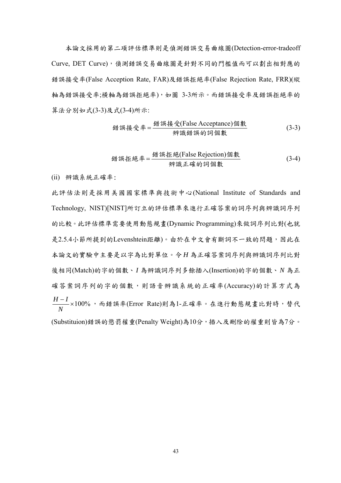本論文採用的第二項評估標準則是偵測錯誤交易曲線圖(Detection-error-tradeoff Curve, DET Curve),偵測錯誤交易曲線圖是針對不同的門檻值而可以劃出相對應的 錯誤接受率(False Acception Rate, FAR)及錯誤拒絕率(False Rejection Rate, FRR)(縱 軸為錯誤接受率;橫軸為錯誤拒絕率),如圖 3-3所示。而錯誤接受率及錯誤拒絕率的 算法分別如式(3-3)及式(3-4)所示:

辨識錯誤的詞個數 錯誤接受 個數 錯誤接受率 (False Acceptance) <sup>=</sup> (3-3)

$$
{\text{#} \; \mathbb{R} \; \mathbb{E} \; \mathbb{R} = \frac{\text{#} \; \mathbb{R} \; \mathbb{E} \; \mathbb{R} \; \mathbb{E} \; \mathbb{R} \; \mathbb{E} \; \mathbb{E} \; \mathbb{E} \; \mathbb{E} \; \mathbb{E} \; \mathbb{E} \; \mathbb{E} \; \mathbb{E} \; \mathbb{E} \; \mathbb{E} \; \mathbb{E} \; \mathbb{E} \; \mathbb{E} \; \mathbb{E} \; \mathbb{E} \; \mathbb{E} \; \mathbb{E} \; \mathbb{E} \; \mathbb{E} \; \mathbb{E} \; \mathbb{E} \; \mathbb{E} \; \mathbb{E} \; \mathbb{E} \; \mathbb{E} \; \mathbb{E} \; \mathbb{E} \; \mathbb{E} \; \mathbb{E} \; \mathbb{E} \; \mathbb{E} \; \mathbb{E} \; \mathbb{E} \; \mathbb{E} \; \mathbb{E} \; \mathbb{E} \; \mathbb{E} \; \mathbb{E} \; \mathbb{E} \; \mathbb{E} \; \mathbb{E} \; \mathbb{E} \; \mathbb{E} \; \mathbb{E} \; \mathbb{E} \; \mathbb{E} \; \mathbb{E} \; \mathbb{E} \; \mathbb{E} \; \mathbb{E} \; \mathbb{E} \; \mathbb{E} \; \mathbb{E} \; \mathbb{E} \; \mathbb{E} \; \mathbb{E} \; \mathbb{E} \; \mathbb{E} \; \mathbb{E} \; \mathbb{E} \; \mathbb{E} \; \mathbb{E} \; \mathbb{E} \; \mathbb{E} \; \mathbb{E} \; \mathbb{E} \; \mathbb{E} \; \mathbb{E} \; \mathbb{E} \; \mathbb{E} \; \mathbb{E} \; \mathbb{E} \; \mathbb{E} \; \mathbb{E} \; \mathbb{E} \; \mathbb{E} \; \mathbb{E} \; \mathbb{E} \; \mathbb{E} \; \mathbb{E} \; \mathbb{E} \; \mathbb{E} \; \mathbb{E} \; \mathbb{E} \; \mathbb{E} \
$$

(ii) 辨識系統正確率:

此評估法則是採用美國國家標準與技術中心(National Institute of Standards and Technology, NIST)[NIST]所訂立的評估標準來進行正確答案的詞序列與辨識詞序列 的比較。此評估標準需要使用動態規畫(Dynamic Programming)來做詞序列比對(也就 是2.5.4小節所提到的Levenshtein距離)。由於在中文會有斷詞不一致的問題,因此在 本論文的實驗中主要是以字為比對單位。令 *H* 為正確答案詞序列與辨識詞序列比對 後相同(Match)的字的個數、*I* 為辨識詞序列多餘插入(Insertion)的字的個數、*N* 為正 確答案詞序列的字的個數,則語音辨識系統的正確率(Accuracy)的計算方式為  $\frac{-I}{\sqrt{1}} \times 100\%$ *N* \_\_\_\_<br>-\_\_\_ ×100% ,而錯誤率(Error Rate)則為1-正確率。在進行動態規畫比對時,替代 (Substituion)錯誤的懲罰權重(Penalty Weight)為10分,插入及刪除的權重則皆為7分。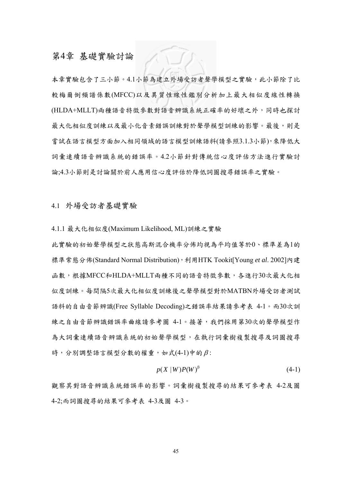# 第4章 基礎實驗討論

本章實驗包含了三小節。4.1小節為建立外場受訪者聲學模型之實驗,此小節除了比 較梅爾倒頻譜係數(MFCC)以及異質性線性鑑別分析加上最大相似度線性轉換 (HLDA+MLLT)兩種語音特徵參數對語音辨識系統正確率的好壞之外,同時也探討 最大化相似度訓練以及最小化音素錯誤訓練對於聲學模型訓練的影響。最後,則是 嘗試在語言模型方面加入相同領域的語言模型訓練語料(請參照3.1.3小節),來降低大 詞彙連續語音辨識系統的錯誤率。4.2小節針對傳統信心度評估方法進行實驗討 論;4.3小節則是討論關於前人應用信心度評估於降低詞圖搜尋錯誤率之實驗。

4.1 外場受訪者基礎實驗

4.1.1 最大化相似度(Maximum Likelihood, ML)訓練之實驗

此實驗的初始聲學模型之狀態高斯混合機率分佈均視為平均值等於0、標準差為1的 標準常態分佈(Standard Normal Distribution),利用HTK Tookit[Young *et al*. 2002]內建 函數,根據MFCC和HLDA+MLLT兩種不同的語音特徵參數,各進行30次最大化相 似度訓練。每間隔5次最大化相似度訓練後之聲學模型對於MATBN外場受訪者測試 語料的自由音節辨識(Free Syllable Decoding)之錯誤率結果請參考表 4-1。而30次訓 練之自由音節辨識錯誤率曲線請參考圖 4-1。接著,我們採用第30次的聲學模型作 為大詞彙連續語音辨識系統的初始聲學模型,在執行詞彙樹複製搜尋及詞圖搜尋 時,分別調整語言模型分數的權重,如式(4-1)中的 $\beta$ :

$$
p(X \mid W)P(W)^{\beta} \tag{4-1}
$$

觀察其對語音辨識系統錯誤率的影響。詞彙樹複製搜尋的結果可參考表 4-2及圖 4-2;而詞圖搜尋的結果可參考表 4-3及圖 4-3。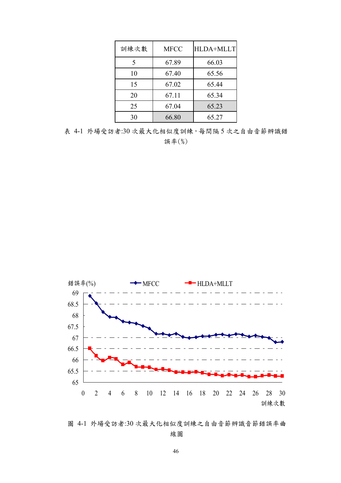| 訓練次數 | <b>MFCC</b> | <b>HLDA+MLLT</b> |
|------|-------------|------------------|
| 5    | 67.89       | 66.03            |
| 10   | 67.40       | 65.56            |
| 15   | 67.02       | 65.44            |
| 20   | 67.11       | 65.34            |
| 25   | 67.04       | 65.23            |
| 30   | 66.80       | 65.27            |

表 4-1 外場受訪者:30 次最大化相似度訓練,每間隔 5 次之自由音節辨識錯 誤率(%)



圖 4-1 外場受訪者:30 次最大化相似度訓練之自由音節辨識音節錯誤率曲 線圖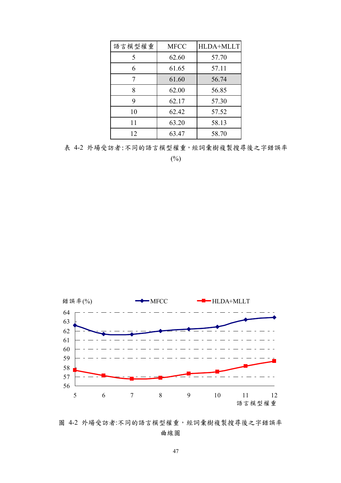| 語言模型權重 | <b>MFCC</b> | <b>HLDA+MLLT</b> |
|--------|-------------|------------------|
| 5      | 62.60       | 57.70            |
| 6      | 61.65       | 57.11            |
| 7      | 61.60       | 56.74            |
| 8      | 62.00       | 56.85            |
| 9      | 62.17       | 57.30            |
| 10     | 62.42       | 57.52            |
| 11     | 63.20       | 58.13            |
| 12     | 63.47       | 58.70            |

表 4-2 外場受訪者:不同的語言模型權重,經詞彙樹複製搜尋後之字錯誤率

 $(\%)$ 



圖 4-2 外場受訪者:不同的語言模型權重,經詞彙樹複製搜尋後之字錯誤率 曲線圖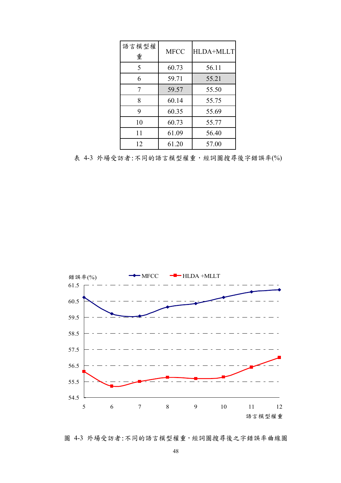| 語言模型權<br>重 | <b>MFCC</b> | HLDA+MLLT |
|------------|-------------|-----------|
| 5          | 60.73       | 56.11     |
| 6          | 59.71       | 55.21     |
| 7          | 59.57       | 55.50     |
| 8          | 60.14       | 55.75     |
| 9          | 60.35       | 55.69     |
| 10         | 60.73       | 55.77     |
| 11         | 61.09       | 56.40     |
| 12         | 61.20       | 57.00     |

表 4-3 外場受訪者:不同的語言模型權重,經詞圖搜尋後字錯誤率(%)



圖 4-3 外場受訪者:不同的語言模型權重,經詞圖搜尋後之字錯誤率曲線圖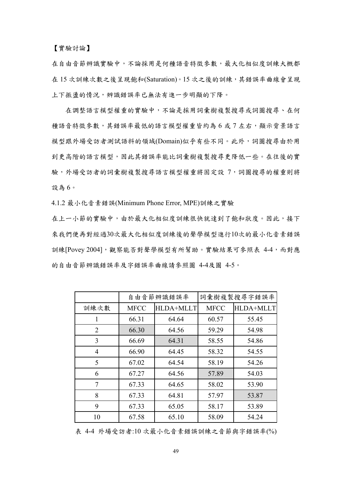【實驗討論】

在自由音節辨識實驗中,不論採用是何種語音特徵參數,最大化相似度訓練大概都 在 15 次訓練次數之後呈現飽和(Saturation)。15 次之後的訓練,其錯誤率曲線會呈現 上下振盪的情況,辨識錯誤率已無法有進一步明顯的下降。

在調整語言模型權重的實驗中,不論是採用詞彙樹複製搜尋或詞圖搜尋、在何 種語音特徵參數,其錯誤率最低的語言模型權重皆約為 6 或 7 左右,顯示背景語言 模型跟外場受訪者測試語料的領域(Domain)似乎有些不同。此外,詞圖搜尋由於用 到更高階的語言模型,因此其錯誤率能比詞彙樹複製搜尋更降低一些。在往後的實 驗,外場受訪者的詞彙樹複製搜尋語言模型權重將固定設 7,詞圖搜尋的權重則將 設為 6。

4.1.2 最小化音素錯誤(Minimum Phone Error, MPE)訓練之實驗

在上一小節的實驗中,由於最大化相似度訓練很快就達到了飽和狀度。因此,接下 來我們便再對經過30次最大化相似度訓練後的聲學模型進行10次的最小化音素錯誤 訓練[Povey 2004], 觀察能否對聲學模型有所幫助。實驗結果可參照表 4-4,而對應 的自由音節辨識錯誤率及字錯誤率曲線請參照圖 4-4及圖 4-5。

|      |             | 自由音節辨識錯誤率        |             | 詞彙樹複製搜尋字錯誤率      |
|------|-------------|------------------|-------------|------------------|
| 訓練次數 | <b>MFCC</b> | <b>HLDA+MLLT</b> | <b>MFCC</b> | <b>HLDA+MLLT</b> |
| 1    | 66.31       | 64.64            | 60.57       | 55.45            |
| 2    | 66.30       | 64.56            | 59.29       | 54.98            |
| 3    | 66.69       | 64.31            | 58.55       | 54.86            |
| 4    | 66.90       | 64.45            | 58.32       | 54.55            |
| 5    | 67.02       | 64.54            | 58.19       | 54.26            |
| 6    | 67.27       | 64.56            | 57.89       | 54.03            |
| 7    | 67.33       | 64.65            | 58.02       | 53.90            |
| 8    | 67.33       | 64.81            | 57.97       | 53.87            |
| 9    | 67.33       | 65.05            | 58.17       | 53.89            |
| 10   | 67.58       | 65.10            | 58.09       | 54.24            |

表 4-4 外場受訪者:10 次最小化音素錯誤訓練之音節與字錯誤率(%)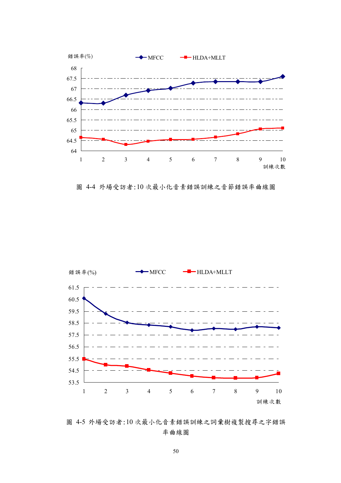

圖 4-4 外場受訪者:10 次最小化音素錯誤訓練之音節錯誤率曲線圖



圖 4-5 外場受訪者:10 次最小化音素錯誤訓練之詞彚樹複製搜尋之字錯誤 率曲線圖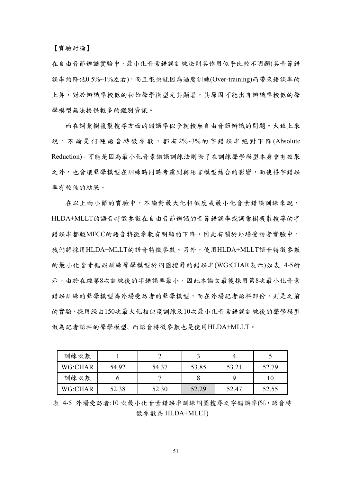【實驗討論】

在自由音節辨識實驗中,最小化音素錯誤訓練法則其作用似乎比較不明顯(其音節錯 誤率約降低0.5%~1%左右),而且很快就因為過度訓練(Over-training)而帶來錯誤率的 上昇,對於辨識率較低的初始聲學模型尤其顯著,其原因可能出自辨識率較低的聲 學模型無法提供較多的鑑別資訊。

而在詞彙樹複製搜尋方面的錯誤率似乎就較無自由音節辨識的問題。大致上來 說,不論是何種語音特徵參數,都有2%~3%的字錯誤率絕對下降(Absolute Reduction)。可能是因為最小化音素錯誤訓練法則除了在訓練聲學模型本身會有效果 之外,也會讓聲學模型在訓練時同時考慮到與語言模型結合的影響,而使得字錯誤 率有較佳的結果。

在以上兩小節的實驗中,不論對最大化相似度或最小化音素錯誤訓練來說, HLDA+MLLT的語音特徵參數在自由音節辨識的音節錯誤率或詞彙樹複製搜尋的字 錯誤率都較MFCC的語音特徵參數有明顯的下降,因此有關於外場受訪者實驗中, 我們將採用HLDA+MLLT的語音特徵參數。另外,使用HLDA+MLLT語音特徵參數 的最小化音素錯誤訓練聲學模型於詞圖搜尋的錯誤率(WG:CHAR表示)如表 4-5所 示。由於在經第8次訓練後的字錯誤率最小,因此本論文最後採用第8次最小化音素 錯誤訓練的聲學模型為外場受訪者的聲學模型,而在外場記者語料部份,則是之前 的實驗,採用經由150次最大化相似度訓練及10次最小化音素錯誤訓練後的聲學模型 做為記者語料的聲學模型, 而語音特徵參數也是使用HLDA+MLLT。

| 訓練次數    |       |       |       |       |       |
|---------|-------|-------|-------|-------|-------|
| WG:CHAR | 54.92 | 54.37 | 53.85 | 53.21 | 52.79 |
| 訓練次數    |       |       |       |       |       |
| WG:CHAR | 52.38 | 52.30 | 52.29 | 52.47 | 52.55 |

表 4-5 外場受訪者:10 次最小化音素錯誤率訓練詞圖搜尋之字錯誤率(%,語音特 徵參數為 HLDA+MLLT)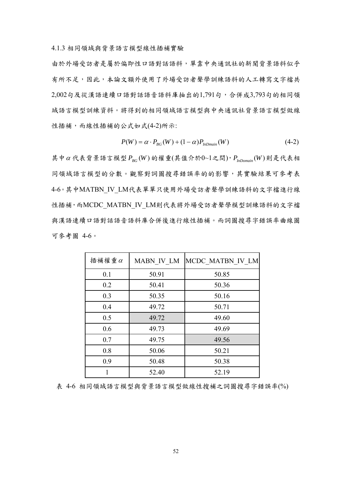4.1.3 相同領域與背景語言模型線性插補實驗

由於外場受訪者是屬於偏即性口語對話語料,單靠中央通訊社的新聞背景語料似乎 有所不足,因此,本論文額外使用了外場受訪者聲學訓練語料的人工轉寫文字檔共 2,002句及從漢語連續口語對話語音語料庫抽出的1,791句,合併成3,793句的相同領 域語言模型訓練資料。將得到的相同領域語言模型與中央通訊社背景語言模型做線 性插補,而線性插補的公式如式(4-2)所示:

$$
P(W) = \alpha \cdot P_{BG}(W) + (1 - \alpha) P_{inDmain}(W)
$$
\n(4-2)

其中α代表背景語言模型  $P_{BG}$  (*W*) 的權重(其值介於0~1之間),  $P_{inDomain}$  (*W*) 則是代表相 同領域語言模型的分數。觀察對詞圖搜尋錯誤率的的影響,其實驗結果可參考表 4-6。其中MATBN IV LM代表單單只使用外場受訪者聲學訓練語料的文字檔進行線 性插補,而MCDC\_MATBN\_IV\_LM則代表將外場受訪者聲學模型訓練語料的文字檔 與漢語連續口語對話語音語料庫合併後進行線性插補。而詞圖搜尋字錯誤率曲線圖 可參考圖 4-6。

| 插補權重 $\alpha$ | MABN IV LM | MCDC MATBN IV LM |
|---------------|------------|------------------|
| 0.1           | 50.91      | 50.85            |
| 0.2           | 50.41      | 50.36            |
| 0.3           | 50.35      | 50.16            |
| 0.4           | 49.72      | 50.71            |
| 0.5           | 49.72      | 49.60            |
| 0.6           | 49.73      | 49.69            |
| 0.7           | 49.75      | 49.56            |
| 0.8           | 50.06      | 50.21            |
| 0.9           | 50.48      | 50.38            |
|               | 52.40      | 52.19            |

表 4-6 相同領域語言模型與背景語言模型做線性搜補之詞圖搜尋字錯誤率(%)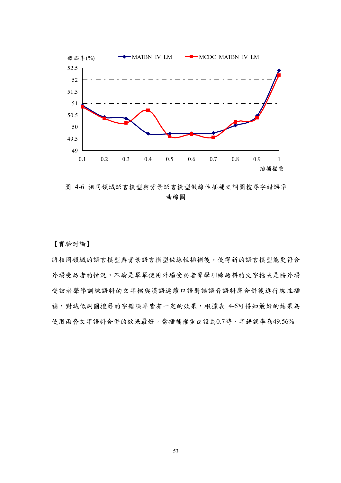

圖 4-6 相同領域語言模型與背景語言模型做線性插補之詞圖搜尋字錯誤率 曲線圖

【實驗討論】

將相同領域的語言模型與背景語言模型做線性插補後,使得新的語言模型能更符合 外場受訪者的情況,不論是單單使用外場受訪者聲學訓練語料的文字檔或是將外場 受訪者聲學訓練語料的文字檔與漢語連續口語對話語音語料庫合併後進行線性插 補,對減低詞圖搜尋的字錯誤率皆有一定的效果,根據表 4-6可得知最好的結果為 使用兩套文字語料合併的效果最好,當插補權重<sup>α</sup> 設為0.7時,字錯誤率為49.56%。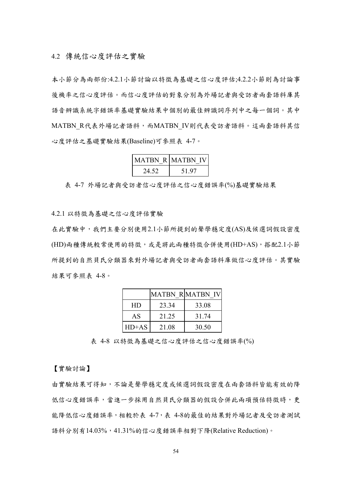本小節分為兩部份:4.2.1小節討論以特徵為基礎之信心度評估;4.2.2小節則為討論事 後機率之信心度評估。而信心度評估的對象分別為外場記者與受訪者兩套語料庫其 語音辨識系統字錯誤率基礎實驗結果中個別的最佳辨識詞序列中之每一個詞。其中 MATBN R代表外場記者語料,而MATBN IV則代表受訪者語料。這兩套語料其信 心度評估之基礎實驗結果(Baseline)可參照表 4-7。

|       | <b>MATBN_R MATBN IV</b> |
|-------|-------------------------|
| 24.52 | 51.97                   |

表 4-7 外場記者與受訪者信心度評估之信心度錯誤率(%)基礎實驗結果

4.2.1 以特徵為基礎之信心度評估實驗

在此實驗中,我們主要分別使用2.1小節所提到的聲學穩定度(AS)及候選詞假設密度 (HD)兩種傳統較常使用的特徵,或是將此兩種特徵合併使用(HD+AS),搭配2.1小節 所提到的自然貝氏分類器來對外場記者與受訪者兩套語料庫做信心度評估。其實驗 結果可參照表 4-8。

|         |       | <b>MATBN RMATBN IV</b> |
|---------|-------|------------------------|
| HD      | 23.34 | 33.08                  |
| AS      | 21 25 | 31 74                  |
| $HD+AS$ | 21.08 | 30.50                  |

表 4-8 以特徵為基礎之信心度評估之信心度錯誤率(%)

【實驗討論】

由實驗結果可得知,不論是聲學穩定度或候選詞假設密度在兩套語料皆能有效的降 低信心度錯誤率,當進一步採用自然貝氏分類器的假設合併此兩項預估特徵時,更 能降低信心度錯誤率,相較於表 4-7,表 4-8的最佳的結果對外場記者及受訪者測試 語料分別有14.03%,41.31%的信心度錯誤率相對下降(Relative Reduction)。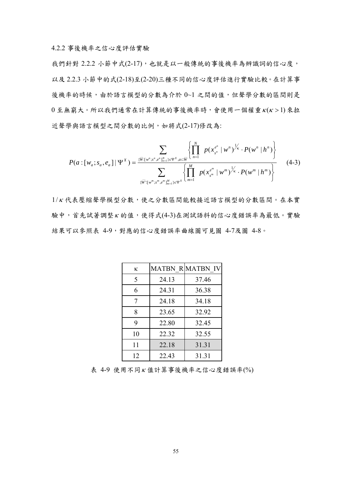4.2.2 事後機率之信心度評估實驗

我們針對 2.2.2 小節中式(2-17),也就是以一般傳統的事後機率為辨識詞的信心度, 以及 2.2.3 小節中的式(2-18)至(2-20)三種不同的信心度評估進行實驗比較。在計算事 後機率的時候,由於語言模型的分數為介於 0~1 之間的值,但聲學分數的區間則是  $0 \n *0*$  至無窮大。所以我們通常在計算傳統的事後機率時,會使用一個權重 $K(K > 1)$ 來拉 近聲學與語言模型之間分數的比例,如將式(2-17)修改為:

$$
P(a:[w_a;s_a,e_a] | \Psi^X) = \frac{\sum_{\{\overline{W}:[w^n;s^n,e^n]_{n=1}^N\}\in \Psi^X, a\subset \overline{W}} \left\{ \prod_{n=1}^N p(x_{s^n}^{e^n} | w^n)^{\frac{1}{K}} \cdot P(w^n | h^n) \right\}}{\sum_{\{\overline{W}:[w^m;s^m,e^m]_{m=1}^M\}\in \Psi^X} \left\{ \prod_{m=1}^M p(x_{s^m}^{e^m} | w^m)^{\frac{1}{K}} \cdot P(w^m | h^m) \right\}}
$$
(4-3)

1/<sup>κ</sup> 代表壓縮聲學模型分數,使之分數區間能較接近語言模型的分數區間。在本實 驗中,首先試著調整<sup>κ</sup> 的值,使得式(4-3)在測試語料的信心度錯誤率為最低。實驗 結果可以參照表 4-9,對應的信心度錯誤率曲線圖可見圖 4-7及圖 4-8。

| ĸ  |       | MATBN R MATBN IV |
|----|-------|------------------|
| 5  | 24.13 | 37.46            |
| 6  | 24.31 | 36.38            |
| 7  | 24.18 | 34.18            |
| 8  | 23.65 | 32.92            |
| 9  | 22.80 | 32.45            |
| 10 | 22.32 | 32.55            |
| 11 | 22.18 | 31.31            |
| 12 | 22.43 | 31.31            |

表 4-9 使用不同<sup>κ</sup> 值計算事後機率之信心度錯誤率(%)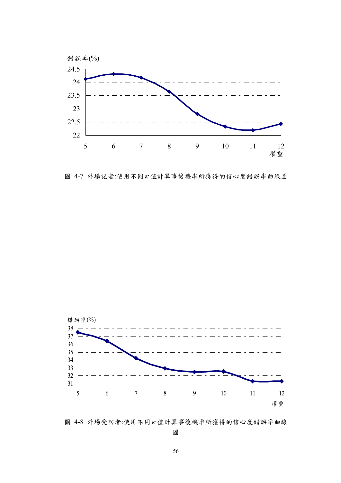

圖 4-7 外場記者:使用不同<sup>κ</sup> 值計算事後機率所獲得的信心度錯誤率曲線圖



圖 4-8 外場受訪者:使用不同<sup>κ</sup> 值計算事後機率所獲得的信心度錯誤率曲線

圖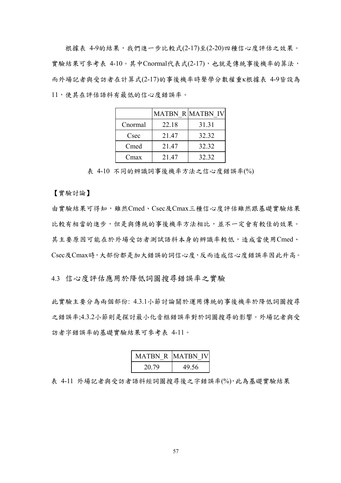根據表 4-9的結果,我們進一步比較式(2-17)至(2-20)四種信心度評估之效果。 實驗結果可參考表 4-10。其中Cnormal代表式(2-17),也就是傳統事後機率的算法, 而外場記者與受訪者在計算式(2-17)的事後機率時聲學分數權重κ根據表 4-9皆設為 11,使其在評估語料有最低的信心度錯誤率。

|         |       | <b>MATBN R MATBN IV</b> |
|---------|-------|-------------------------|
| Cnormal | 22.18 | 31.31                   |
| Csec    | 21.47 | 32.32                   |
| Cmed    | 21.47 | 32.32                   |
| Cmax    | 21.47 | 32.32                   |

表 4-10 不同的辨識詞事後機率方法之信心度錯誤率(%)

【實驗討論】

由實驗結果可得知,雖然Cmed、Csec及Cmax三種信心度評估雖然跟基礎實驗結果 比較有相當的進步,但是與傳統的事後機率方法相比,並不一定會有較佳的效果。 其主要原因可能在於外場受訪者測試語料本身的辨識率較低,造成當使用Cmed、 Csec及Cmax時,大部份都是加大錯誤的詞信心度,反而造成信心度錯誤率因此升高。

4.3 信心度評估應用於降低詞圖搜尋錯誤率之實驗

此實驗主要分為兩個部份: 4.3.1小節討論關於運用傳統的事後機率於降低詞圖搜尋 之錯誤率;4.3.2小節則是探討最小化音框錯誤率對於詞圖搜尋的影響。外場記者與受 訪者字錯誤率的基礎實驗結果可參考表 4-11。

|       | MATBN_R MATBN_IV |
|-------|------------------|
| 20.79 | 49.56            |

表 4-11 外場記者與受訪者語料經詞圖搜尋後之字錯誤率(%),此為基礎實驗結果

57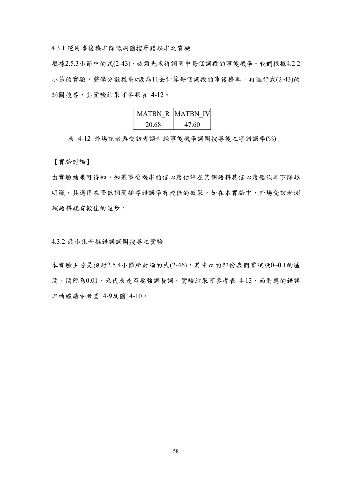4.3.1 運用事後機率降低詞圖搜尋錯誤率之實驗

根據2.5.3小節中的式(2-43),必須先求得詞圖中每個詞段的事後機率。我們根據4.2.2 小節的實驗,聲學分數權重κ設為11去計算每個詞段的事後機率,再進行式(2-43)的 詞圖搜尋,其實驗結果可參照表 4-12。

| <b>MATBN R MATBN IV</b> |       |
|-------------------------|-------|
| 20.68                   | 47.60 |

表 4-12 外場記者與受訪者語料經事後機率詞圖搜尋後之字錯誤率(%)

【實驗討論】

由實驗結果可得知,如果事後機率的信心度估評在某個語料其信心度錯誤率下降越 明顯,其運用在降低詞圖插尋錯誤率有較佳的效果。如在本實驗中,外場受訪者測 試語料就有較佳的進步。

4.3.2 最小化音框錯誤詞圖搜尋之實驗

本實驗主要是探討2.5.4小節所討論的式(2-46),其中<sup>α</sup> 的部份我們嘗試設0~0.1的區 間,間隔為0.01,來代表是否要強調長詞。實驗結果可參考表 4-13,而對應的錯誤 率曲線請參考圖 4-9及圖 4-10。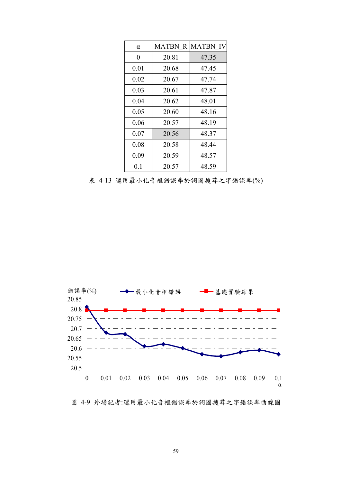| $\alpha$ |       | <b>MATBN R MATBN IV</b> |
|----------|-------|-------------------------|
| $\theta$ | 20.81 | 47.35                   |
| 0.01     | 20.68 | 47.45                   |
| 0.02     | 20.67 | 47.74                   |
| 0.03     | 20.61 | 47.87                   |
| 0.04     | 20.62 | 48.01                   |
| 0.05     | 20.60 | 48.16                   |
| 0.06     | 20.57 | 48.19                   |
| 0.07     | 20.56 | 48.37                   |
| 0.08     | 20.58 | 48.44                   |
| 0.09     | 20.59 | 48.57                   |
| $0.1\,$  | 20.57 | 48.59                   |

表 4-13 運用最小化音框錯誤率於詞圖搜尋之字錯誤率(%)



圖 4-9 外場記者:運用最小化音框錯誤率於詞圖搜尋之字錯誤率曲線圖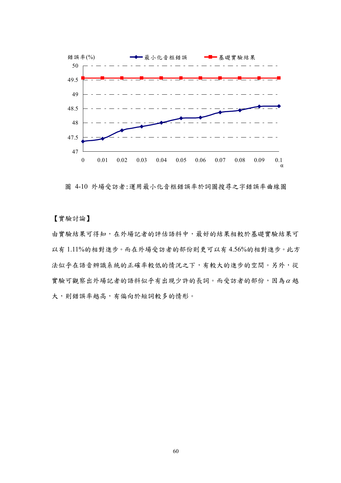

圖 4-10 外場受訪者:運用最小化音框錯誤率於詞圖搜尋之字錯誤率曲線圖

【實驗討論】

由實驗結果可得知,在外場記者的評估語料中,最好的結果相較於基礎實驗結果可 以有 1.11%的相對進步。而在外場受訪者的部份則更可以有 4.56%的相對進步。此方 法似乎在語音辨識系統的正確率較低的情況之下,有較大的進步的空間。另外,從 實驗可觀察出外場記者的語料似乎有出現少許的長詞。而受訪者的部份,因為<sup>α</sup> 越 大,則錯誤率越高,有偏向於短詞較多的情形。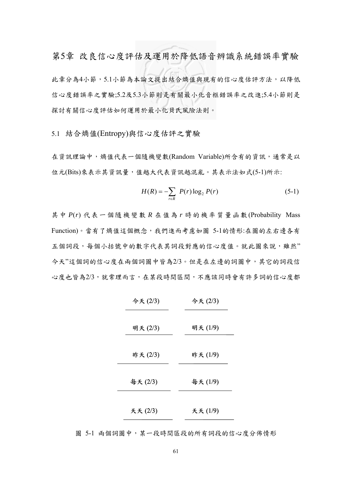第5章 改良信心度評估及運用於降低語音辨識系統錯誤率實驗 此章分為4小節,5.1小節為本論文提出結合熵值與現有的信心度估評方法,以降低 信心度錯誤率之實驗;5.2及5.3小節則是有關最小化音框錯誤率之改進;5.4小節則是 探討有關信心度評估如何運用於最小化貝氏風險法則。

5.1 結合熵值(Entropy)與信心度估評之實驗

在資訊理論中,熵值代表一個隨機變數(Random Variable)所含有的資訊,通常是以 位元(Bits)來表示其資訊量,值越大代表資訊越混亂。其表示法如式(5-1)所示:

$$
H(R) = -\sum_{r \in R} P(r) \log_2 P(r)
$$
 (5-1)

其中 *P*(*r*) 代表一個隨機變數 *R* 在值為 *r* 時的機率質量函數(Probability Mass Function)。當有了熵值這個概念,我們進而考慮如圖 5-1的情形:在圖的左右邊各有 五個詞段,每個小括號中的數字代表其詞段對應的信心度值。就此圖來說,雖然" 今天"這個詞的信心度在兩個詞圖中皆為2/3。但是在左邊的詞圖中,其它的詞段信 心度也皆為2/3,就常理而言,在某段時間區間,不應該同時會有許多詞的信心度都

| 今天(2/3)  | 今天(2/3) |
|----------|---------|
| 明天 (2/3) | 明天(1/9) |
| 昨天(2/3)  | 昨天(1/9) |
| 每天(2/3)  | 每天(1/9) |
| 天天(2/3)  | 天天(1/9) |

圖 5-1 兩個詞圖中,某一段時間區段的所有詞段的信心度分佈情形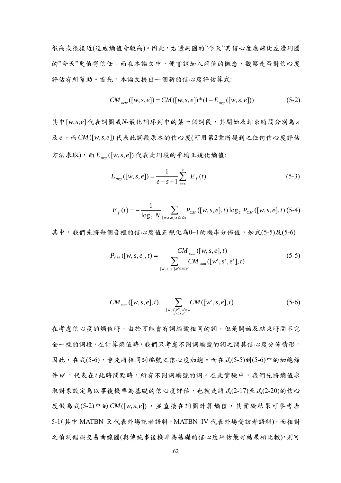很高或很接近(造成熵值會較高)。因此,右邊詞圖的"今天"其信心度應該比左邊詞圖 的"今天"更值得信任。而在本論文中,便嘗試加入熵值的概念,觀察是否對信心度 評估有所幫助。首先,本論文提出一個新的信心度評估算式:

$$
CM_{new}([w, s, e]) = CM([w, s, e]) * (1 - E_{avg}([w, s, e]))
$$
\n(5-2)

其中[*w*,*s*,*e*]代表詞圖或*N*-最化詞序列中的某一個詞段,其開始及結束時間分別為 *s* 及*e*,而*CM* ([*w*,*s*,*e*]) 代表此詞段原本的信心度(可用第2章所提到之任何信心度評估 方法求取),而 *E* ([*w*,*s*, *e*]) *avg* 代表此詞段的平均正規化熵值:

$$
E_{avg}([w, s, e]) = \frac{1}{e - s + 1} \sum_{t=s}^{e} E_f(t)
$$
 (5-3)

$$
E_{f}(t) = -\frac{1}{\log_{2} N} \sum_{[w,s,e], s \le t \le e} P_{CM} ([w,s,e],t) \log_{2} P_{CM} ([w,s,e],t) (5-4)
$$

其中,我們先將每個音框的信心度值正規化為0~1的機率分佈值,如式(5-5)及(5-6)

$$
P_{CM}([w,s,e],t) = \frac{CM_{sum}([w,s,e],t)}{\sum_{[w',s',e'],e'\leq t\leq e'} CM_{sum}([w',s',e'],t)}
$$
(5-5)

$$
CM_{sum}([w,s,e],t) = \sum_{\substack{[w',s',e'],w'=w\\s'\leq t\leq e'}} CM([w',s,e],t)
$$
 (5-6)

在考慮信心度的熵值時,由於可能會有詞編號相同的詞,但是開始及結束時間不完 全一樣的詞段,在計算熵值時,我們只考慮不同詞編號的詞之間其信心度分佈情形。 因此,在式(5-6),會先將相同詞編號之信心度加總。而在式(5-5)到(5-6)中的加總條 件w',代表在t此時間點時,所有不同詞編號的詞。在此實驗中,我們先將熵值求 取對象設定為以事後機率為基礎的信心度評估,也就是將式(2-17)至式(2-20)的信心 度做為式(5-2)中的*CM* ([*w*,*s*, *e*]) ,並直接在詞圖計算熵值,其實驗結果可參考表 5-1(其中 MATBN R 代表外場記者語料,MATBN IV 代表外場受訪者語料),而相對 之偵測錯誤交易曲線圖(與傳統事後機率為基礎的信心度評估最好結果相比較),則可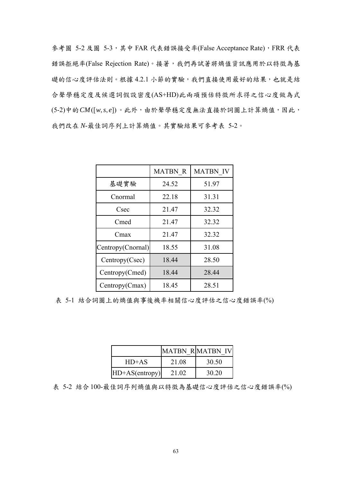參考圖 5-2 及圖 5-3,其中 FAR 代表錯誤接受率(False Acceptance Rate), FRR 代表 錯誤拒絕率(False Rejection Rate)。接著,我們再試著將熵值資訊應用於以特徵為基 礎的信心度評估法則。根據 4.2.1 小節的實驗,我們直接使用最好的結果,也就是結 合聲學穩定度及候選詞假設密度(AS+HD)此兩項預估特徵所求得之信心度做為式 (5-2)中的*CM*([*w*,*s*, *e*])。此外,由於聲學穩定度無法直接於詞圖上計算熵值,因此, 我們改在 *N*-最佳詞序列上計算熵值。其實驗結果可參考表 5-2。

|                   | <b>MATBN R</b> | <b>MATBN IV</b> |
|-------------------|----------------|-----------------|
| 基礎實驗              | 24.52          | 51.97           |
| Cnormal           | 22.18          | 31.31           |
| Csec              | 21.47          | 32.32           |
| Cmed              | 21.47          | 32.32           |
| Cmax              | 21.47          | 32.32           |
| Centropy(Cnornal) | 18.55          | 31.08           |
| Centropy(Csec)    | 18.44          | 28.50           |
| Centropy(Cmed)    | 18.44          | 28.44           |
| Centropy(Cmax)    | 18.45          | 28.51           |

表 5-1 結合詞圖上的熵值與事後機率相關信心度評估之信心度錯誤率(%)

|                  |       | MATBN R MATBN IV |
|------------------|-------|------------------|
| $HD+AS$          | 21.08 | 30.50            |
| $HD+AS(entropy)$ | 21 02 | 30.20            |

表 5-2 結合100-最佳詞序列熵值與以特徵為基礎信心度評估之信心度錯誤率(%)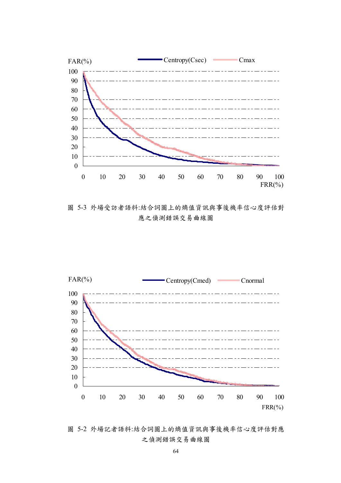

圖 5-3 外場受訪者語料:結合詞圖上的熵值資訊與事後機率信心度評估對 應之偵測錯誤交易曲線圖



圖 5-2 外場記者語料:結合詞圖上的熵值資訊與事後機率信心度評估對應 之偵測錯誤交易曲線圖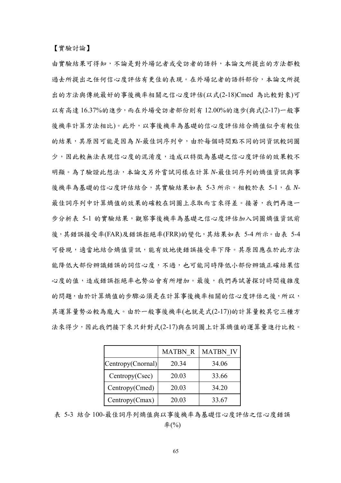【實驗討論】

由實驗結果可得知,不論是對外場記者或受訪者的語料,本論文所提出的方法都較 過去所提出之任何信心度評估有更佳的表現。在外場記者的語料部份,本論文所提 出的方法與傳統最好的事後機率相關之信心度評估(以式(2-18)Cmed 為比較對象)可 以有高達 16.37%的進步,而在外場受訪者部份則有 12.00%的進步(與式(2-17)一般事 後機率計算方法相比)。此外,以事後機率為基礎的信心度評估結合熵值似乎有較佳 的結果,其原因可能是因為 N-最佳詞序列中,由於每個時間點不同的詞資訊較詞圖 少,因此較無法表現信心度的混淆度,造成以特徵為基礎之信心度評估的效果較不 明顯。為了驗證此想法,本論文另外嘗試同樣在計算 *N*-最佳詞序列的熵值資訊與事 後機率為基礎的信心度評估結合,其實驗結果如表 5-3 所示。相較於表 5-1,在 N-最佳詞序列中計算熵值的效果的確較在詞圖上求取而言來得差。接著,我們再進一 步分析表 5-1 的實驗結果,觀察事後機率為基礎之信心度評估加入詞圖熵值資訊前 後,其錯誤接受率(FAR)及錯誤拒絕率(FRR)的變化,其結果如表 5-4 所示。由表 5-4 可發現,適當地結合熵值資訊,能有效地使錯誤接受率下降。其原因應在於此方法 能降低大部份辨識錯誤的詞信心度,不過,也可能同時降低小部份辨識正確結果信 心度的值,造成錯誤拒絕率也勢必會有所增加。最後,我們再試著探討時間複雜度 的問題,由於計算熵值的步驟必須是在計算事後機率相關的信心度評估之後,所以, 其運算量勢必較為龐大。由於一般事後機率(也就是式(2-17))的計算量較其它三種方 法來得少,因此我們接下來只針對式(2-17)與在詞圖上計算熵值的運算量進行比較。

|                   | <b>MATBN R</b> | <b>MATBN IV</b> |
|-------------------|----------------|-----------------|
| Centropy(Cnornal) | 20.34          | 34.06           |
| Centropy(Csec)    | 20.03          | 33.66           |
| Centropy(Cmed)    | 20.03          | 34.20           |
| Centropy(Cmax)    | 20.03          | 33.67           |

表 5-3 結合 100-最佳詞序列熵值與以事後機率為基礎信心度評估之信心度錯誤 率(%)

65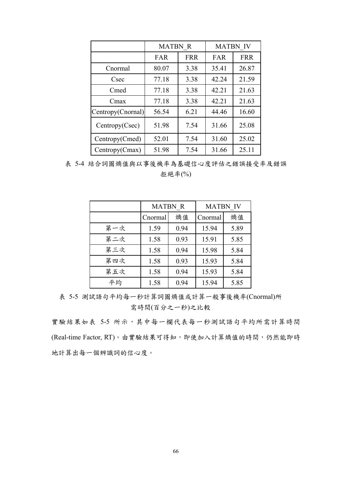|                   | <b>MATBN R</b> |            | <b>MATBN IV</b> |            |
|-------------------|----------------|------------|-----------------|------------|
|                   | <b>FAR</b>     | <b>FRR</b> | FAR             | <b>FRR</b> |
| Cnormal           | 80.07          | 3.38       | 35.41           | 26.87      |
| Csec              | 77.18          | 3.38       | 42.24           | 21.59      |
| Cmed              | 77.18          | 3.38       | 42.21           | 21.63      |
| Cmax              | 77.18          | 3.38       | 42.21           | 21.63      |
| Centropy(Cnornal) | 56.54          | 6.21       | 44.46           | 16.60      |
| Centropy(Csec)    | 51.98          | 7.54       | 31.66           | 25.08      |
| Centropy(Cmed)    | 52.01          | 7.54       | 31.60           | 25.02      |
| Centropy(Cmax)    | 51.98          | 7.54       | 31.66           | 25.11      |

表 5-4 結合詞圖熵值與以事後機率為基礎信心度評估之錯誤接受率及錯誤 拒絕率(%)

|     | <b>MATBN R</b> |      |         | <b>MATBN IV</b> |  |
|-----|----------------|------|---------|-----------------|--|
|     | Cnormal        | 熵值   | Cnormal | 熵值              |  |
| 第一次 | 1.59           | 0.94 | 15.94   | 5.89            |  |
| 第二次 | 1.58           | 0.93 | 15.91   | 5.85            |  |
| 第三次 | 1.58           | 0.94 | 15.98   | 5.84            |  |
| 第四次 | 1.58           | 0.93 | 15.93   | 5.84            |  |
| 第五次 | 1.58           | 0.94 | 15.93   | 5.84            |  |
| 平均  | 1.58           | 0.94 | 15.94   | 5.85            |  |

表 5-5 測試語句平均每一秒計算詞圖熵值或計算一般事後機率(Cnormal)所 需時間(百分之一秒)之比較

實驗結果如表 5-5 所示,其中每一欄代表每一秒測試語句平均所需計算時間 (Real-time Factor, RT)。由實驗結果可得知,即使加入計算熵值的時間,仍然能即時 地計算出每一個辨識詞的信心度。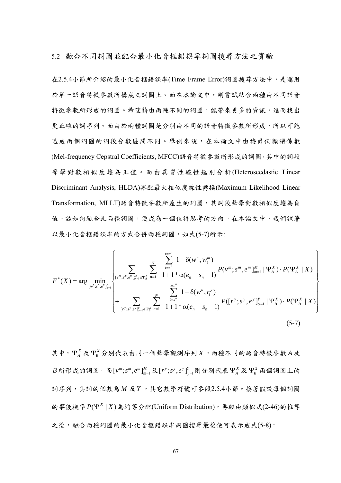5.2 融合不同詞圖並配合最小化音框錯誤率詞圖搜尋方法之實驗

在2.5.4小節所介紹的最小化音框錯誤率(Time Frame Error)詞圖搜尋方法中,是運用 於單一語音特徵參數所構成之詞圖上。而在本論文中,則嘗試結合兩種由不同語音 特徵參數所形成的詞圖。希望藉由兩種不同的詞圖,能帶來更多的資訊,進而找出 更正確的詞序列。而由於兩種詞圖是分別由不同的語音特徵參數所形成,所以可能 造成兩個詞圖的詞段分數區間不同。舉例來說,在本論文中由梅爾倒頻譜係數 (Mel-frequency Cepstral Coefficients, MFCC)語音特徵參數所形成的詞圖,其中的詞段 聲學對數相似度趨為正值。而由異質性線性鑑別分析(Heteroscedastic Linear Discriminant Analysis, HLDA)搭配最大相似度線性轉換(Maximum Likelihood Linear Transformation, MLLT)語音特徵參數所產生的詞圖,其詞段聲學對數相似度趨為負 值。該如何融合此兩種詞圖,便成為一個值得思考的方向。在本論文中,我們試著 以最小化音框錯誤率的方式合併兩種詞圖,如式(5-7)所示:

$$
F^{*}(X) = \arg\min_{[w^{n};s^{n},e^{n}]_{n=1}^{N}} \left\{\sum_{[v^{m};s^{m},e^{m}]_{m=1}^{M}\in \Psi_{A}^{X}} \sum_{n=1}^{N} \frac{\sum_{t=s^{n}}^{1-\delta(w^{n},w^{m}_{t})}}{1+1*\alpha(e_{n}-s_{n}-1)} P(v^{m};s^{m},e^{m}]_{m=1}^{M} |\Psi_{A}^{X}) \cdot P(\Psi_{A}^{X}|X) \right\} + \sum_{[r^{y};s^{y},e^{y}]_{y=1}^{Y}\in \Psi_{B}^{X}} \sum_{n=1}^{N} \frac{\sum_{t=s^{n}}^{1-\delta(w^{n},r^{y})}}{1+1*\alpha(e_{n}-s_{n}-1)} P([r^{y};s^{y},e^{y}]_{y=1}^{Y} |\Psi_{B}^{X}) \cdot P(\Psi_{B}^{X}|X) \right\}
$$
(5-7)

其中,  $\Psi_{A}^{X}$  及 $\Psi_{B}^{X}$  分別代表由同一個聲學觀測序列 *X*, 兩種不同的語音特徵參數 *A* 及  $B$  所形成的詞圖。而 $[v^m;s^m,e^m]_{m=1}^M$ 及 $[r^{\mathrm y};s^{\mathrm y},e^{\mathrm y}]_{\mathrm y=1}^Y$ 則分別代表 $\Psi_{A}^X$ 及 $\Psi_{B}^X$ 兩個詞圖上的 詞序列,其詞的個數為 *M* 及*Y* ,其它數學符號可參照2.5.4小節。接著假設每個詞圖 的事後機率  $P(Y^X | X)$ 為均等分配(Uniform Distribution),再經由類似式(2-46)的推導 之後,融合兩種詞圖的最小化音框錯誤率詞圖搜尋最後便可表示成式(5-8):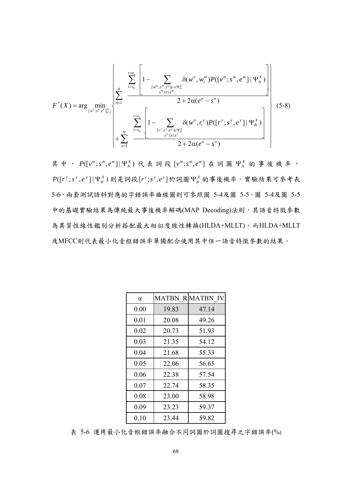$$
F^{*}(X) = \arg \min_{\{w^{n}; s^{n}, e^{n}\}_{n=1}^{N}} \left\{\sum_{n=1}^{N} \frac{\sum_{t=s_{n}}^{t=e_{n}}\left[1-\sum_{\{w^{m}; s^{m}, s^{m}\}_{n\in e}\neq Y^{X}_{A}} \delta(w^{n}, w_{t}^{m}) P([\nu^{m}; s^{m}, e^{m}] | \Psi^{X}_{A})\right]}{2+2\alpha(e^{n}-s^{n})}\right\}_{\left(+\sum_{n=1}^{N} \sum_{t=s_{n}}^{t=e_{n}}\left[1-\sum_{\{r^{y}; s^{y}, e^{y}\}\in \Psi^{X}_{A}} \delta(w^{n}, r^{y}_{t}) P([\Gamma^{y}; s^{y}, e^{y}] | \Psi^{X}_{B})\right]}{2+2\alpha(e^{n}-s^{n})}\right\}
$$
(5-8)

其中,  $P([v^m ; s^m , e^m] | \Psi_A^X)$ 代表詞段 $[v^m ; s^m , e^m]$ 在詞圖 $\Psi_A^X$ 的事後機率,  $P([r^{y}; s^{y}, e^{y}]\vert \Psi_{B}^{X})$ 則是詞段 $[r^{y}; s^{y}, e^{y}]$ 於詞圖 $\Psi_{B}^{X}$ 的事後機率。實驗結果可參考表 5-6,兩套測試語料對應的字錯誤率曲線圖則可參照圖 5-4及圖 5-5。圖 5-4及圖 5-5 中的基礎實驗結果為傳統最大事後機率解碼(MAP Decoding)法則,其語音特徵參數 為異質性線性鑑別分析搭配最大相似度線性轉換(HLDA+MLLT)。而HLDA+MLLT 及MFCC則代表最小化音框錯誤率單獨配合使用其中任一語音特徵參數的結果。

| $\alpha$ |       | <b>MATBN R MATBN IV</b> |
|----------|-------|-------------------------|
| 0.00     | 19.83 | 47.14                   |
| 0.01     | 20.08 | 49.26                   |
| 0.02     | 20.73 | 51.93                   |
| 0.03     | 21.35 | 54.12                   |
| 0.04     | 21.68 | 55.33                   |
| 0.05     | 22.06 | 56.65                   |
| 0.06     | 22.38 | 57.54                   |
| 0.07     | 22.74 | 58.35                   |
| 0.08     | 23.00 | 58.98                   |
| 0.09     | 23.23 | 59.37                   |
| 0.10     | 23.44 | 59.82                   |

表 5-6 運用最小化音框錯誤率融合不同詞圖於詞圖搜尋之字錯誤率(%)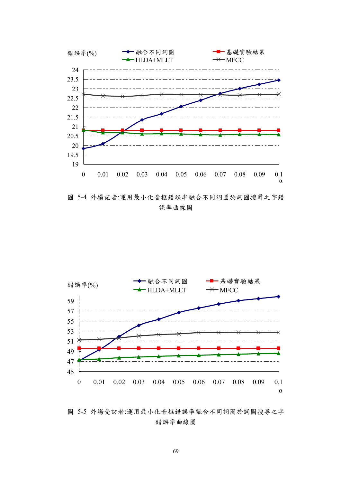

圖 5-4 外場記者:運用最小化音框錯誤率融合不同詞圖於詞圖搜尋之字錯 誤率曲線圖



圖 5-5 外場受訪者:運用最小化音框錯誤率融合不同詞圖於詞圖搜尋之字 錯誤率曲線圖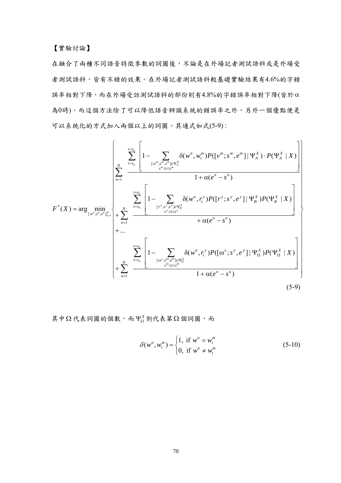在融合了兩種不同語音特徵參數的詞圖後,不論是在外場記者測試語料或是外場受 者測試語料,皆有不錯的效果。在外場記者測試語料較基礎實驗結果有4.6%的字錯 誤率相對下降,而在外場受訪測試語料的部份則有4.8%的字錯誤率相對下降(皆於α 為0時)。而這個方法除了可以降低語音辨識系統的錯誤率之外,另外一個優點便是 可以系統化的方式加入兩個以上的詞圖。其通式如式(5-9) :

$$
F^{*}(X) = \arg \min_{\{w^{n}; s^{n}, e^{n}\}_{n=1}} \left\{ \sum_{r=s_{n}}^{N} \left[ 1 - \sum_{\substack{w^{m}; s^{m}, s^{m} \in \Psi_{A}^{X} \\ s^{m} \leq t \leq s^{m}}} \delta(w^{n}, w_{t}^{m}) P([v^{m}; s^{m}, e^{m}] | \Psi_{A}^{X}) \cdot P(\Psi_{A}^{X} | X) \right] \right\}
$$
\n
$$
F^{*}(X) = \arg \min_{\{w^{n}; s^{n}, e^{n}\}_{n=1}} \left\{ + \sum_{n=1}^{N} \left[ 1 - \sum_{\substack{[r^{y}; s^{y}, e^{y}] \in \Psi_{B}^{X} \\ s^{y} \leq t \leq s^{y}}} \delta(w^{n}, r_{t}^{y}) P([r^{y}; s^{y}, e^{y}] | \Psi_{B}^{X}) P(\Psi_{B}^{X} | X) \right] + \dots + \left[ \sum_{n=1}^{r=e_{n}} \left[ 1 - \sum_{\substack{[0^{y}; s^{n}, e^{n}] \in \Psi_{B}^{X} \\ s^{n} \leq t \leq s^{n}}} \delta(w^{n}, r_{t}^{y}) P([\omega^{y}; s^{y}, e^{y}] | \Psi_{\Omega}^{X}) P(\Psi_{\Omega}^{X} | X) \right] + \sum_{n=1}^{r=e_{n}} \left[ 1 - \sum_{\substack{[0^{y}; s^{n}, e^{n}] \in \Psi_{B}^{X} \\ s^{n} \leq t \leq s^{n}}} \delta(w^{n}, r_{t}^{y}) P([\omega^{y}; s^{y}, e^{y}] | \Psi_{\Omega}^{X}) P(\Psi_{\Omega}^{X} | X) \right] \right\}
$$
\n
$$
(5-9)
$$

其中Ω代表詞圖的個數,而 Ψ $_{\Omega}^{X}$ 則代表第Ω個詞圖,而

$$
\delta(w^n, w_t^m) = \begin{cases} 1, & \text{if } w^n = w_t^m \\ 0, & \text{if } w^n \neq w_t^m \end{cases}
$$
 (5-10)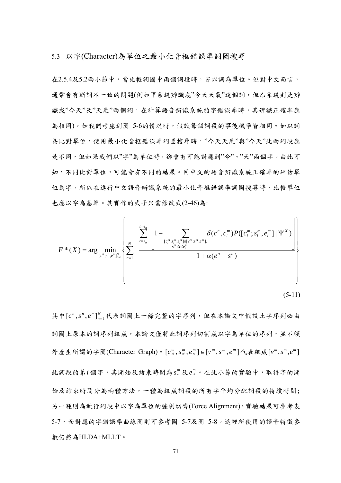5.3 以字(Character)為單位之最小化音框錯誤率詞圖搜尋

在2.5.4及5.2兩小節中,當比較詞圖中兩個詞段時,皆以詞為單位。但對中文而言, 通常會有斷詞不一致的問題(例如甲系統辨識成"今天天氣"這個詞,但乙系統則是辨 識成"今天"及"天氣"兩個詞,在計算語音辨識系統的字錯誤率時,其辨識正確率應 為相同)。如我們考慮到圖 5-6的情況時,假設每個詞段的事後機率皆相同。如以詞 為比對單位,使用最小化音框錯誤率詞圖搜尋時,"今天天氣"與"今天"此兩詞段應 是不同,但如果我們以"字"為單位時,卻會有可能對應到"今"、"天"兩個字。由此可 知,不同比對單位,可能會有不同的結果。因中文的語音辨識系統正確率的評估單 位為字,所以在進行中文語音辨識系統的最小化音框錯誤率詞圖搜尋時,比較單位 也應以字為基準。其實作的式子只需修改式(2-46)為:

$$
F^{*}(X) = \arg \min_{[c^{n}; s^{n}, e^{n}]_{n=1}^{N}} \left\{ \sum_{n=1}^{N} \left[ 1 - \sum_{\substack{[c_{i}^{m}; s_{i}^{m}, e_{i}^{m}] \in [v^{m}; s^{m}, e^{m}]_{,}}} \delta(c^{n}, c_{i}^{m}) P([c_{i}^{m}; s_{i}^{m}, e_{i}^{m}] | \Psi^{X}) \right] \right\}
$$
\n
$$
1 + \alpha(e^{n} - s^{n})
$$
\n(5-11)

其中[c<sup>n</sup>,s<sup>n</sup>,e<sup>n</sup>]<sup>N</sup><sub>n=1</sub>代表詞圖上一條完整的字序列,但在本論文中假設此字序列必由 詞圖上原本的詞序列組成,本論文僅將此詞序列切割成以字為單位的序列,並不額 外產生所謂的字圖(Character Graph)。 $[c^m_{n}, s^m_{n}, e^m_{n}] \in [v^m, s^m, e^m]$ 代表組成 $[v^m, s^m, e^m]$ 此詞段的第*i* 個字,其開始及結束時間為 *ms ni* 及 *me ni* 。在此小節的實驗中,取得字的開 始及結束時間分為兩種方法,一種為組成詞段的所有字平均分配詞段的持續時間; 另一種則為執行詞段中以字為單位的強制切齊(Force Alignment)。實驗結果可參考表 5-7,而對應的字錯誤率曲線圖則可參考圖 5-7及圖 5-8。這裡所使用的語音特徵參 數仍然為HLDA+MLLT。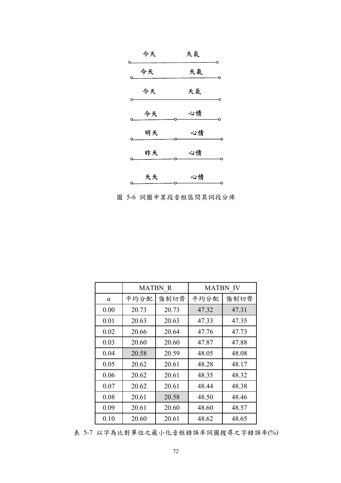| O  | 今天 | 天氣 |  |
|----|----|----|--|
|    | 今天 | 天氣 |  |
|    | 今天 | 天氣 |  |
|    | 今天 | 心情 |  |
|    | 明天 | 心情 |  |
|    | 昨天 | 心情 |  |
|    |    |    |  |
| o. | 天天 | 心情 |  |

圖 5-6 詞圖中某段音框區間其詞段分佈

|          | <b>MATBN R</b> |       | <b>MATBN IV</b> |       |
|----------|----------------|-------|-----------------|-------|
| $\alpha$ | 平均分配           | 強制切齊  | 平均分配            | 強制切齊  |
| 0.00     | 20.73          | 20.73 | 47.32           | 47.31 |
| 0.01     | 20.63          | 20.63 | 47.33           | 47.35 |
| 0.02     | 20.66          | 20.64 | 47.76           | 47.73 |
| 0.03     | 20.60          | 20.60 | 47.87           | 47.88 |
| 0.04     | 20.58          | 20.59 | 48.05           | 48.08 |
| 0.05     | 20.62          | 20.61 | 48.28           | 48.17 |
| 0.06     | 20.62          | 20.61 | 48.35           | 48.32 |
| 0.07     | 20.62          | 20.61 | 48.44           | 48.38 |
| 0.08     | 20.61          | 20.58 | 48.50           | 48.46 |
| 0.09     | 20.61          | 20.60 | 48.60           | 48.57 |
| 0.10     | 20.60          | 20.61 | 48.62           | 48.65 |

表 5-7 以字為比對單位之最小化音框錯誤率詞圖搜尋之字錯誤率(%)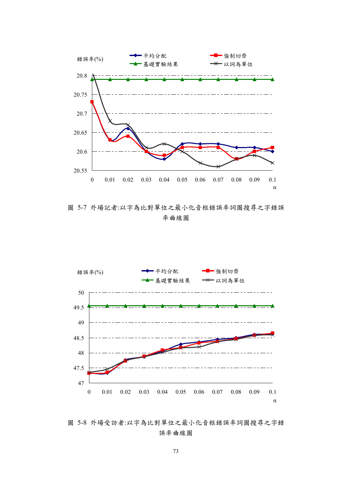

圖 5-7 外場記者:以字為比對單位之最小化音框錯誤率詞圖搜尋之字錯誤 率曲線圖



圖 5-8 外場受訪者:以字為比對單位之最小化音框錯誤率詞圖搜尋之字錯 誤率曲線圖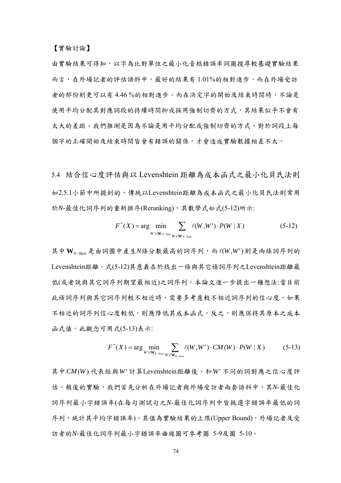由實驗結果可得知,以字為比對單位之最小化音框錯誤率詞圖搜尋較基礎實驗結果 而言,在外場記者的評估語料中,最好的結果有 1.01%的相對進步,而在外場受訪 者的部份則更可以有 4.46 %的相對進步。而在決定字的開始及結束時間時,不論是 使用平均分配其對應詞段的持續時間抑或採用強制切齊的方式,其結果似乎不會有 太大的差距。我們推測是因為不論是用平均分配或強制切齊的方式,對於詞段上每 個字的正確開始及結束時間皆會有錯誤的關係。才會造成實驗數據相差不太。

5.4 結合信心度評估與以 Levenshtein 距離為成本函式之最小化貝氏法則 如2.5.1小節中所提到的,傳統以Levenshtein距離為成本函式之最小化貝氏法則常用 於*N*-最佳化詞序列的重新排序(Reranking),其數學式如式(5-12)所示:

$$
F^*(X) = \arg\min_{W' \in \mathbf{W}_{N-\text{bes}}} \sum_{W \in \mathbf{W}_{N-\text{bes}}} \ell(W, W') \cdot P(W \mid X) \tag{5-12}
$$

其中 W<sub>N-Best</sub> 是由詞圖中產生N條分數最高的詞序列, 而l(*W*,W')則是兩條詞序列的 Levenshtein距離。式(5-12)其意義在於找出一條與其它條詞序列之Levenshtein距離最 低(或者說與其它詞序列期望最相近)之詞序列。本論文進一步提出一種想法:當目前 此條詞序列與其它詞序列較不相近報表示相近詞序列的信心度,如果 不相近的詞序列信心度較低,則應降低其成本函式。反之,則應保持其原本之成本 函式值。此觀念可用式(5-13)表示:

$$
F^*(X) = \arg\min_{W' \in \mathbf{W}_{N-\text{best}}} \sum_{W \in \mathbf{W}_{N-\text{best}}} \ell(W, W') \cdot CM(W) \cdot P(W \mid X) \tag{5-13}
$$

其中 CM(W)代表經與W' 計算Levenshtein距離後,和W' 不同的詞對應之信心度評 估。稍後的實驗,我們首先分析在外場記者與外場受訪者兩套語料中,其*N*-最佳化 詞序列最小字錯誤率(在每句測試句之*N*-最佳化詞序列中皆挑選字錯誤率最低的詞 序列,統計其平均字錯誤率)。其值為實驗結果的上限(Upper Bound),外場記者及受 訪者的*N*-最佳化詞序列最小字錯誤率曲線圖可參考圖 5-9及圖 5-10。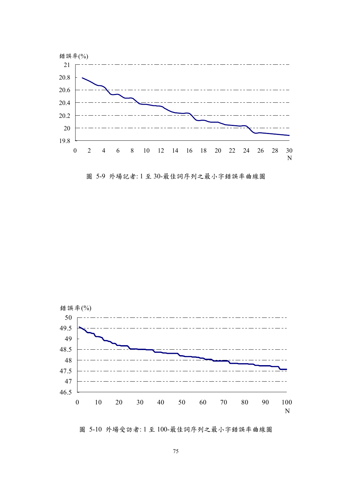

圖 5-9 外場記者: 1 至 30-最佳詞序列之最小字錯誤率曲線圖



圖 5-10 外場受訪者: 1 至 100-最佳詞序列之最小字錯誤率曲線圖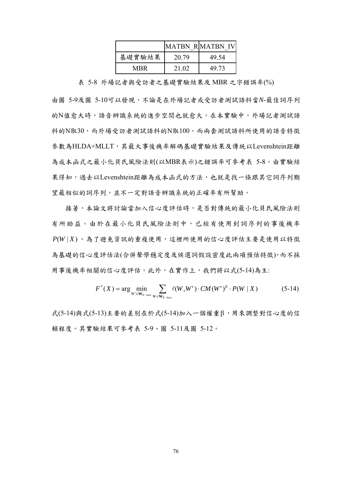|        |       | MATBN RIMATBN IV |
|--------|-------|------------------|
| 基礎實驗結果 | 20.79 | 49 54            |
| MRR    | 21.02 | 49 73            |

表 5-8 外場記者與受訪者之基礎實驗結果及 MBR 之字錯誤率(%)

由圖 5-9及圖 5-10可以發現,不論是在外場記者或受訪者測試語料當*N*-最佳詞序列 的N值愈大時,語音辨識系統的進步空間也就愈大。在本實驗中,外場記者測試語 料的N取30,而外場受訪者測試語料的N取100。而兩套測試語料所使用的語音特徵 參數為HLDA+MLLT,其最大事後機率解碼基礎實驗結果及傳統以Levenshtein距離 為成本函式之最小化貝氏風險法則(以MBR表示)之錯誤率可參考表 5-8。由實驗結 果得知,過去以Levenshtein距離為成本函式的方法,也就是找一條跟其它詞序列期 望最相似的詞序列,並不一定對語音辨識系統的正確率有所幫助。

接著,本論文將討論當加入信心度評估時,是否對傳統的最小化貝氏風險法則 有所助益。由於在最小化貝氏風險法則中,已經有使用到詞序列的事後機率 *P*(*W* | *X* ) 。為了避免資訊的重複使用,這裡所使用的信心度評估主要是使用以特徵 為基礎的信心度評估法(合併聲學穩定度及候選詞假設密度此兩項預估特徵),而不採 用事後機率相關的信心度評估。此外,在實作上,我們將以式(5-14)為主:

$$
F^*(X) = \arg\min_{W' \in \mathbf{W}_{N-\text{best}}} \sum_{W \in \mathbf{W}_{N-\text{best}}} \ell(W, W') \cdot CM(W')^\beta \cdot P(W \mid X) \tag{5-14}
$$

式(5-14)與式(5-13)主要的差別在於式(5-14)加入一個權重β,用來調整對信心度的信 賴程度。其實驗結果可參考表 5-9、圖 5-11及圖 5-12。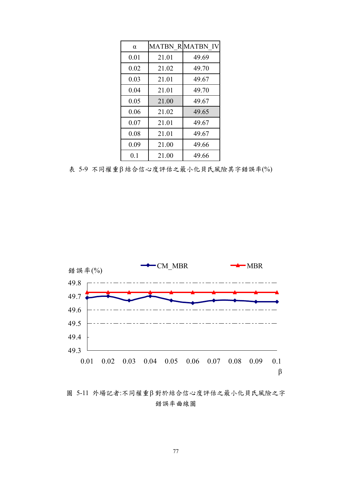| $\alpha$ |       | <b>MATBN R MATBN IV</b> |
|----------|-------|-------------------------|
| 0.01     | 21.01 | 49.69                   |
| 0.02     | 21.02 | 49.70                   |
| 0.03     | 21.01 | 49.67                   |
| 0.04     | 21.01 | 49.70                   |
| 0.05     | 21.00 | 49.67                   |
| 0.06     | 21.02 | 49.65                   |
| 0.07     | 21.01 | 49.67                   |
| 0.08     | 21.01 | 49.67                   |
| 0.09     | 21.00 | 49.66                   |
| 0.1      | 21.00 | 49.66                   |

表 5-9 不同權重β 結合信心度評估之最小化貝氏風險其字錯誤率(%)



圖 5-11 外場記者:不同權重β 對於結合信心度評估之最小化貝氏風險之字 錯誤率曲線圖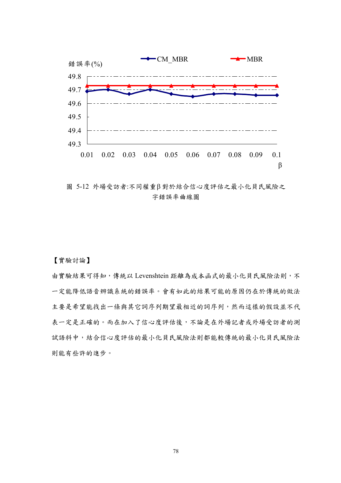

圖 5-12 外場受訪者:不同權重β 對於結合信心度評估之最小化貝氏風險之 字錯誤率曲線圖

【實驗討論】

由實驗結果可得知,傳統以 Levenshtein 距離為成本函式的最小化貝氏風險法則,不 一定能降低語音辨識系統的錯誤率。會有如此的結果可能的原因仍在於傳統的做法 主要是希望能找出一條與其它詞序列期望最相近的詞序列,然而這樣的假設並不代 表一定是正確的。而在加入了信心度評估後,不論是在外場記者或外場受訪者的測 試語料中,結合信心度評估的最小化貝氏風險法則都能較傳統的最小化貝氏風險法 則能有些許的進步。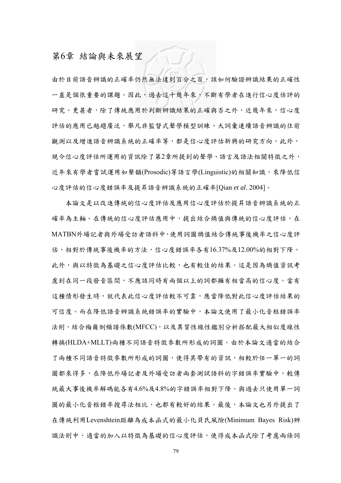## 第6章 結論與未來展望

由於目前語音辨識的正確率仍然無法達到百分之百,該如何驗證辨識結果的正確性 一直是個很重要的課題。因此,過去這十幾年來,不斷有學者在進行信心度估評的 研究。更甚者,除了傳統應用於判斷辨識結果的正確與否之外,近幾年來,信心度 評估的應用已越趨度,舉凡非監督式聲學模型訓練、大詞彙連續語音辨識的往前 觀測以及增進語音辨識系統的正確率等,都是信心度評估新興的研究方向。此外, 現今信心度評估所運用的資訊除了第2章所提到的聲學、語言及語法相關特徵之外, 近年來有學者嘗試運用如聲韻(Prosodic)等語言學(Linguistic)的相關知識,來降低信 心度評估的信心度錯誤率及提昇語音辨識系統的正確率[Qian *et al*. 2004]。

本論文是以改進傳統的信心度評估及應用信心度評估於提昇語音辨識系統的正 確率為主軸。在傳統的信心度評估應用中,提出結合熵值與傳統的信心度評估,在 MATBN外場記者與外場受訪者語料中,使用詞圖熵值結合傳統事後機率之信心度評 估,相對於傳統事後機率的方法,信心度錯誤率各有16.37%及12.00%的相對下降。 此外,與以特徵為基礎之信心度評估比較,也有較佳的結果。這是因為熵值資訊考 慮到在同一段發音區間,不應該同時有兩個以上的詞都擁有相當高的信心度。當有 這種情形發生時,就代表此信心度評估較不可靠,應當降低對此信心度評估結果的 可信度。而在降低語音辨識系統錯誤率的實驗中,本論文使用了最小化音框錯誤率 法則,結合梅爾倒頻譜係數(MFCC),以及異質性線性鑑別分析搭配最大相似度線性 轉換(HLDA+MLLT)兩種不同語音特徵參數所形成的詞圖。由於本論文適當的結合 了兩種不同語音特徵參數所形成的詞圖,使得其帶有的資訊,相較於任一單一的詞 圖都來得多,在降低外場記者及外場受訪者兩套測試語料的字錯誤率實驗中,較傳 統最大事後機率解碼能各有4.6%及4.8%的字錯誤率相對下降。與過去只使用單一詞 圖的最小化音框錯率搜尋法相比,也都有較好的結果。最後,本論文也另外提出了 在傳統利用Levenshtein距離為成本函式的最小化貝氏風險(Minimum Bayes Risk)辨 識法則中,適當的加入以特徵為基礎的信心度評估,使得成本函式除了考慮兩條詞

79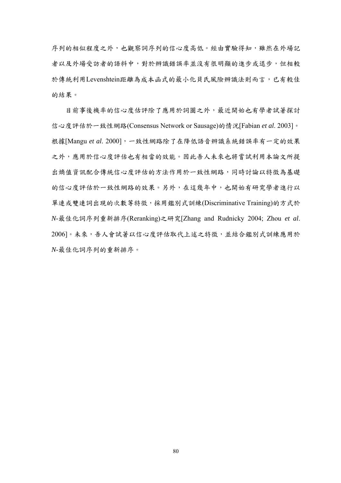序列的相似程度之外,也觀察詞序列的信心度高低。經由實驗得知,雖然在外場記 者以及外場受訪者的語料中,對於辨識錯誤率並沒有很明顯的進步或退步,但相較 於傳統利用Levenshtein距離為成本函式的最小化貝氏風險辨識法則而言,已有較佳 的結果。

目前事後機率的信心度估評除了應用於詞圖之外,最近開始也有學者試著探討 信心度評估於一致性網路(Consensus Network or Sausage)的情況[Fabian *et al*. 2003]。 根據[Mangu et al. 2000],一致性網路除了在降低語音辨識系統錯誤率有一定的效果 之外,應用於信心度評估也有相當的效能。因此吾人未來也將嘗試利用本論文所提 出熵值資訊配合傳統信心度評估的方法作用於一致性網路,同時討論以特徵為基礎 的信心度評估於一致性網路的效果。另外,在這幾年中,也開始有研究學者進行以 單連或雙連詞出現的次數等特徵,採用鑑別式訓練(Discriminative Training)的方式於 *N*-最佳化詞序列重新排序(Reranking)之研究[Zhang and Rudnicky 2004; Zhou *et al*. 2006]。未來,吾人會試著以信心度評估取代上述之特徵,並結合鑑別式訓練應用於 *N*-最佳化詞序列的重新排序。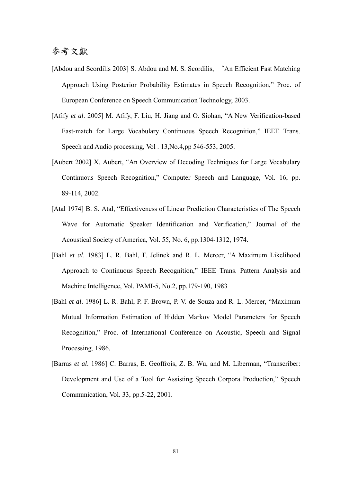## 參考文獻

- [Abdou and Scordilis 2003] S. Abdou and M. S. Scordilis, "An Efficient Fast Matching Approach Using Posterior Probability Estimates in Speech Recognition," Proc. of European Conference on Speech Communication Technology, 2003.
- [Afify *et al*. 2005] M. Afify, F. Liu, H. Jiang and O. Siohan, "A New Verification-based Fast-match for Large Vocabulary Continuous Speech Recognition," IEEE Trans. Speech and Audio processing, Vol . 13,No.4,pp 546-553, 2005.
- [Aubert 2002] X. Aubert, "An Overview of Decoding Techniques for Large Vocabulary Continuous Speech Recognition," Computer Speech and Language, Vol. 16, pp. 89-114, 2002.
- [Atal 1974] B. S. Atal, "Effectiveness of Linear Prediction Characteristics of The Speech Wave for Automatic Speaker Identification and Verification," Journal of the Acoustical Society of America, Vol. 55, No. 6, pp.1304-1312, 1974.
- [Bahl *et al*. 1983] L. R. Bahl, F. Jelinek and R. L. Mercer, "A Maximum Likelihood Approach to Continuous Speech Recognition," IEEE Trans. Pattern Analysis and Machine Intelligence, Vol. PAMI-5, No.2, pp.179-190, 1983
- [Bahl *et al*. 1986] L. R. Bahl, P. F. Brown, P. V. de Souza and R. L. Mercer, "Maximum Mutual Information Estimation of Hidden Markov Model Parameters for Speech Recognition," Proc. of International Conference on Acoustic, Speech and Signal Processing, 1986*.*
- [Barras *et al*. 1986] C. Barras, E. Geoffrois, Z. B. Wu, and M. Liberman, "Transcriber: Development and Use of a Tool for Assisting Speech Corpora Production," Speech Communication, Vol. 33, pp.5-22, 2001.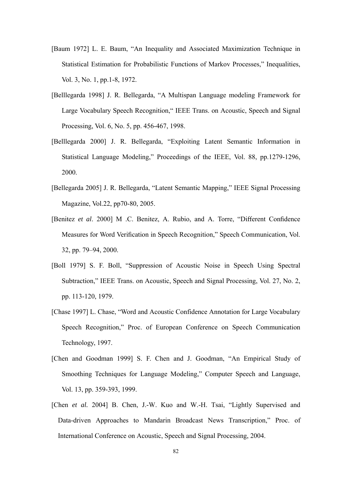- [Baum 1972] L. E. Baum, "An Inequality and Associated Maximization Technique in Statistical Estimation for Probabilistic Functions of Markov Processes," Inequalities, Vol. 3, No. 1, pp.1-8, 1972.
- [Belllegarda 1998] J. R. Bellegarda, "A Multispan Language modeling Framework for Large Vocabulary Speech Recognition," IEEE Trans. on Acoustic, Speech and Signal Processing, Vol. 6, No. 5, pp. 456-467, 1998.
- [Belllegarda 2000] J. R. Bellegarda, "Exploiting Latent Semantic Information in Statistical Language Modeling," Proceedings of the IEEE, Vol. 88, pp.1279-1296, 2000.
- [Bellegarda 2005] J. R. Bellegarda, "Latent Semantic Mapping," IEEE Signal Processing Magazine, Vol.22, pp70-80, 2005.
- [Benitez *et al*. 2000] M .C. Benitez, A. Rubio, and A. Torre, "Different Confidence Measures for Word Verification in Speech Recognition," Speech Communication, Vol. 32, pp. 79–94, 2000.
- [Boll 1979] S. F. Boll, "Suppression of Acoustic Noise in Speech Using Spectral Subtraction," IEEE Trans. on Acoustic, Speech and Signal Processing, Vol. 27, No. 2, pp. 113-120, 1979.
- [Chase 1997] L. Chase, "Word and Acoustic Confidence Annotation for Large Vocabulary Speech Recognition," Proc. of European Conference on Speech Communication Technology, 1997.
- [Chen and Goodman 1999] S. F. Chen and J. Goodman, "An Empirical Study of Smoothing Techniques for Language Modeling," Computer Speech and Language, Vol. 13, pp. 359-393, 1999.
- [Chen *et al.* 2004] B. Chen, J.-W. Kuo and W.-H. Tsai, "Lightly Supervised and Data-driven Approaches to Mandarin Broadcast News Transcription," Proc. of International Conference on Acoustic, Speech and Signal Processing, 2004.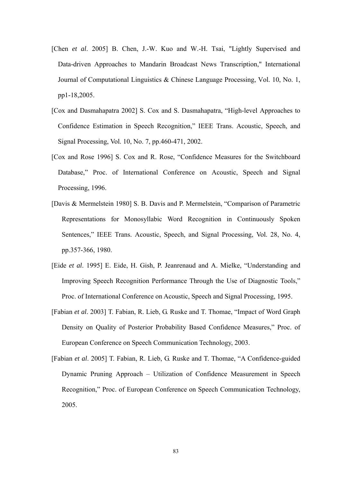- [Chen *et al.* 2005] B. Chen, J.-W. Kuo and W.-H. Tsai, "Lightly Supervised and Data-driven Approaches to Mandarin Broadcast News Transcription," International Journal of Computational Linguistics & Chinese Language Processing, Vol. 10, No. 1, pp1-18,2005.
- [Cox and Dasmahapatra 2002] S. Cox and S. Dasmahapatra, "High-level Approaches to Confidence Estimation in Speech Recognition," IEEE Trans. Acoustic, Speech, and Signal Processing, Vol. 10, No. 7, pp.460-471, 2002.
- [Cox and Rose 1996] S. Cox and R. Rose, "Confidence Measures for the Switchboard Database," Proc. of International Conference on Acoustic, Speech and Signal Processing, 1996.
- [Davis & Mermelstein 1980] S. B. Davis and P. Mermelstein, "Comparison of Parametric Representations for Monosyllabic Word Recognition in Continuously Spoken Sentences," IEEE Trans. Acoustic, Speech, and Signal Processing, Vol. 28, No. 4, pp.357-366, 1980.
- [Eide *et al*. 1995] E. Eide, H. Gish, P. Jeanrenaud and A. Mielke, "Understanding and Improving Speech Recognition Performance Through the Use of Diagnostic Tools," Proc. of International Conference on Acoustic, Speech and Signal Processing, 1995.
- [Fabian *et al*. 2003] T. Fabian, R. Lieb, G. Ruske and T. Thomae, "Impact of Word Graph Density on Quality of Posterior Probability Based Confidence Measures," Proc. of European Conference on Speech Communication Technology, 2003.
- [Fabian *et al*. 2005] T. Fabian, R. Lieb, G. Ruske and T. Thomae, "A Confidence-guided Dynamic Pruning Approach – Utilization of Confidence Measurement in Speech Recognition," Proc. of European Conference on Speech Communication Technology, 2005.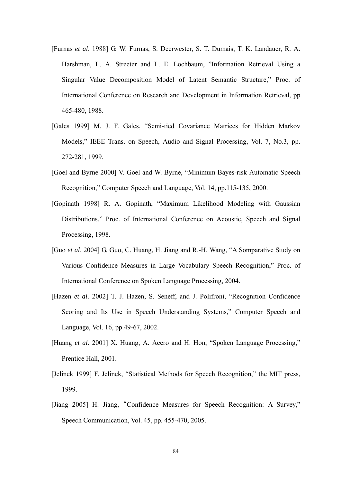- [Furnas *et al*. 1988] G. W. Furnas, S. Deerwester, S. T. Dumais, T. K. Landauer, R. A. Harshman, L. A. Streeter and L. E. Lochbaum, "Information Retrieval Using a Singular Value Decomposition Model of Latent Semantic Structure," Proc. of International Conference on Research and Development in Information Retrieval, pp 465-480, 1988.
- [Gales 1999] M. J. F. Gales, "Semi-tied Covariance Matrices for Hidden Markov Models," IEEE Trans. on Speech, Audio and Signal Processing, Vol. 7, No.3, pp. 272-281, 1999.
- [Goel and Byrne 2000] V. Goel and W. Byrne, "Minimum Bayes-risk Automatic Speech Recognition," Computer Speech and Language, Vol. 14, pp.115-135, 2000.
- [Gopinath 1998] R. A. Gopinath, "Maximum Likelihood Modeling with Gaussian Distributions," Proc. of International Conference on Acoustic, Speech and Signal Processing, 1998.
- [Guo *et al*. 2004] G. Guo, C. Huang, H. Jiang and R.-H. Wang, "A Somparative Study on Various Confidence Measures in Large Vocabulary Speech Recognition," Proc. of International Conference on Spoken Language Processing, 2004.
- [Hazen *et al*. 2002] T. J. Hazen, S. Seneff, and J. Polifroni, "Recognition Confidence Scoring and Its Use in Speech Understanding Systems," Computer Speech and Language, Vol. 16, pp.49-67, 2002.
- [Huang *et al*. 2001] X. Huang, A. Acero and H. Hon, "Spoken Language Processing," Prentice Hall, 2001.
- [Jelinek 1999] F. Jelinek, "Statistical Methods for Speech Recognition," the MIT press, 1999.
- [Jiang 2005] H. Jiang, "Confidence Measures for Speech Recognition: A Survey," Speech Communication, Vol. 45, pp. 455-470, 2005.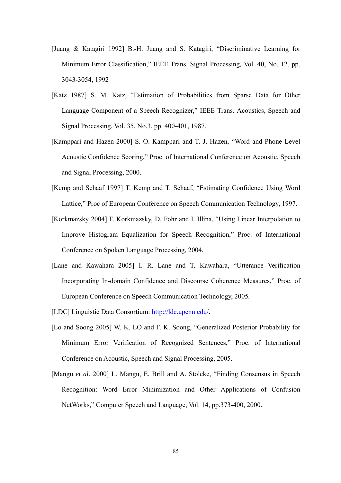- [Juang & Katagiri 1992] B.-H. Juang and S. Katagiri, "Discriminative Learning for Minimum Error Classification," IEEE Trans. Signal Processing*,* Vol. 40, No. 12, pp. 3043-3054, 1992
- [Katz 1987] S. M. Katz, "Estimation of Probabilities from Sparse Data for Other Language Component of a Speech Recognizer," IEEE Trans. Acoustics, Speech and Signal Processing, Vol. 35, No.3, pp. 400-401, 1987*.*
- [Kamppari and Hazen 2000] S. O. Kamppari and T. J. Hazen, "Word and Phone Level Acoustic Confidence Scoring," Proc. of International Conference on Acoustic, Speech and Signal Processing, 2000.
- [Kemp and Schaaf 1997] T. Kemp and T. Schaaf, "Estimating Confidence Using Word Lattice," Proc of European Conference on Speech Communication Technology, 1997.
- [Korkmazsky 2004] F. Korkmazsky, D. Fohr and I. Illina, "Using Linear Interpolation to Improve Histogram Equalization for Speech Recognition," Proc. of International Conference on Spoken Language Processing, 2004*.*
- [Lane and Kawahara 2005] I. R. Lane and T. Kawahara, "Utterance Verification Incorporating In-domain Confidence and Discourse Coherence Measures," Proc. of European Conference on Speech Communication Technology, 2005*.*
- [LDC] Linguistic Data Consortium: http://ldc.upenn.edu/.
- [Lo and Soong 2005] W. K. LO and F. K. Soong, "Generalized Posterior Probability for Minimum Error Verification of Recognized Sentences," Proc. of International Conference on Acoustic, Speech and Signal Processing, 2005.
- [Mangu *et al*. 2000] L. Mangu, E. Brill and A. Stolcke, "Finding Consensus in Speech Recognition: Word Error Minimization and Other Applications of Confusion NetWorks," Computer Speech and Language, Vol. 14, pp.373-400, 2000.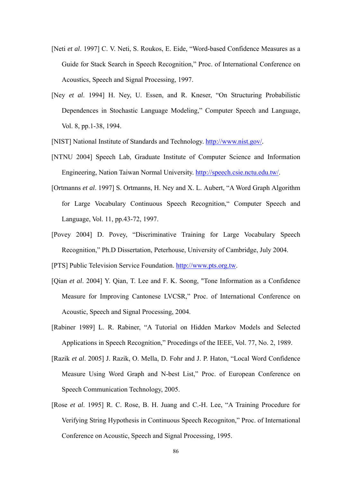- [Neti *et al*. 1997] C. V. Neti, S. Roukos, E. Eide, "Word-based Confidence Measures as a Guide for Stack Search in Speech Recognition," Proc. of International Conference on Acoustics, Speech and Signal Processing, 1997.
- [Ney *et al*. 1994] H. Ney, U. Essen, and R. Kneser, "On Structuring Probabilistic Dependences in Stochastic Language Modeling," Computer Speech and Language, Vol. 8, pp.1-38, 1994.

[NIST] National Institute of Standards and Technology. http://www.nist.gov/*.*

- [NTNU 2004] Speech Lab, Graduate Institute of Computer Science and Information Engineering, Nation Taiwan Normal University. http://speech.csie.nctu.edu.tw/.
- [Ortmanns *et al*. 1997] S. Ortmanns, H. Ney and X. L. Aubert, "A Word Graph Algorithm for Large Vocabulary Continuous Speech Recognition," Computer Speech and Language, Vol. 11, pp.43-72, 1997.
- [Povey 2004] D. Povey, "Discriminative Training for Large Vocabulary Speech Recognition," Ph.D Dissertation, Peterhouse, University of Cambridge, July 2004.

[PTS] Public Television Service Foundation. http://www.pts.org.tw.

- [Qian *et al*. 2004] Y. Qian, T. Lee and F. K. Soong, "Tone Information as a Confidence Measure for Improving Cantonese LVCSR," Proc. of International Conference on Acoustic, Speech and Signal Processing, 2004.
- [Rabiner 1989] L. R. Rabiner, "A Tutorial on Hidden Markov Models and Selected Applications in Speech Recognition," Procedings of the IEEE, Vol. 77, No. 2, 1989.
- [Razik *et al*. 2005] J. Razik, O. Mella, D. Fohr and J. P. Haton, "Local Word Confidence Measure Using Word Graph and N-best List," Proc. of European Conference on Speech Communication Technology, 2005.
- [Rose *et al*. 1995] R. C. Rose, B. H. Juang and C.-H. Lee, "A Training Procedure for Verifying String Hypothesis in Continuous Speech Recogniton," Proc. of International Conference on Acoustic, Speech and Signal Processing, 1995.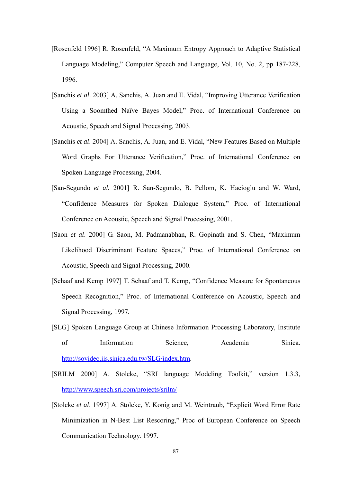- [Rosenfeld 1996] R. Rosenfeld, "A Maximum Entropy Approach to Adaptive Statistical Language Modeling," Computer Speech and Language, Vol. 10, No. 2, pp 187-228, 1996.
- [Sanchis *et al*. 2003] A. Sanchis, A. Juan and E. Vidal, "Improving Utterance Verification Using a Soomthed Naïve Bayes Model," Proc. of International Conference on Acoustic, Speech and Signal Processing, 2003.
- [Sanchis *et al*. 2004] A. Sanchis, A. Juan, and E. Vidal, "New Features Based on Multiple Word Graphs For Utterance Verification," Proc. of International Conference on Spoken Language Processing, 2004.
- [San-Segundo *et al.* 2001] R. San-Segundo, B. Pellom, K. Hacioglu and W. Ward, "Confidence Measures for Spoken Dialogue System," Proc. of International Conference on Acoustic, Speech and Signal Processing, 2001.
- [Saon *et al*. 2000] G. Saon, M. Padmanabhan, R. Gopinath and S. Chen, "Maximum Likelihood Discriminant Feature Spaces," Proc. of International Conference on Acoustic, Speech and Signal Processing, 2000.
- [Schaaf and Kemp 1997] T. Schaaf and T. Kemp, "Confidence Measure for Spontaneous Speech Recognition," Proc. of International Conference on Acoustic, Speech and Signal Processing, 1997*.*
- [SLG] Spoken Language Group at Chinese Information Processing Laboratory, Institute of Information Science, Academia Sinica. http://sovideo.iis.sinica.edu.tw/SLG/index.htm*.*
- [SRILM 2000] A. Stolcke, "SRI language Modeling Toolkit," version 1.3.3, http://www.speech.sri.com/projects/srilm/
- [Stolcke *et al*. 1997] A. Stolcke, Y. Konig and M. Weintraub, "Explicit Word Error Rate Minimization in N-Best List Rescoring," Proc of European Conference on Speech Communication Technology. 1997.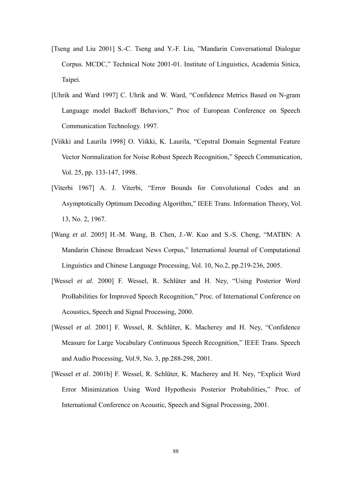- [Tseng and Liu 2001] S.-C. Tseng and Y.-F. Liu, "Mandarin Conversational Dialogue Corpus. MCDC," Technical Note 2001-01. Institute of Linguistics, Academia Sinica, Taipei.
- [Uhrik and Ward 1997] C. Uhrik and W. Ward, "Confidence Metrics Based on N-gram Language model Backoff Behaviors," Proc of European Conference on Speech Communication Technology. 1997.
- [Viikki and Laurila 1998] O. Viikki, K. Laurila, "Cepstral Domain Segmental Feature Vector Normalization for Noise Robust Speech Recognition," Speech Communication, Vol. 25, pp. 133-147, 1998.
- [Viterbi 1967] A. J. Viterbi, "Error Bounds for Convolutional Codes and an Asymptotically Optimum Decoding Algorithm," IEEE Trans. Information Theory, Vol. 13, No. 2, 1967.
- [Wang *et al*. 2005] H.-M. Wang, B. Chen, J.-W. Kuo and S.-S. Cheng, "MATBN: A Mandarin Chinese Broadcast News Corpus," International Journal of Computational Linguistics and Chinese Language Processing, Vol. 10, No.2, pp.219-236, 2005.
- [Wessel *et al*. 2000] F. Wessel, R. Schlüter and H. Ney, "Using Posterior Word ProBabilities for Improved Speech Recognition," Proc. of International Conference on Acoustics, Speech and Signal Processing, 2000.
- [Wessel *et al*. 2001] F. Wessel, R. Schlüter, K. Macherey and H. Ney, "Confidence Measure for Large Vocabulary Continuous Speech Recognition," IEEE Trans. Speech and Audio Processing, Vol.9, No. 3, pp.288-298, 2001.
- [Wessel *et al*. 2001b] F. Wessel, R. Schlüter, K. Macherey and H. Ney, "Explicit Word Error Minimization Using Word Hypothesis Posterior Probabilities," Proc. of International Conference on Acoustic, Speech and Signal Processing, 2001.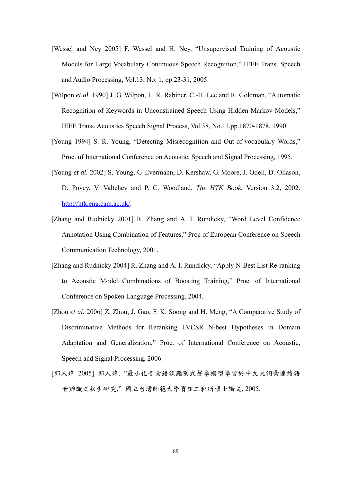- [Wessel and Ney 2005] F. Wessel and H. Ney, "Unsupervised Training of Acoustic Models for Large Vocabulary Continuous Speech Recognition," IEEE Trans. Speech and Audio Processing, Vol.13, No. 1, pp.23-31, 2005.
- [Wilpon *et al*. 1990] J. G. Wilpon, L. R. Rabiner, C.-H. Lee and R. Goldman, "Automatic Recognition of Keywords in Unconstrained Speech Using Hidden Markov Models," IEEE Trans. Acoustics Speech Signal Process, Vol.38, No.11,pp.1870-1878, 1990.
- [Young 1994] S. R. Young, "Detecting Misrecognition and Out-of-vocabulary Words," Proc. of International Conference on Acoustic, Speech and Signal Processing, 1995.
- [Young *et al.* 2002] S. Young, G. Evermann, D. Kershaw, G. Moore, J. Odell, D. Ollason, D. Povey, V. Valtchev and P. C. Woodland. *The HTK Book.* Version 3.2, 2002. http://htk.eng.cam.ac.uk/.
- [Zhang and Rudnicky 2001] R. Zhang and A. I. Rundicky, "Word Level Confidence Annotation Using Combination of Features," Proc of European Conference on Speech Communication Technology, 2001.
- [Zhang and Rudnicky 2004] R. Zhang and A. I. Rundicky, "Apply N-Best List Re-ranking to Acoustic Model Combinations of Boosting Training," Proc. of International Conference on Spoken Language Processing, 2004.
- [Zhou *et al*. 2006] Z. Zhou, J. Gao, F. K. Soong and H. Meng, "A Comparative Study of Discriminative Methods for Reranking LVCSR N-best Hypotheses in Domain Adaptation and Generalization," Proc. of International Conference on Acoustic, Speech and Signal Processing, 2006.
- [郭人瑋 2005] 郭人瑋, "最小化音素錯誤鑑別式聲學模型學習於中文大詞彙連續語 音辨識之初步研究," 國立台灣師範大學資訊工程所碩士論文, 2005.